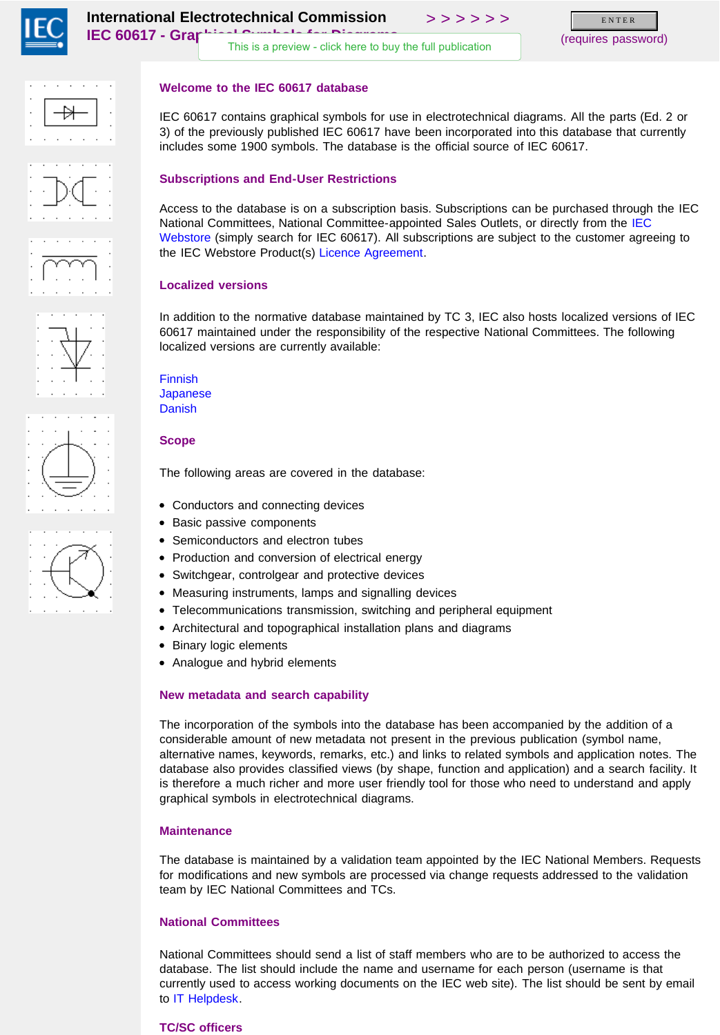<span id="page-0-0"></span>

[This is a preview - click here to buy the full publication](https://webstore.iec.ch/publication/2723&preview=1)

(requires password) E N T E R













IEC 60617 contains graphical symbols for use in electrotechnical diagrams. All the parts (Ed. 2 or 3) of the previously published IEC 60617 have been incorporated into this database that currently includes some 1900 symbols. The database is the official source of IEC 60617.

# **Subscriptions and End-User Restrictions**

Access to the database is on a subscription basis. Subscriptions can be purchased through the IEC National Committees, National Committee-appointed Sales Outlets, or directly from the [IEC](http://webstore.iec.ch/) [Webstore](http://webstore.iec.ch/) (simply search for IEC 60617). All subscriptions are subject to the customer agreeing to the IEC Webstore Product(s) [Licence Agreement.](http://www.iec.ch/webstore/custserv/pdf/Licence.pdf)

## **Localized versions**

In addition to the normative database maintained by TC 3, IEC also hosts localized versions of IEC 60617 maintained under the responsibility of the respective National Committees. The following localized versions are currently available:

[Finnish](http://std.iec.ch/grasymb/grasymb.nsf/fiWelcome) [Japanese](http://std.iec.ch/grasymb/grasymb.nsf/jpWelcome) [Danish](http://std.iec.ch/grasymb/grasymb.nsf/dkWelcome)

## **Scope**

The following areas are covered in the database:

- Conductors and connecting devices
- Basic passive components
- Semiconductors and electron tubes
- Production and conversion of electrical energy
- $\bullet$ Switchgear, controlgear and protective devices
- Measuring instruments, lamps and signalling devices
- Telecommunications transmission, switching and peripheral equipment
- Architectural and topographical installation plans and diagrams
- Binary logic elements
- Analogue and hybrid elements

## **New metadata and search capability**

The incorporation of the symbols into the database has been accompanied by the addition of a considerable amount of new metadata not present in the previous publication (symbol name, alternative names, keywords, remarks, etc.) and links to related symbols and application notes. The database also provides classified views (by shape, function and application) and a search facility. It is therefore a much richer and more user friendly tool for those who need to understand and apply graphical symbols in electrotechnical diagrams.

## **Maintenance**

The database is maintained by a validation team appointed by the IEC National Members. Requests for modifications and new symbols are processed via change requests addressed to the validation team by IEC National Committees and TCs.

## **National Committees**

National Committees should send a list of staff members who are to be authorized to access the database. The list should include the name and username for each person (username is that currently used to access working documents on the IEC web site). The list should be sent by email to [IT Helpdesk](mailto:hidden.com).

## **TC/SC officers**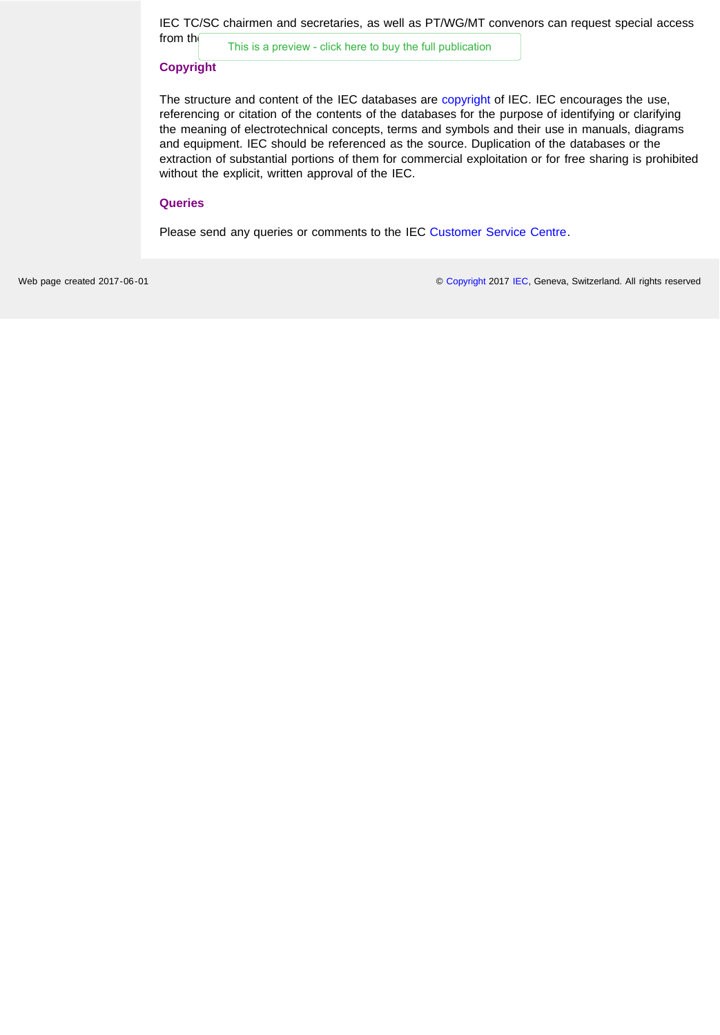IEC TC/SC chairmen and secretaries, as well as PT/WG/MT convenors can request special access

from the IEC [This is a preview - click here to buy the full publication](https://webstore.iec.ch/publication/2723&preview=1)

#### **Copyright**

The structure and content of the IEC databases are [copyright o](http://www.iec.ch/about/copyright/copyright-db_entry.htm)f IEC. IEC encourages the use, referencing or citation of the contents of the databases for the purpose of identifying or clarifying the meaning of electrotechnical concepts, terms and symbols and their use in manuals, diagrams and equipment. IEC should be referenced as the source. Duplication of the databases or the extraction of substantial portions of them for commercial exploitation or for free sharing is prohibited without the explicit, written approval of the IEC.

## **Queries**

Please send any queries or comments to the IEC [Customer Service Centre.](mailto:custserv@iec.ch)

Web page created 2017-06-01 **[Copyright](http://www.iec.ch/about/copyright/copyright-db_entry.htm) 2017 [IEC,](http://www.iec.ch/) Geneva, Switzerland. All rights reserved**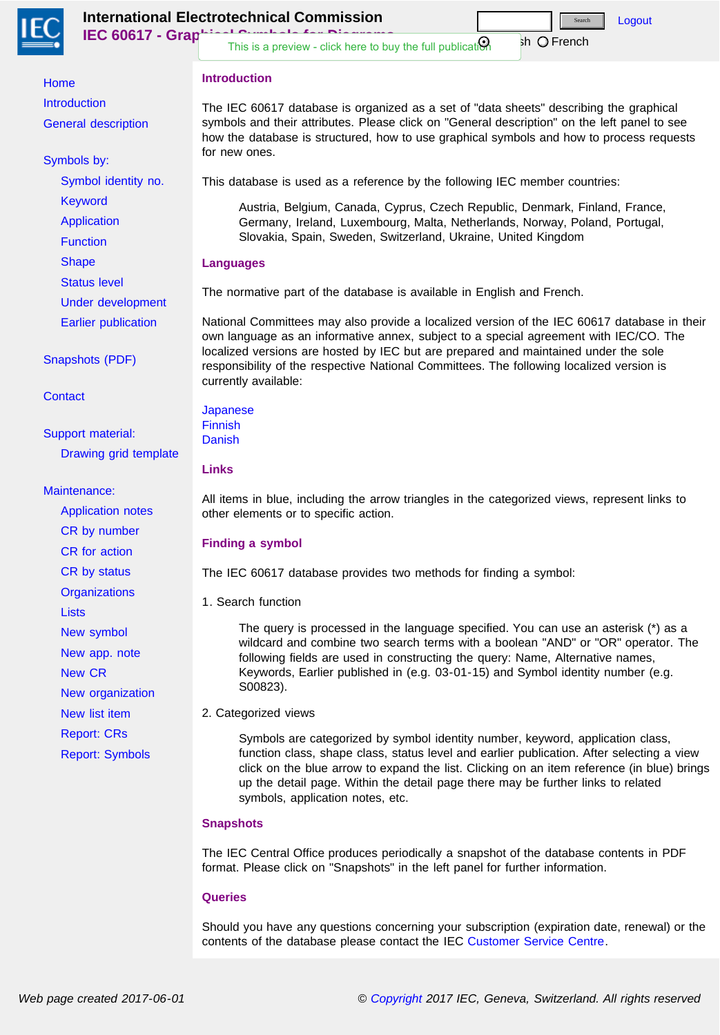<span id="page-2-0"></span>

**International Electrotechnical Commission IEC 60617 - Grap** [Logout](http://std.iec.ch/grasymb/grasymb.nsf/$enHome?logout&redirectto=/grasymb/grasymb.nsf/Welcome?OpenPage)  $sh$   $\bigcirc$  French [This is a preview - click here to buy the full publication](https://webstore.iec.ch/publication/2723&preview=1) Search

# **Introduction**

[Home](#page-0-0) **[Introduction](#page-2-0)** [General description](#page-3-0)

[Symbols by:](http://std.iec.ch/grasymb/grasymb.nsf/$enHome?OpenForm&Seq=1&ExpandOutline=1.11%2C1.12%2C1.12.2%2C1.14)

[Symbol identity no.](http://std.iec.ch/grasymb/grasymb.nsf/$enID?OpenForm) [Keyword](http://std.iec.ch/grasymb/grasymb.nsf/$enKW?OpenForm)

[Application](http://std.iec.ch/grasymb/grasymb.nsf/$enApplication?OpenForm)

**[Function](http://std.iec.ch/grasymb/grasymb.nsf/$enFunction?OpenForm)** 

**[Shape](http://std.iec.ch/grasymb/grasymb.nsf/$enShape?OpenForm)** 

[Status level](http://std.iec.ch/grasymb/grasymb.nsf/$enStatus?OpenForm)

[Under development](http://std.iec.ch/grasymb/grasymb.nsf/$enUnderDevelopment?OpenForm)

[Earlier publication](http://std.iec.ch/grasymb/grasymb.nsf/$enPubNo?OpenForm)

[Snapshots \(PDF\)](http://std.iec.ch/grasymb/grasymb.nsf/$Snapshots?OpenForm)

**[Contact](http://std.iec.ch/grasymb/grasymb.nsf/$Contact?OpenForm)** 

[Support material:](http://std.iec.ch/grasymb/grasymb.nsf/$enHome?OpenForm&Seq=1&ExpandOutline=1.5%2C1.12%2C1.12.2%2C1.14) [Drawing grid template](http://std.iec.ch/grasymb/grasymb.nsf/$enDrawingGridTemplate?OpenForm)

# [Maintenance:](http://std.iec.ch/grasymb/grasymb.nsf/$enHome?OpenForm&Seq=1&ExpandOutline=1.5%2C1.11%2C1.12.2%2C1.14)

[Application notes](http://std.iec.ch/grasymb/grasymb.nsf/$enAppNotes?OpenForm) [CR by number](http://std.iec.ch/grasymb/grasymb.nsf/$ChangeRequestsByNumber?OpenForm) [CR for action](http://std.iec.ch/grasymb/grasymb.nsf/$ChangeRequestsForAction?OpenForm) [CR by status](http://std.iec.ch/grasymb/grasymb.nsf/$ChangeRequestsByStatus?OpenForm) **[Organizations](http://std.iec.ch/grasymb/grasymb.nsf/$Organizations?OpenForm) [Lists](http://std.iec.ch/grasymb/grasymb.nsf/$Lists?OpenForm)** [New symbol](javascript:popup() [New app. note](javascript:popup() [New CR](javascript:popup() [New organization](javascript:popup() [New list item](javascript:popup() [Report: CRs](http://std.iec.ch/grasymb/grasymb.nsf/ReportCR?OpenView) [Report: Symbols](http://std.iec.ch/grasymb/grasymb.nsf/ReportSymbol?OpenView)

The IEC 60617 database is organized as a set of "data sheets" describing the graphical symbols and their attributes. Please click on "General description" on the left panel to see how the database is structured, how to use graphical symbols and how to process requests for new ones.

This database is used as a reference by the following IEC member countries:

Austria, Belgium, Canada, Cyprus, Czech Republic, Denmark, Finland, France, Germany, Ireland, Luxembourg, Malta, Netherlands, Norway, Poland, Portugal, Slovakia, Spain, Sweden, Switzerland, Ukraine, United Kingdom

# **Languages**

The normative part of the database is available in English and French.

National Committees may also provide a localized version of the IEC 60617 database in their own language as an informative annex, subject to a special agreement with IEC/CO. The localized versions are hosted by IEC but are prepared and maintained under the sole responsibility of the respective National Committees. The following localized version is currently available:

[Japanese](http://std.iec.ch/grasymb/grasymb.nsf/jpWelcome) [Finnish](http://std.iec.ch/grasymb/grasymb.nsf/fiWelcome) **[Danish](http://std.iec.ch/grasymb/grasymb.nsf/dkWelcome)** 

# **Links**

All items in blue, including the arrow triangles in the categorized views, represent links to other elements or to specific action.

# **Finding a symbol**

The IEC 60617 database provides two methods for finding a symbol:

1. Search function

The query is processed in the language specified. You can use an asterisk (\*) as a wildcard and combine two search terms with a boolean "AND" or "OR" operator. The following fields are used in constructing the query: Name, Alternative names, Keywords, Earlier published in (e.g. 03-01-15) and Symbol identity number (e.g. S00823).

2. Categorized views

Symbols are categorized by symbol identity number, keyword, application class, function class, shape class, status level and earlier publication. After selecting a view click on the blue arrow to expand the list. Clicking on an item reference (in blue) brings up the detail page. Within the detail page there may be further links to related symbols, application notes, etc.

# **Snapshots**

The IEC Central Office produces periodically a snapshot of the database contents in PDF format. Please click on "Snapshots" in the left panel for further information.

# **Queries**

Should you have any questions concerning your subscription (expiration date, renewal) or the contents of the database please contact the IEC [Customer Service Centre.](mailto:custserv@iec.ch)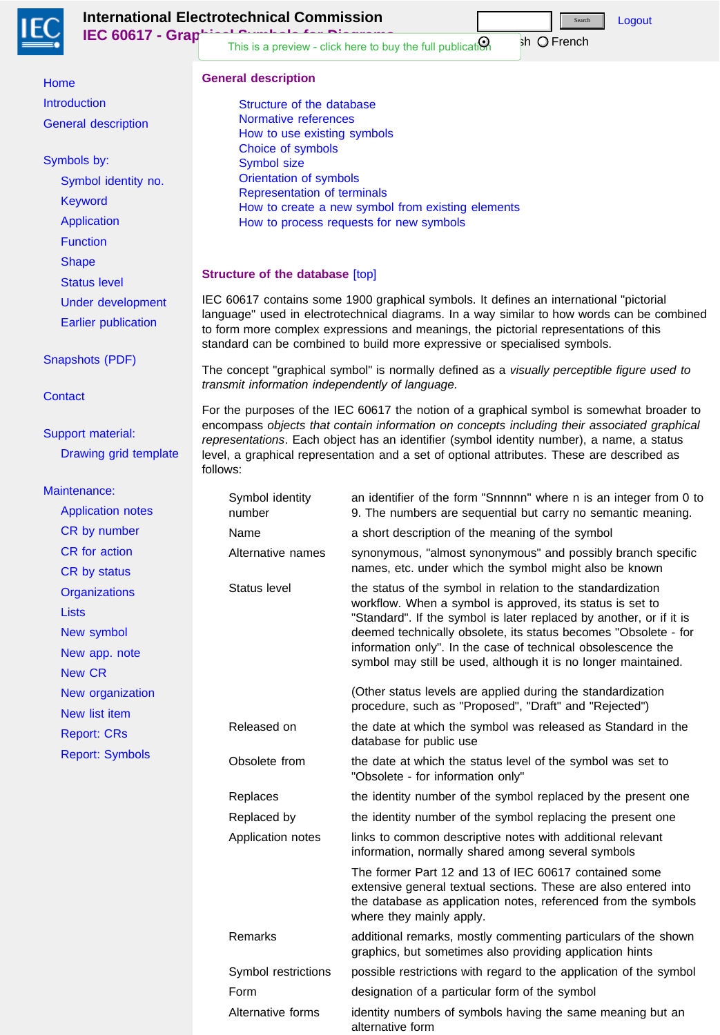<span id="page-3-0"></span>

**International Electrotechnical Commission IEC 60617 - Graphic**  $sh$   $\bigcirc$  French Search

> [Structure of the database](#page-3-1) [Normative references](#page-4-0) [How to use existing symbols](#page-4-1)

[Choice of symbols](#page-5-0) [Symbol size](#page-5-1)

**Structure of the database** [\[top\]](#page-7-0)

follows:

[Orientation of symbols](#page-6-0) [Representation of terminals](#page-6-1)

**General description**

[This is a preview - click here to buy the full publication](https://webstore.iec.ch/publication/2723&preview=1)

[How to create a new symbol from existing elements](#page-6-2)

IEC 60617 contains some 1900 graphical symbols. It defines an international "pictorial

to form more complex expressions and meanings, the pictorial representations of this

standard can be combined to build more expressive or specialised symbols.

language" used in electrotechnical diagrams. In a way similar to how words can be combined

The concept "graphical symbol" is normally defined as a *visually perceptible figure used to*

For the purposes of the IEC 60617 the notion of a graphical symbol is somewhat broader to encompass *objects that contain information on concepts including their associated graphical representations*. Each object has an identifier (symbol identity number), a name, a status level, a graphical representation and a set of optional attributes. These are described as

[How to process requests for new symbols](#page-6-3)

*transmit information independently of language.*

[Logout](http://std.iec.ch/grasymb/grasymb.nsf/$Description?logout&redirectto=/grasymb/grasymb.nsf/Welcome?OpenPage)

[Home](#page-0-0) [Introduction](#page-2-0) [General description](#page-3-0)

## [Symbols by:](http://std.iec.ch/grasymb/grasymb.nsf/$Description?OpenForm&Seq=1&ExpandOutline=1.11%2C1.12%2C1.12.2%2C1.14)

[Symbol identity no.](http://std.iec.ch/grasymb/grasymb.nsf/$enID?OpenForm) [Keyword](http://std.iec.ch/grasymb/grasymb.nsf/$enKW?OpenForm) [Application](http://std.iec.ch/grasymb/grasymb.nsf/$enApplication?OpenForm) **[Function](http://std.iec.ch/grasymb/grasymb.nsf/$enFunction?OpenForm) [Shape](http://std.iec.ch/grasymb/grasymb.nsf/$enShape?OpenForm)** 

<span id="page-3-1"></span>[Status level](http://std.iec.ch/grasymb/grasymb.nsf/$enStatus?OpenForm)

[Under development](http://std.iec.ch/grasymb/grasymb.nsf/$enUnderDevelopment?OpenForm)

[Earlier publication](http://std.iec.ch/grasymb/grasymb.nsf/$enPubNo?OpenForm)

[Snapshots \(PDF\)](http://std.iec.ch/grasymb/grasymb.nsf/$Snapshots?OpenForm)

**[Contact](http://std.iec.ch/grasymb/grasymb.nsf/$Contact?OpenForm)** 

[Support material:](http://std.iec.ch/grasymb/grasymb.nsf/$Description?OpenForm&Seq=1&ExpandOutline=1.5%2C1.12%2C1.12.2%2C1.14) [Drawing grid template](http://std.iec.ch/grasymb/grasymb.nsf/$enDrawingGridTemplate?OpenForm)

## [Maintenance:](http://std.iec.ch/grasymb/grasymb.nsf/$Description?OpenForm&Seq=1&ExpandOutline=1.5%2C1.11%2C1.12.2%2C1.14)

| intenance:                        | Symbol identity     | an identifier of the form "Snnnnn" where n is an integer from 0 to                                                                                                                                                     |
|-----------------------------------|---------------------|------------------------------------------------------------------------------------------------------------------------------------------------------------------------------------------------------------------------|
| <b>Application notes</b>          | number              | 9. The numbers are sequential but carry no semantic meaning.                                                                                                                                                           |
| CR by number                      | Name                | a short description of the meaning of the symbol                                                                                                                                                                       |
| <b>CR</b> for action              | Alternative names   | synonymous, "almost synonymous" and possibly branch specific                                                                                                                                                           |
| CR by status                      |                     | names, etc. under which the symbol might also be known                                                                                                                                                                 |
| <b>Organizations</b>              | Status level        | the status of the symbol in relation to the standardization<br>workflow. When a symbol is approved, its status is set to                                                                                               |
| <b>Lists</b>                      |                     | "Standard". If the symbol is later replaced by another, or if it is                                                                                                                                                    |
| New symbol                        |                     | deemed technically obsolete, its status becomes "Obsolete - for                                                                                                                                                        |
| New app. note                     |                     | information only". In the case of technical obsolescence the<br>symbol may still be used, although it is no longer maintained.                                                                                         |
| <b>New CR</b>                     |                     |                                                                                                                                                                                                                        |
| New organization                  |                     | (Other status levels are applied during the standardization                                                                                                                                                            |
| New list item                     |                     | procedure, such as "Proposed", "Draft" and "Rejected")                                                                                                                                                                 |
| Released on<br><b>Report: CRs</b> |                     | the date at which the symbol was released as Standard in the<br>database for public use                                                                                                                                |
| <b>Report: Symbols</b>            | Obsolete from       | the date at which the status level of the symbol was set to<br>"Obsolete - for information only"                                                                                                                       |
|                                   | Replaces            | the identity number of the symbol replaced by the present one                                                                                                                                                          |
|                                   | Replaced by         | the identity number of the symbol replacing the present one                                                                                                                                                            |
|                                   | Application notes   | links to common descriptive notes with additional relevant<br>information, normally shared among several symbols                                                                                                       |
|                                   |                     | The former Part 12 and 13 of IEC 60617 contained some<br>extensive general textual sections. These are also entered into<br>the database as application notes, referenced from the symbols<br>where they mainly apply. |
|                                   | Remarks             | additional remarks, mostly commenting particulars of the shown<br>graphics, but sometimes also providing application hints                                                                                             |
|                                   | Symbol restrictions | possible restrictions with regard to the application of the symbol                                                                                                                                                     |
|                                   | Form                | designation of a particular form of the symbol                                                                                                                                                                         |
|                                   | Alternative forms   | identity numbers of symbols having the same meaning but an<br>alternative form                                                                                                                                         |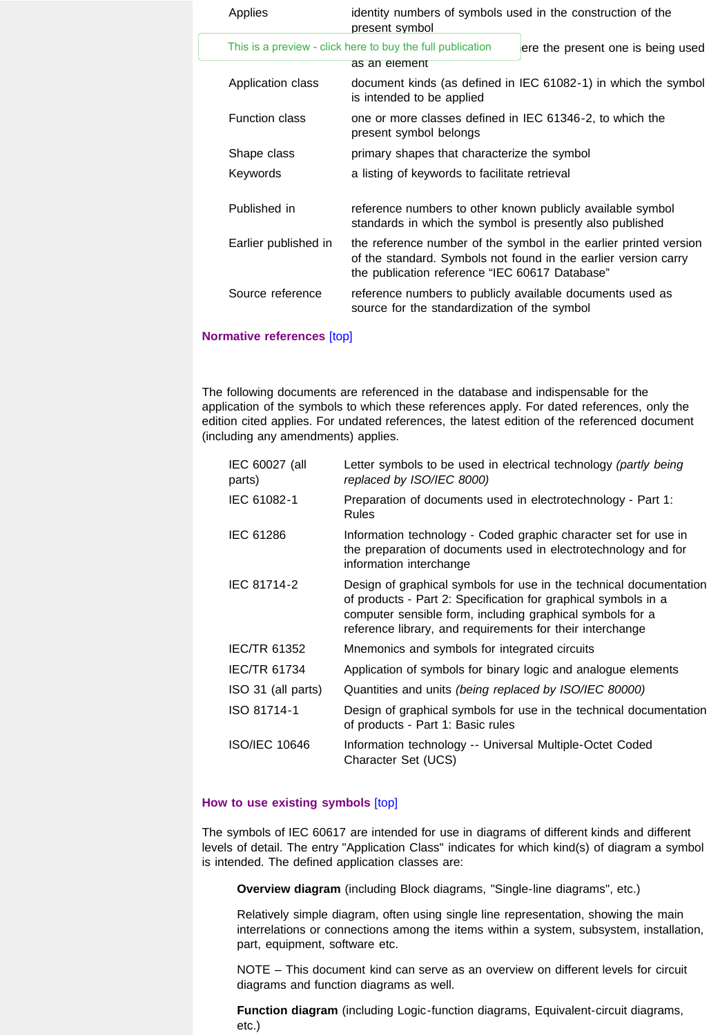| Applies               | identity numbers of symbols used in the construction of the<br>present symbol                                           |                                                                                                                                      |
|-----------------------|-------------------------------------------------------------------------------------------------------------------------|--------------------------------------------------------------------------------------------------------------------------------------|
|                       | This is a preview - click here to buy the full publication                                                              | ere the present one is being used                                                                                                    |
|                       | as an element                                                                                                           |                                                                                                                                      |
| Application class     | is intended to be applied                                                                                               | document kinds (as defined in IEC 61082-1) in which the symbol                                                                       |
| <b>Function class</b> | one or more classes defined in IEC 61346-2, to which the<br>present symbol belongs                                      |                                                                                                                                      |
| Shape class           | primary shapes that characterize the symbol                                                                             |                                                                                                                                      |
| Keywords              | a listing of keywords to facilitate retrieval                                                                           |                                                                                                                                      |
| Published in          | reference numbers to other known publicly available symbol<br>standards in which the symbol is presently also published |                                                                                                                                      |
| Earlier published in  | the publication reference "IEC 60617 Database"                                                                          | the reference number of the symbol in the earlier printed version<br>of the standard. Symbols not found in the earlier version carry |
| Source reference      | reference numbers to publicly available documents used as<br>source for the standardization of the symbol               |                                                                                                                                      |

## <span id="page-4-0"></span>**Normative references** [\[top\]](#page-7-0)

The following documents are referenced in the database and indispensable for the application of the symbols to which these references apply. For dated references, only the edition cited applies. For undated references, the latest edition of the referenced document (including any amendments) applies.

| IEC 60027 (all<br>parts) | Letter symbols to be used in electrical technology (partly being<br>replaced by ISO/IEC 8000)                                                                                                                                                                  |
|--------------------------|----------------------------------------------------------------------------------------------------------------------------------------------------------------------------------------------------------------------------------------------------------------|
| IEC 61082-1              | Preparation of documents used in electrotechnology - Part 1:<br><b>Rules</b>                                                                                                                                                                                   |
| <b>IEC 61286</b>         | Information technology - Coded graphic character set for use in<br>the preparation of documents used in electrotechnology and for<br>information interchange                                                                                                   |
| IEC 81714-2              | Design of graphical symbols for use in the technical documentation<br>of products - Part 2: Specification for graphical symbols in a<br>computer sensible form, including graphical symbols for a<br>reference library, and requirements for their interchange |
| <b>IEC/TR 61352</b>      | Mnemonics and symbols for integrated circuits                                                                                                                                                                                                                  |
| <b>IEC/TR 61734</b>      | Application of symbols for binary logic and analogue elements                                                                                                                                                                                                  |
| ISO 31 (all parts)       | Quantities and units (being replaced by ISO/IEC 80000)                                                                                                                                                                                                         |
| ISO 81714-1              | Design of graphical symbols for use in the technical documentation<br>of products - Part 1: Basic rules                                                                                                                                                        |
| <b>ISO/IEC 10646</b>     | Information technology -- Universal Multiple-Octet Coded<br>Character Set (UCS)                                                                                                                                                                                |

## <span id="page-4-1"></span>**How to use existing symbols** [\[top\]](#page-7-0)

The symbols of IEC 60617 are intended for use in diagrams of different kinds and different levels of detail. The entry "Application Class" indicates for which kind(s) of diagram a symbol is intended. The defined application classes are:

**Overview diagram** (including Block diagrams, "Single-line diagrams", etc.)

Relatively simple diagram, often using single line representation, showing the main interrelations or connections among the items within a system, subsystem, installation, part, equipment, software etc.

NOTE – This document kind can serve as an overview on different levels for circuit diagrams and function diagrams as well.

**Function diagram** (including Logic-function diagrams, Equivalent-circuit diagrams, etc.)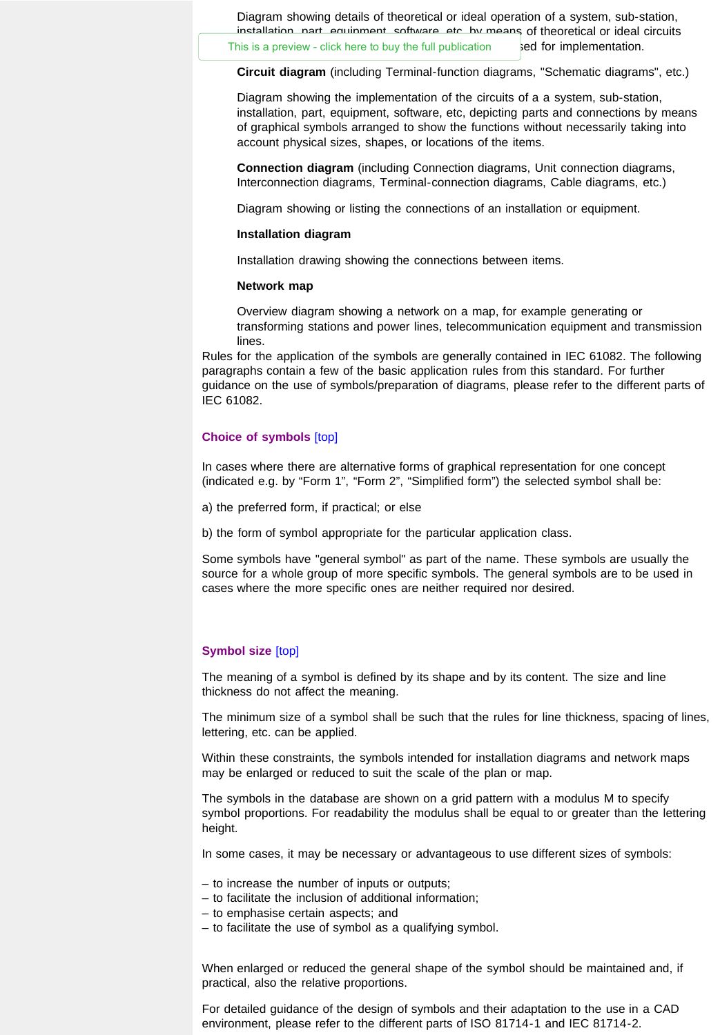Diagram showing details of theoretical or ideal operation of a system, sub-station, installation, part, equipment, software, etc, by means of theoretical or ideal circuits This is a preview - click here to buy the full publication  $\qquad \qquad$  ed for implementation.

**Circuit diagram** (including Terminal-function diagrams, "Schematic diagrams", etc.)

Diagram showing the implementation of the circuits of a a system, sub-station, installation, part, equipment, software, etc, depicting parts and connections by means of graphical symbols arranged to show the functions without necessarily taking into account physical sizes, shapes, or locations of the items.

**Connection diagram** (including Connection diagrams, Unit connection diagrams, Interconnection diagrams, Terminal-connection diagrams, Cable diagrams, etc.)

Diagram showing or listing the connections of an installation or equipment.

## **Installation diagram**

Installation drawing showing the connections between items.

#### **Network map**

Overview diagram showing a network on a map, for example generating or transforming stations and power lines, telecommunication equipment and transmission lines.

Rules for the application of the symbols are generally contained in IEC 61082. The following paragraphs contain a few of the basic application rules from this standard. For further guidance on the use of symbols/preparation of diagrams, please refer to the different parts of IEC 61082.

## <span id="page-5-0"></span>**Choice of symbols** [\[top\]](#page-7-0)

In cases where there are alternative forms of graphical representation for one concept (indicated e.g. by "Form 1", "Form 2", "Simplified form") the selected symbol shall be:

a) the preferred form, if practical; or else

b) the form of symbol appropriate for the particular application class.

Some symbols have "general symbol" as part of the name. These symbols are usually the source for a whole group of more specific symbols. The general symbols are to be used in cases where the more specific ones are neither required nor desired.

#### <span id="page-5-1"></span>**Symbol size** [\[top\]](#page-7-0)

The meaning of a symbol is defined by its shape and by its content. The size and line thickness do not affect the meaning.

The minimum size of a symbol shall be such that the rules for line thickness, spacing of lines, lettering, etc. can be applied.

Within these constraints, the symbols intended for installation diagrams and network maps may be enlarged or reduced to suit the scale of the plan or map.

The symbols in the database are shown on a grid pattern with a modulus M to specify symbol proportions. For readability the modulus shall be equal to or greater than the lettering height.

In some cases, it may be necessary or advantageous to use different sizes of symbols:

- to increase the number of inputs or outputs;
- to facilitate the inclusion of additional information;
- to emphasise certain aspects; and
- to facilitate the use of symbol as a qualifying symbol.

When enlarged or reduced the general shape of the symbol should be maintained and, if practical, also the relative proportions.

For detailed guidance of the design of symbols and their adaptation to the use in a CAD environment, please refer to the different parts of ISO 81714-1 and IEC 81714-2.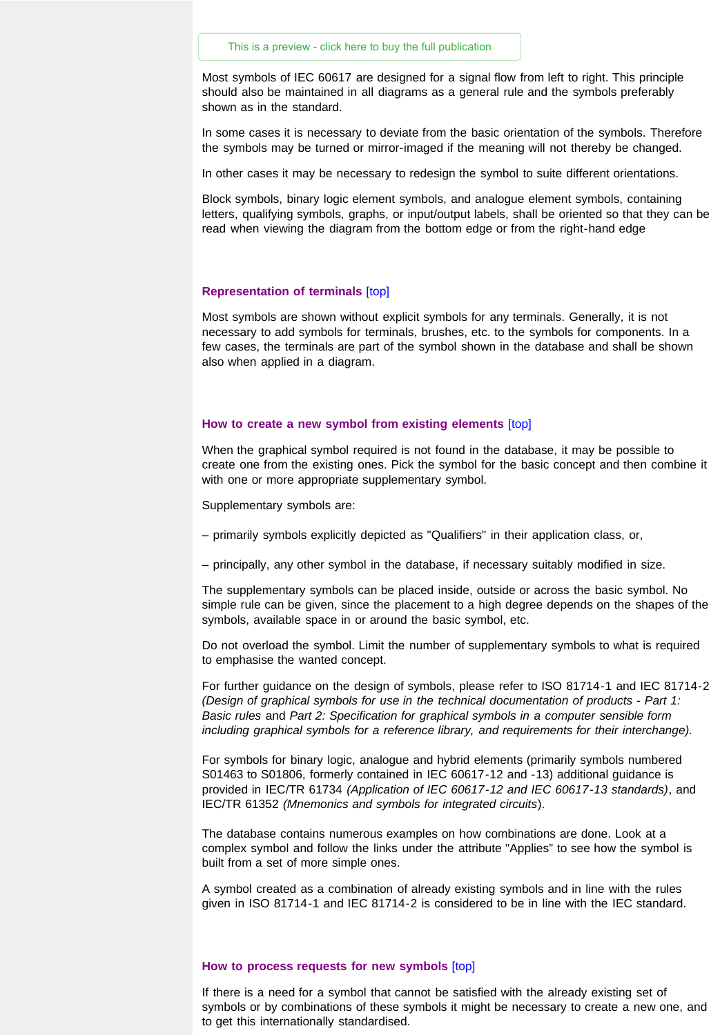<span id="page-6-0"></span>Most symbols of IEC 60617 are designed for a signal flow from left to right. This principle should also be maintained in all diagrams as a general rule and the symbols preferably shown as in the standard.

In some cases it is necessary to deviate from the basic orientation of the symbols. Therefore the symbols may be turned or mirror-imaged if the meaning will not thereby be changed.

In other cases it may be necessary to redesign the symbol to suite different orientations.

Block symbols, binary logic element symbols, and analogue element symbols, containing letters, qualifying symbols, graphs, or input/output labels, shall be oriented so that they can be read when viewing the diagram from the bottom edge or from the right-hand edge

#### <span id="page-6-1"></span>**Representation of terminals** [\[top\]](#page-7-0)

Most symbols are shown without explicit symbols for any terminals. Generally, it is not necessary to add symbols for terminals, brushes, etc. to the symbols for components. In a few cases, the terminals are part of the symbol shown in the database and shall be shown also when applied in a diagram.

#### <span id="page-6-2"></span>**How to create a new symbol from existing elements** [\[top\]](#page-7-0)

When the graphical symbol required is not found in the database, it may be possible to create one from the existing ones. Pick the symbol for the basic concept and then combine it with one or more appropriate supplementary symbol.

Supplementary symbols are:

- primarily symbols explicitly depicted as "Qualifiers" in their application class, or,
- principally, any other symbol in the database, if necessary suitably modified in size.

The supplementary symbols can be placed inside, outside or across the basic symbol. No simple rule can be given, since the placement to a high degree depends on the shapes of the symbols, available space in or around the basic symbol, etc.

Do not overload the symbol. Limit the number of supplementary symbols to what is required to emphasise the wanted concept.

For further guidance on the design of symbols, please refer to ISO 81714-1 and IEC 81714-2 *(Design of graphical symbols for use in the technical documentation of products - Part 1: Basic rules* and *Part 2: Specification for graphical symbols in a computer sensible form including graphical symbols for a reference library, and requirements for their interchange).*

For symbols for binary logic, analogue and hybrid elements (primarily symbols numbered S01463 to S01806, formerly contained in IEC 60617-12 and -13) additional guidance is provided in IEC/TR 61734 *(Application of IEC 60617-12 and IEC 60617-13 standards)*, and IEC/TR 61352 *(Mnemonics and symbols for integrated circuits*).

The database contains numerous examples on how combinations are done. Look at a complex symbol and follow the links under the attribute "Applies" to see how the symbol is built from a set of more simple ones.

A symbol created as a combination of already existing symbols and in line with the rules given in ISO 81714-1 and IEC 81714-2 is considered to be in line with the IEC standard.

#### <span id="page-6-3"></span>**How to process requests for new symbols** [\[top\]](#page-7-0)

If there is a need for a symbol that cannot be satisfied with the already existing set of symbols or by combinations of these symbols it might be necessary to create a new one, and to get this internationally standardised.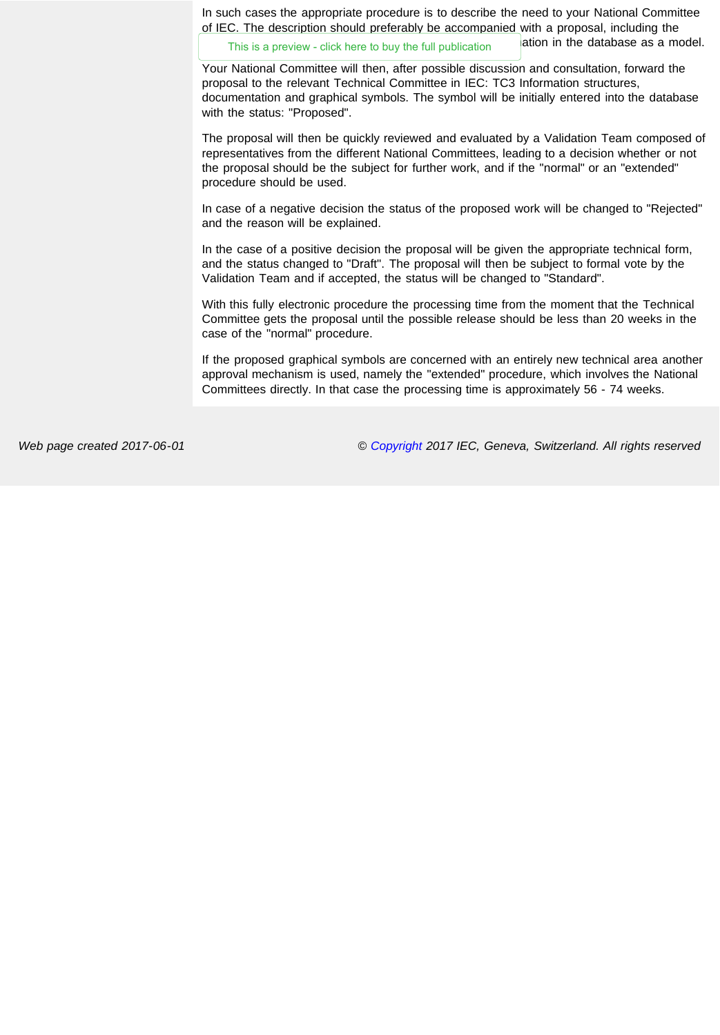In such cases the appropriate procedure is to describe the need to your National Committee of IEC. The description should preferably be accompanied with a proposal, including the

This is a preview - click here to buy the full publication **ation in the database as a model.** 

Your National Committee will then, after possible discussion and consultation, forward the proposal to the relevant Technical Committee in IEC: TC3 Information structures, documentation and graphical symbols. The symbol will be initially entered into the database with the status: "Proposed".

The proposal will then be quickly reviewed and evaluated by a Validation Team composed of representatives from the different National Committees, leading to a decision whether or not the proposal should be the subject for further work, and if the "normal" or an "extended" procedure should be used.

In case of a negative decision the status of the proposed work will be changed to "Rejected" and the reason will be explained.

In the case of a positive decision the proposal will be given the appropriate technical form, and the status changed to "Draft". The proposal will then be subject to formal vote by the Validation Team and if accepted, the status will be changed to "Standard".

With this fully electronic procedure the processing time from the moment that the Technical Committee gets the proposal until the possible release should be less than 20 weeks in the case of the "normal" procedure.

If the proposed graphical symbols are concerned with an entirely new technical area another approval mechanism is used, namely the "extended" procedure, which involves the National Committees directly. In that case the processing time is approximately 56 - 74 weeks.

<span id="page-7-0"></span>

*Web page created 2017-06-01 © [Copyright](http://www.iec.ch/about/copyright/copyright-db_entry.htm) 2017 IEC, Geneva, Switzerland. All rights reserved*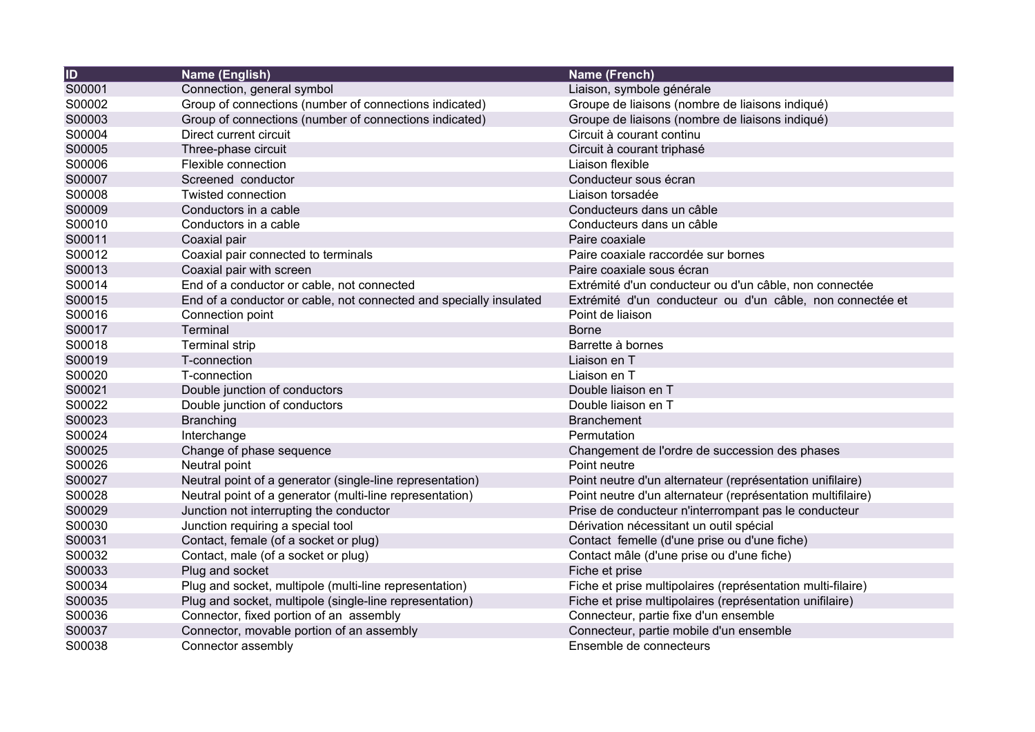| $\overline{1}$ | Name (English)                                                     | Name (French)                                               |
|----------------|--------------------------------------------------------------------|-------------------------------------------------------------|
| S00001         | Connection, general symbol                                         | Liaison, symbole générale                                   |
| S00002         | Group of connections (number of connections indicated)             | Groupe de liaisons (nombre de liaisons indiqué)             |
| S00003         | Group of connections (number of connections indicated)             | Groupe de liaisons (nombre de liaisons indiqué)             |
| S00004         | Direct current circuit                                             | Circuit à courant continu                                   |
| S00005         | Three-phase circuit                                                | Circuit à courant triphasé                                  |
| S00006         | Flexible connection                                                | Liaison flexible                                            |
| S00007         | Screened conductor                                                 | Conducteur sous écran                                       |
| S00008         | Twisted connection                                                 | Liaison torsadée                                            |
| S00009         | Conductors in a cable                                              | Conducteurs dans un câble                                   |
| S00010         | Conductors in a cable                                              | Conducteurs dans un câble                                   |
| S00011         | Coaxial pair                                                       | Paire coaxiale                                              |
| S00012         | Coaxial pair connected to terminals                                | Paire coaxiale raccordée sur bornes                         |
| S00013         | Coaxial pair with screen                                           | Paire coaxiale sous écran                                   |
| S00014         | End of a conductor or cable, not connected                         | Extrémité d'un conducteur ou d'un câble, non connectée      |
| S00015         | End of a conductor or cable, not connected and specially insulated | Extrémité d'un conducteur ou d'un câble, non connectée et   |
| S00016         | Connection point                                                   | Point de liaison                                            |
| S00017         | Terminal                                                           | <b>Borne</b>                                                |
| S00018         | <b>Terminal strip</b>                                              | Barrette à bornes                                           |
| S00019         | T-connection                                                       | Liaison en T                                                |
| S00020         | T-connection                                                       | Liaison en T                                                |
| S00021         | Double junction of conductors                                      | Double liaison en T                                         |
| S00022         | Double junction of conductors                                      | Double liaison en T                                         |
| S00023         | <b>Branching</b>                                                   | <b>Branchement</b>                                          |
| S00024         | Interchange                                                        | Permutation                                                 |
| S00025         | Change of phase sequence                                           | Changement de l'ordre de succession des phases              |
| S00026         | Neutral point                                                      | Point neutre                                                |
| S00027         | Neutral point of a generator (single-line representation)          | Point neutre d'un alternateur (représentation unifilaire)   |
| S00028         | Neutral point of a generator (multi-line representation)           | Point neutre d'un alternateur (représentation multifilaire) |
| S00029         | Junction not interrupting the conductor                            | Prise de conducteur n'interrompant pas le conducteur        |
| S00030         | Junction requiring a special tool                                  | Dérivation nécessitant un outil spécial                     |
| S00031         | Contact, female (of a socket or plug)                              | Contact femelle (d'une prise ou d'une fiche)                |
| S00032         | Contact, male (of a socket or plug)                                | Contact mâle (d'une prise ou d'une fiche)                   |
| S00033         | Plug and socket                                                    | Fiche et prise                                              |
| S00034         | Plug and socket, multipole (multi-line representation)             | Fiche et prise multipolaires (représentation multi-filaire) |
| S00035         | Plug and socket, multipole (single-line representation)            | Fiche et prise multipolaires (représentation unifilaire)    |
| S00036         | Connector, fixed portion of an assembly                            | Connecteur, partie fixe d'un ensemble                       |
| S00037         | Connector, movable portion of an assembly                          | Connecteur, partie mobile d'un ensemble                     |
| S00038         | Connector assembly                                                 | Ensemble de connecteurs                                     |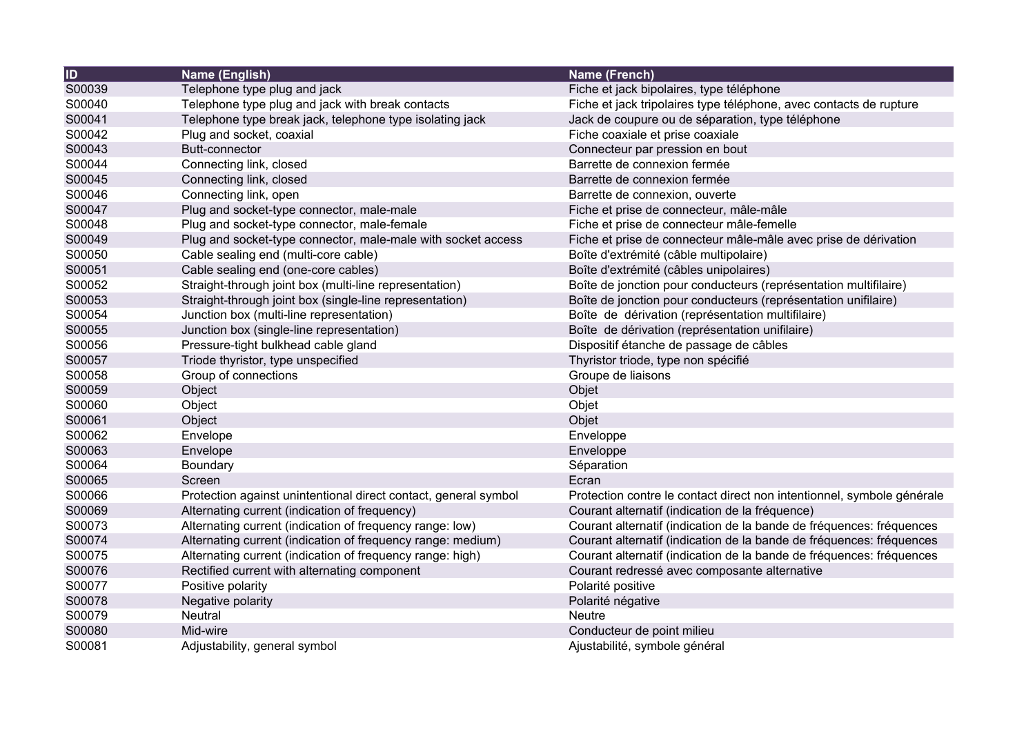| $\overline{ID}$ | Name (English)                                                  | <b>Name (French)</b>                                                   |
|-----------------|-----------------------------------------------------------------|------------------------------------------------------------------------|
| S00039          | Telephone type plug and jack                                    | Fiche et jack bipolaires, type téléphone                               |
| S00040          | Telephone type plug and jack with break contacts                | Fiche et jack tripolaires type téléphone, avec contacts de rupture     |
| S00041          | Telephone type break jack, telephone type isolating jack        | Jack de coupure ou de séparation, type téléphone                       |
| S00042          | Plug and socket, coaxial                                        | Fiche coaxiale et prise coaxiale                                       |
| S00043          | <b>Butt-connector</b>                                           | Connecteur par pression en bout                                        |
| S00044          | Connecting link, closed                                         | Barrette de connexion fermée                                           |
| S00045          | Connecting link, closed                                         | Barrette de connexion fermée                                           |
| S00046          | Connecting link, open                                           | Barrette de connexion, ouverte                                         |
| S00047          | Plug and socket-type connector, male-male                       | Fiche et prise de connecteur, mâle-mâle                                |
| S00048          | Plug and socket-type connector, male-female                     | Fiche et prise de connecteur mâle-femelle                              |
| S00049          | Plug and socket-type connector, male-male with socket access    | Fiche et prise de connecteur mâle-mâle avec prise de dérivation        |
| S00050          | Cable sealing end (multi-core cable)                            | Boîte d'extrémité (câble multipolaire)                                 |
| S00051          | Cable sealing end (one-core cables)                             | Boîte d'extrémité (câbles unipolaires)                                 |
| S00052          | Straight-through joint box (multi-line representation)          | Boîte de jonction pour conducteurs (représentation multifilaire)       |
| S00053          | Straight-through joint box (single-line representation)         | Boîte de jonction pour conducteurs (représentation unifilaire)         |
| S00054          | Junction box (multi-line representation)                        | Boîte de dérivation (représentation multifilaire)                      |
| S00055          | Junction box (single-line representation)                       | Boîte de dérivation (représentation unifilaire)                        |
| S00056          | Pressure-tight bulkhead cable gland                             | Dispositif étanche de passage de câbles                                |
| S00057          | Triode thyristor, type unspecified                              | Thyristor triode, type non spécifié                                    |
| S00058          | Group of connections                                            | Groupe de liaisons                                                     |
| S00059          | Object                                                          | Objet                                                                  |
| S00060          | Object                                                          | Objet                                                                  |
| S00061          | Object                                                          | Objet                                                                  |
| S00062          | Envelope                                                        | Enveloppe                                                              |
| S00063          | Envelope                                                        | Enveloppe                                                              |
| S00064          | Boundary                                                        | Séparation                                                             |
| S00065          | Screen                                                          | Ecran                                                                  |
| S00066          | Protection against unintentional direct contact, general symbol | Protection contre le contact direct non intentionnel, symbole générale |
| S00069          | Alternating current (indication of frequency)                   | Courant alternatif (indication de la fréquence)                        |
| S00073          | Alternating current (indication of frequency range: low)        | Courant alternatif (indication de la bande de fréquences: fréquences   |
| S00074          | Alternating current (indication of frequency range: medium)     | Courant alternatif (indication de la bande de fréquences: fréquences   |
| S00075          | Alternating current (indication of frequency range: high)       | Courant alternatif (indication de la bande de fréquences: fréquences   |
| S00076          | Rectified current with alternating component                    | Courant redressé avec composante alternative                           |
| S00077          | Positive polarity                                               | Polarité positive                                                      |
| S00078          | Negative polarity                                               | Polarité négative                                                      |
| S00079          | Neutral                                                         | Neutre                                                                 |
| S00080          | Mid-wire                                                        | Conducteur de point milieu                                             |
| S00081          | Adjustability, general symbol                                   | Ajustabilité, symbole général                                          |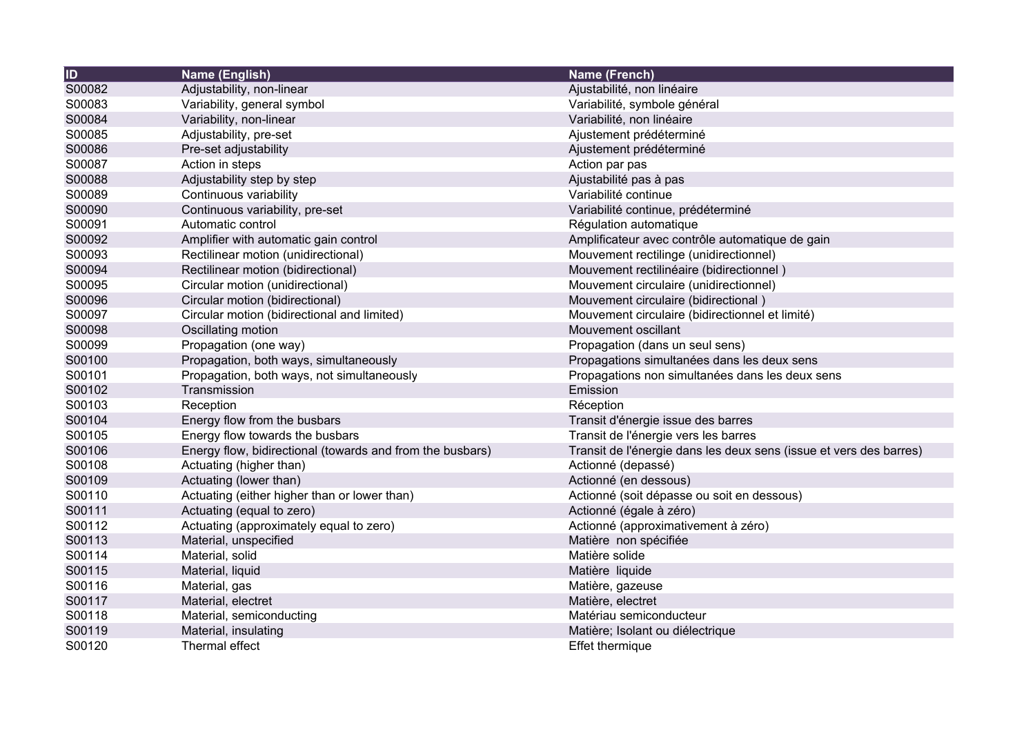| <b>ID</b> | Name (English)                                            | Name (French)                                                      |
|-----------|-----------------------------------------------------------|--------------------------------------------------------------------|
| S00082    | Adjustability, non-linear                                 | Ajustabilité, non linéaire                                         |
| S00083    | Variability, general symbol                               | Variabilité, symbole général                                       |
| S00084    | Variability, non-linear                                   | Variabilité, non linéaire                                          |
| S00085    | Adjustability, pre-set                                    | Ajustement prédéterminé                                            |
| S00086    | Pre-set adjustability                                     | Ajustement prédéterminé                                            |
| S00087    | Action in steps                                           | Action par pas                                                     |
| S00088    | Adjustability step by step                                | Ajustabilité pas à pas                                             |
| S00089    | Continuous variability                                    | Variabilité continue                                               |
| S00090    | Continuous variability, pre-set                           | Variabilité continue, prédéterminé                                 |
| S00091    | Automatic control                                         | Régulation automatique                                             |
| S00092    | Amplifier with automatic gain control                     | Amplificateur avec contrôle automatique de gain                    |
| S00093    | Rectilinear motion (unidirectional)                       | Mouvement rectilinge (unidirectionnel)                             |
| S00094    | Rectilinear motion (bidirectional)                        | Mouvement rectilinéaire (bidirectionnel)                           |
| S00095    | Circular motion (unidirectional)                          | Mouvement circulaire (unidirectionnel)                             |
| S00096    | Circular motion (bidirectional)                           | Mouvement circulaire (bidirectional)                               |
| S00097    | Circular motion (bidirectional and limited)               | Mouvement circulaire (bidirectionnel et limité)                    |
| S00098    | Oscillating motion                                        | Mouvement oscillant                                                |
| S00099    | Propagation (one way)                                     | Propagation (dans un seul sens)                                    |
| S00100    | Propagation, both ways, simultaneously                    | Propagations simultanées dans les deux sens                        |
| S00101    | Propagation, both ways, not simultaneously                | Propagations non simultanées dans les deux sens                    |
| S00102    | Transmission                                              | Emission                                                           |
| S00103    | Reception                                                 | Réception                                                          |
| S00104    | Energy flow from the busbars                              | Transit d'énergie issue des barres                                 |
| S00105    | Energy flow towards the busbars                           | Transit de l'énergie vers les barres                               |
| S00106    | Energy flow, bidirectional (towards and from the busbars) | Transit de l'énergie dans les deux sens (issue et vers des barres) |
| S00108    | Actuating (higher than)                                   | Actionné (depassé)                                                 |
| S00109    | Actuating (lower than)                                    | Actionné (en dessous)                                              |
| S00110    | Actuating (either higher than or lower than)              | Actionné (soit dépasse ou soit en dessous)                         |
| S00111    | Actuating (equal to zero)                                 | Actionné (égale à zéro)                                            |
| S00112    | Actuating (approximately equal to zero)                   | Actionné (approximativement à zéro)                                |
| S00113    | Material, unspecified                                     | Matière non spécifiée                                              |
| S00114    | Material, solid                                           | Matière solide                                                     |
| S00115    | Material, liquid                                          | Matière liquide                                                    |
| S00116    | Material, gas                                             | Matière, gazeuse                                                   |
| S00117    | Material, electret                                        | Matière, electret                                                  |
| S00118    | Material, semiconducting                                  | Matériau semiconducteur                                            |
| S00119    | Material, insulating                                      | Matière; Isolant ou diélectrique                                   |
| S00120    | Thermal effect                                            | <b>Effet thermique</b>                                             |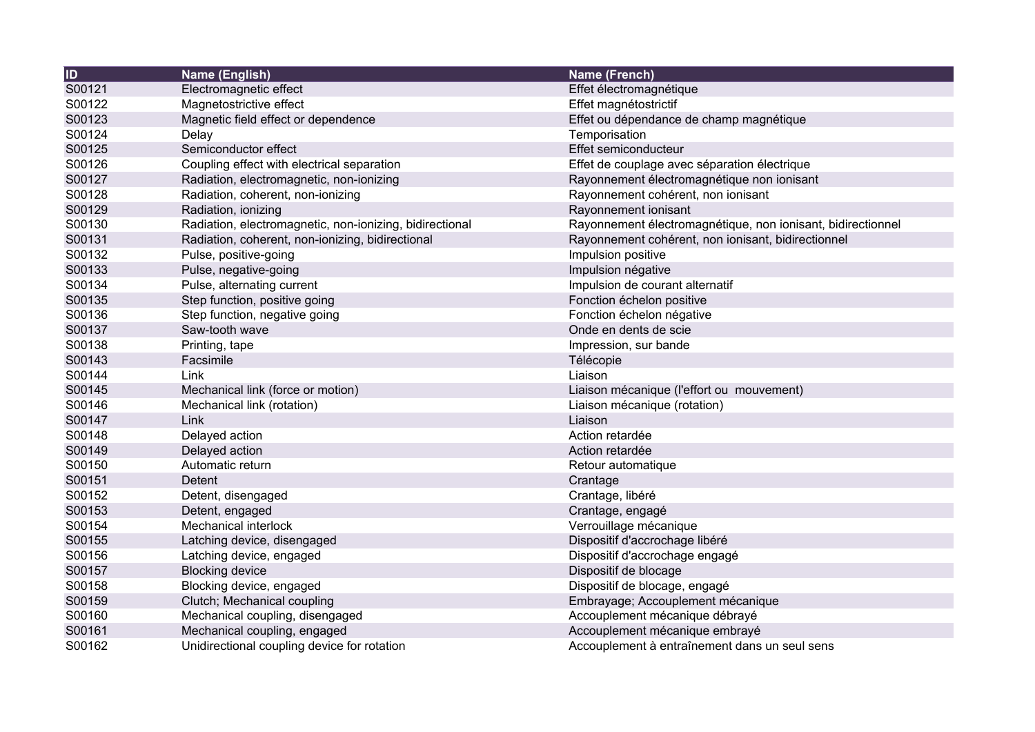| ID     | <b>Name (English)</b>                                   | Name (French)                                               |
|--------|---------------------------------------------------------|-------------------------------------------------------------|
| S00121 | Electromagnetic effect                                  | Effet électromagnétique                                     |
| S00122 | Magnetostrictive effect                                 | Effet magnétostrictif                                       |
| S00123 | Magnetic field effect or dependence                     | Effet ou dépendance de champ magnétique                     |
| S00124 | Delay                                                   | Temporisation                                               |
| S00125 | Semiconductor effect                                    | Effet semiconducteur                                        |
| S00126 | Coupling effect with electrical separation              | Effet de couplage avec séparation électrique                |
| S00127 | Radiation, electromagnetic, non-ionizing                | Rayonnement électromagnétique non ionisant                  |
| S00128 | Radiation, coherent, non-ionizing                       | Rayonnement cohérent, non ionisant                          |
| S00129 | Radiation, ionizing                                     | Rayonnement ionisant                                        |
| S00130 | Radiation, electromagnetic, non-ionizing, bidirectional | Rayonnement électromagnétique, non ionisant, bidirectionnel |
| S00131 | Radiation, coherent, non-ionizing, bidirectional        | Rayonnement cohérent, non ionisant, bidirectionnel          |
| S00132 | Pulse, positive-going                                   | Impulsion positive                                          |
| S00133 | Pulse, negative-going                                   | Impulsion négative                                          |
| S00134 | Pulse, alternating current                              | Impulsion de courant alternatif                             |
| S00135 | Step function, positive going                           | Fonction échelon positive                                   |
| S00136 | Step function, negative going                           | Fonction échelon négative                                   |
| S00137 | Saw-tooth wave                                          | Onde en dents de scie                                       |
| S00138 | Printing, tape                                          | Impression, sur bande                                       |
| S00143 | Facsimile                                               | Télécopie                                                   |
| S00144 | Link                                                    | Liaison                                                     |
| S00145 | Mechanical link (force or motion)                       | Liaison mécanique (l'effort ou mouvement)                   |
| S00146 | Mechanical link (rotation)                              | Liaison mécanique (rotation)                                |
| S00147 | Link                                                    | Liaison                                                     |
| S00148 | Delayed action                                          | Action retardée                                             |
| S00149 | Delayed action                                          | Action retardée                                             |
| S00150 | Automatic return                                        | Retour automatique                                          |
| S00151 | Detent                                                  | Crantage                                                    |
| S00152 | Detent, disengaged                                      | Crantage, libéré                                            |
| S00153 | Detent, engaged                                         | Crantage, engagé                                            |
| S00154 | Mechanical interlock                                    | Verrouillage mécanique                                      |
| S00155 | Latching device, disengaged                             | Dispositif d'accrochage libéré                              |
| S00156 | Latching device, engaged                                | Dispositif d'accrochage engagé                              |
| S00157 | <b>Blocking device</b>                                  | Dispositif de blocage                                       |
| S00158 | Blocking device, engaged                                | Dispositif de blocage, engagé                               |
| S00159 | Clutch; Mechanical coupling                             | Embrayage; Accouplement mécanique                           |
| S00160 | Mechanical coupling, disengaged                         | Accouplement mécanique débrayé                              |
| S00161 | Mechanical coupling, engaged                            | Accouplement mécanique embrayé                              |
| S00162 | Unidirectional coupling device for rotation             | Accouplement à entraînement dans un seul sens               |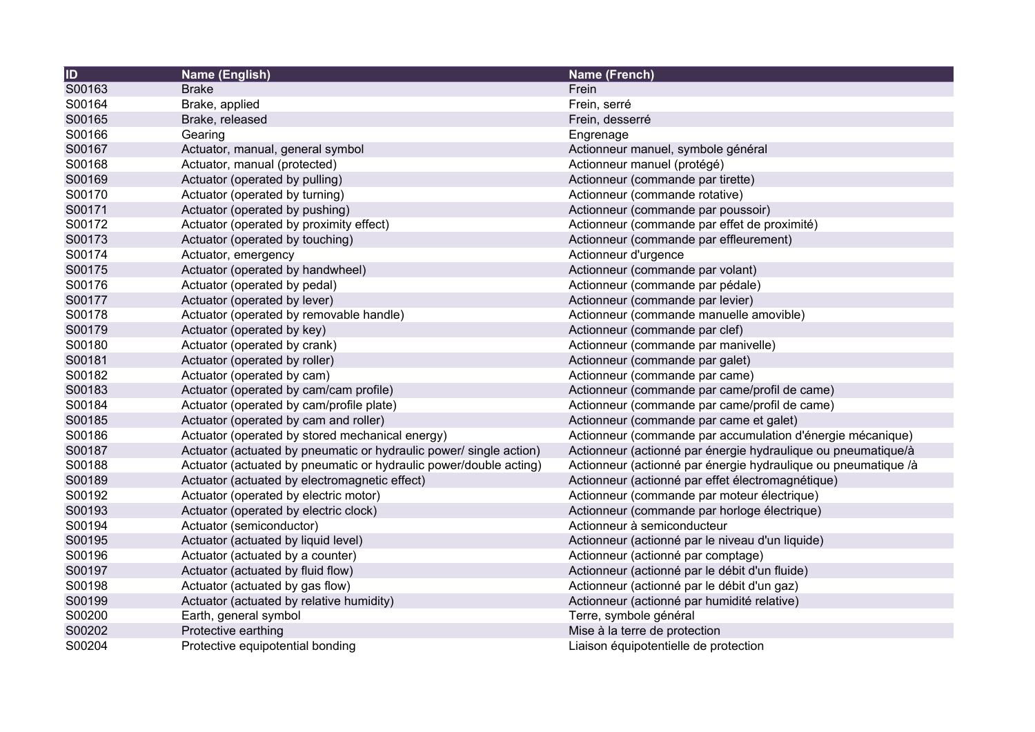| $\overline{1}$ | <b>Name (English)</b>                                              | <b>Name (French)</b>                                           |
|----------------|--------------------------------------------------------------------|----------------------------------------------------------------|
| S00163         | <b>Brake</b>                                                       | Frein                                                          |
| S00164         | Brake, applied                                                     | Frein, serré                                                   |
| S00165         | Brake, released                                                    | Frein, desserré                                                |
| S00166         | Gearing                                                            | Engrenage                                                      |
| S00167         | Actuator, manual, general symbol                                   | Actionneur manuel, symbole général                             |
| S00168         | Actuator, manual (protected)                                       | Actionneur manuel (protégé)                                    |
| S00169         | Actuator (operated by pulling)                                     | Actionneur (commande par tirette)                              |
| S00170         | Actuator (operated by turning)                                     | Actionneur (commande rotative)                                 |
| S00171         | Actuator (operated by pushing)                                     | Actionneur (commande par poussoir)                             |
| S00172         | Actuator (operated by proximity effect)                            | Actionneur (commande par effet de proximité)                   |
| S00173         | Actuator (operated by touching)                                    | Actionneur (commande par effleurement)                         |
| S00174         | Actuator, emergency                                                | Actionneur d'urgence                                           |
| S00175         | Actuator (operated by handwheel)                                   | Actionneur (commande par volant)                               |
| S00176         | Actuator (operated by pedal)                                       | Actionneur (commande par pédale)                               |
| S00177         | Actuator (operated by lever)                                       | Actionneur (commande par levier)                               |
| S00178         | Actuator (operated by removable handle)                            | Actionneur (commande manuelle amovible)                        |
| S00179         | Actuator (operated by key)                                         | Actionneur (commande par clef)                                 |
| S00180         | Actuator (operated by crank)                                       | Actionneur (commande par manivelle)                            |
| S00181         | Actuator (operated by roller)                                      | Actionneur (commande par galet)                                |
| S00182         | Actuator (operated by cam)                                         | Actionneur (commande par came)                                 |
| S00183         | Actuator (operated by cam/cam profile)                             | Actionneur (commande par came/profil de came)                  |
| S00184         | Actuator (operated by cam/profile plate)                           | Actionneur (commande par came/profil de came)                  |
| S00185         | Actuator (operated by cam and roller)                              | Actionneur (commande par came et galet)                        |
| S00186         | Actuator (operated by stored mechanical energy)                    | Actionneur (commande par accumulation d'énergie mécanique)     |
| S00187         | Actuator (actuated by pneumatic or hydraulic power/ single action) | Actionneur (actionné par énergie hydraulique ou pneumatique/à  |
| S00188         | Actuator (actuated by pneumatic or hydraulic power/double acting)  | Actionneur (actionné par énergie hydraulique ou pneumatique /à |
| S00189         | Actuator (actuated by electromagnetic effect)                      | Actionneur (actionné par effet électromagnétique)              |
| S00192         | Actuator (operated by electric motor)                              | Actionneur (commande par moteur électrique)                    |
| S00193         | Actuator (operated by electric clock)                              | Actionneur (commande par horloge électrique)                   |
| S00194         | Actuator (semiconductor)                                           | Actionneur à semiconducteur                                    |
| S00195         | Actuator (actuated by liquid level)                                | Actionneur (actionné par le niveau d'un liquide)               |
| S00196         | Actuator (actuated by a counter)                                   | Actionneur (actionné par comptage)                             |
| S00197         | Actuator (actuated by fluid flow)                                  | Actionneur (actionné par le débit d'un fluide)                 |
| S00198         | Actuator (actuated by gas flow)                                    | Actionneur (actionné par le débit d'un gaz)                    |
| S00199         | Actuator (actuated by relative humidity)                           | Actionneur (actionné par humidité relative)                    |
| S00200         | Earth, general symbol                                              | Terre, symbole général                                         |
| S00202         | Protective earthing                                                | Mise à la terre de protection                                  |
| S00204         | Protective equipotential bonding                                   | Liaison équipotentielle de protection                          |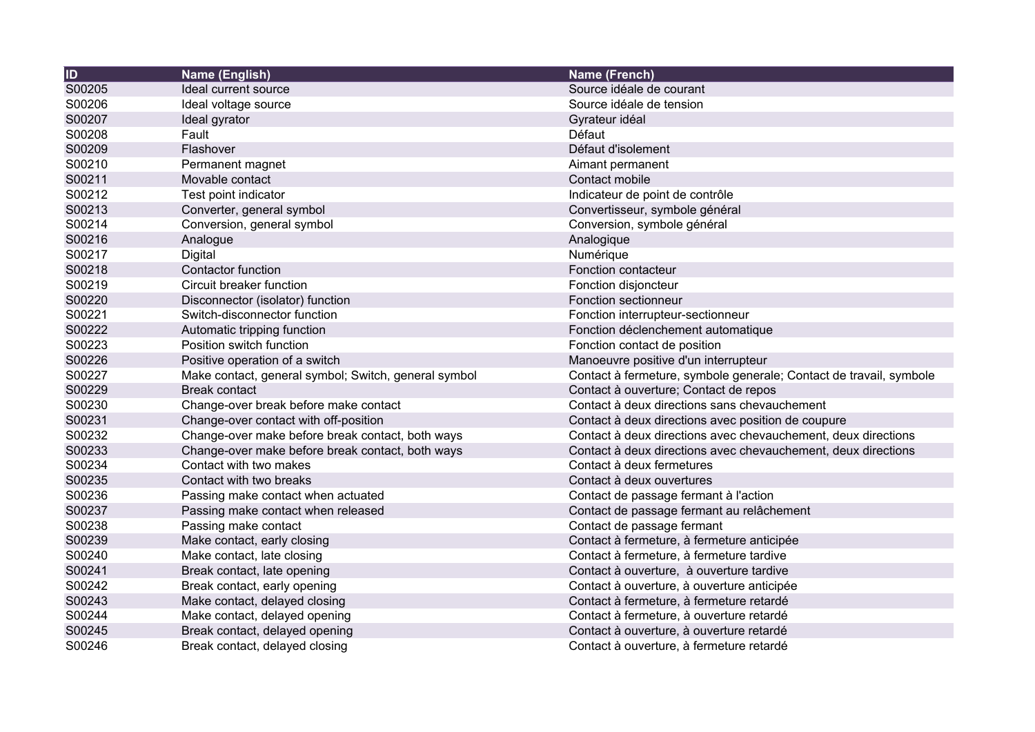| <b>ID</b> | Name (English)                                       | Name (French)                                                      |
|-----------|------------------------------------------------------|--------------------------------------------------------------------|
| S00205    | Ideal current source                                 | Source idéale de courant                                           |
| S00206    | Ideal voltage source                                 | Source idéale de tension                                           |
| S00207    | Ideal gyrator                                        | Gyrateur idéal                                                     |
| S00208    | Fault                                                | Défaut                                                             |
| S00209    | Flashover                                            | Défaut d'isolement                                                 |
| S00210    | Permanent magnet                                     | Aimant permanent                                                   |
| S00211    | Movable contact                                      | Contact mobile                                                     |
| S00212    | Test point indicator                                 | Indicateur de point de contrôle                                    |
| S00213    | Converter, general symbol                            | Convertisseur, symbole général                                     |
| S00214    | Conversion, general symbol                           | Conversion, symbole général                                        |
| S00216    | Analogue                                             | Analogique                                                         |
| S00217    | Digital                                              | Numérique                                                          |
| S00218    | Contactor function                                   | Fonction contacteur                                                |
| S00219    | Circuit breaker function                             | Fonction disjoncteur                                               |
| S00220    | Disconnector (isolator) function                     | Fonction sectionneur                                               |
| S00221    | Switch-disconnector function                         | Fonction interrupteur-sectionneur                                  |
| S00222    | Automatic tripping function                          | Fonction déclenchement automatique                                 |
| S00223    | Position switch function                             | Fonction contact de position                                       |
| S00226    | Positive operation of a switch                       | Manoeuvre positive d'un interrupteur                               |
| S00227    | Make contact, general symbol; Switch, general symbol | Contact à fermeture, symbole generale; Contact de travail, symbole |
| S00229    | <b>Break contact</b>                                 | Contact à ouverture; Contact de repos                              |
| S00230    | Change-over break before make contact                | Contact à deux directions sans chevauchement                       |
| S00231    | Change-over contact with off-position                | Contact à deux directions avec position de coupure                 |
| S00232    | Change-over make before break contact, both ways     | Contact à deux directions avec chevauchement, deux directions      |
| S00233    | Change-over make before break contact, both ways     | Contact à deux directions avec chevauchement, deux directions      |
| S00234    | Contact with two makes                               | Contact à deux fermetures                                          |
| S00235    | Contact with two breaks                              | Contact à deux ouvertures                                          |
| S00236    | Passing make contact when actuated                   | Contact de passage fermant à l'action                              |
| S00237    | Passing make contact when released                   | Contact de passage fermant au relâchement                          |
| S00238    | Passing make contact                                 | Contact de passage fermant                                         |
| S00239    | Make contact, early closing                          | Contact à fermeture, à fermeture anticipée                         |
| S00240    | Make contact, late closing                           | Contact à fermeture, à fermeture tardive                           |
| S00241    | Break contact, late opening                          | Contact à ouverture, à ouverture tardive                           |
| S00242    | Break contact, early opening                         | Contact à ouverture, à ouverture anticipée                         |
| S00243    | Make contact, delayed closing                        | Contact à fermeture, à fermeture retardé                           |
| S00244    | Make contact, delayed opening                        | Contact à fermeture, à ouverture retardé                           |
| S00245    | Break contact, delayed opening                       | Contact à ouverture, à ouverture retardé                           |
| S00246    | Break contact, delayed closing                       | Contact à ouverture, à fermeture retardé                           |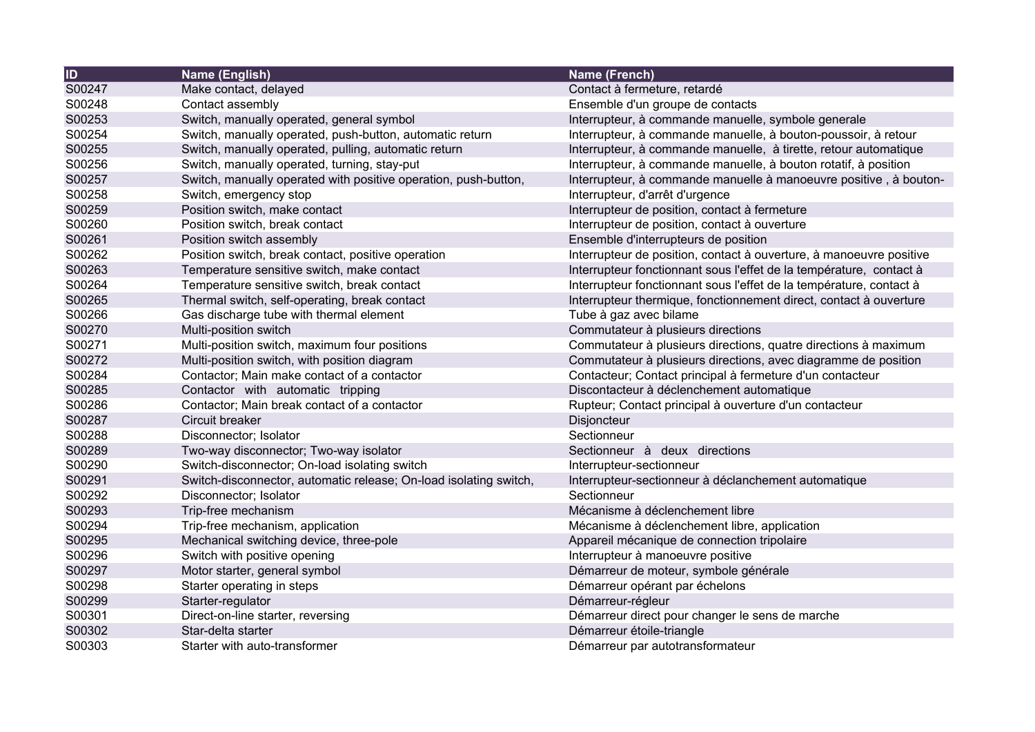| ID     | Name (English)                                                    | Name (French)                                                       |
|--------|-------------------------------------------------------------------|---------------------------------------------------------------------|
| S00247 | Make contact, delayed                                             | Contact à fermeture, retardé                                        |
| S00248 | Contact assembly                                                  | Ensemble d'un groupe de contacts                                    |
| S00253 | Switch, manually operated, general symbol                         | Interrupteur, à commande manuelle, symbole generale                 |
| S00254 | Switch, manually operated, push-button, automatic return          | Interrupteur, à commande manuelle, à bouton-poussoir, à retour      |
| S00255 | Switch, manually operated, pulling, automatic return              | Interrupteur, à commande manuelle, à tirette, retour automatique    |
| S00256 | Switch, manually operated, turning, stay-put                      | Interrupteur, à commande manuelle, à bouton rotatif, à position     |
| S00257 | Switch, manually operated with positive operation, push-button,   | Interrupteur, à commande manuelle à manoeuvre positive, à bouton-   |
| S00258 | Switch, emergency stop                                            | Interrupteur, d'arrêt d'urgence                                     |
| S00259 | Position switch, make contact                                     | Interrupteur de position, contact à fermeture                       |
| S00260 | Position switch, break contact                                    | Interrupteur de position, contact à ouverture                       |
| S00261 | Position switch assembly                                          | Ensemble d'interrupteurs de position                                |
| S00262 | Position switch, break contact, positive operation                | Interrupteur de position, contact à ouverture, à manoeuvre positive |
| S00263 | Temperature sensitive switch, make contact                        | Interrupteur fonctionnant sous l'effet de la température, contact à |
| S00264 | Temperature sensitive switch, break contact                       | Interrupteur fonctionnant sous l'effet de la température, contact à |
| S00265 | Thermal switch, self-operating, break contact                     | Interrupteur thermique, fonctionnement direct, contact à ouverture  |
| S00266 | Gas discharge tube with thermal element                           | Tube à gaz avec bilame                                              |
| S00270 | Multi-position switch                                             | Commutateur à plusieurs directions                                  |
| S00271 | Multi-position switch, maximum four positions                     | Commutateur à plusieurs directions, quatre directions à maximum     |
| S00272 | Multi-position switch, with position diagram                      | Commutateur à plusieurs directions, avec diagramme de position      |
| S00284 | Contactor; Main make contact of a contactor                       | Contacteur; Contact principal à fermeture d'un contacteur           |
| S00285 | Contactor with automatic tripping                                 | Discontacteur à déclenchement automatique                           |
| S00286 | Contactor; Main break contact of a contactor                      | Rupteur; Contact principal à ouverture d'un contacteur              |
| S00287 | Circuit breaker                                                   | Disjoncteur                                                         |
| S00288 | Disconnector; Isolator                                            | Sectionneur                                                         |
| S00289 | Two-way disconnector; Two-way isolator                            | Sectionneur à deux directions                                       |
| S00290 | Switch-disconnector; On-load isolating switch                     | Interrupteur-sectionneur                                            |
| S00291 | Switch-disconnector, automatic release; On-load isolating switch, | Interrupteur-sectionneur à déclanchement automatique                |
| S00292 | Disconnector; Isolator                                            | Sectionneur                                                         |
| S00293 | Trip-free mechanism                                               | Mécanisme à déclenchement libre                                     |
| S00294 | Trip-free mechanism, application                                  | Mécanisme à déclenchement libre, application                        |
| S00295 | Mechanical switching device, three-pole                           | Appareil mécanique de connection tripolaire                         |
| S00296 | Switch with positive opening                                      | Interrupteur à manoeuvre positive                                   |
| S00297 | Motor starter, general symbol                                     | Démarreur de moteur, symbole générale                               |
| S00298 | Starter operating in steps                                        | Démarreur opérant par échelons                                      |
| S00299 | Starter-regulator                                                 | Démarreur-régleur                                                   |
| S00301 | Direct-on-line starter, reversing                                 | Démarreur direct pour changer le sens de marche                     |
| S00302 | Star-delta starter                                                | Démarreur étoile-triangle                                           |
| S00303 | Starter with auto-transformer                                     | Démarreur par autotransformateur                                    |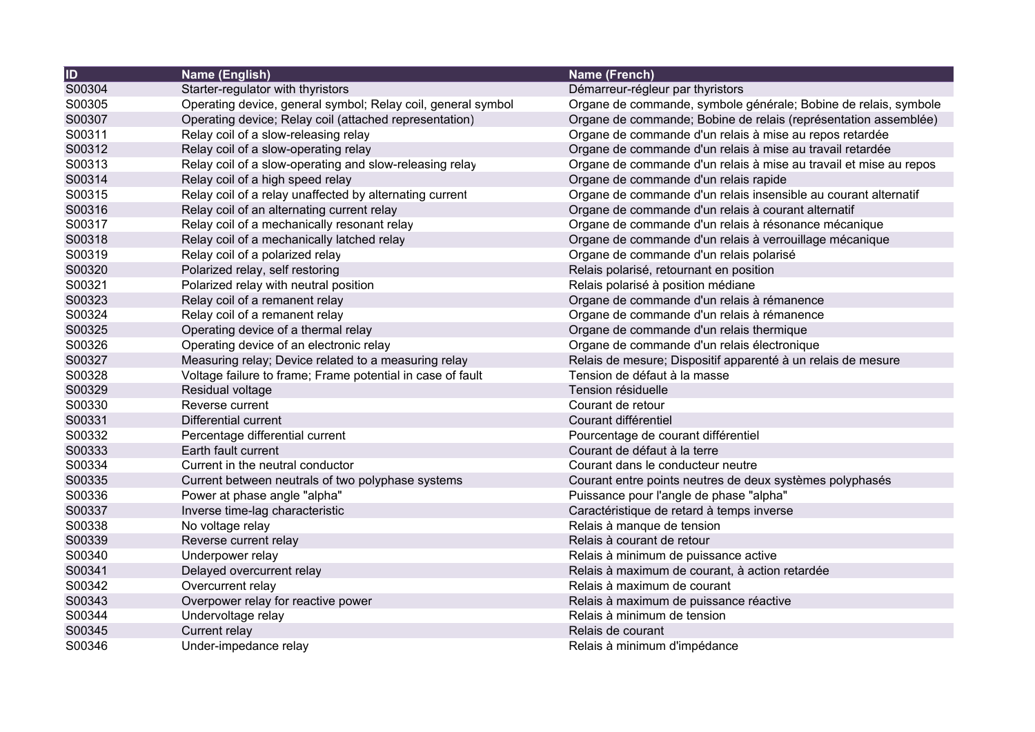| $\overline{1}$ | Name (English)                                               | Name (French)                                                     |
|----------------|--------------------------------------------------------------|-------------------------------------------------------------------|
| S00304         | Starter-regulator with thyristors                            | Démarreur-régleur par thyristors                                  |
| S00305         | Operating device, general symbol; Relay coil, general symbol | Organe de commande, symbole générale; Bobine de relais, symbole   |
| S00307         | Operating device; Relay coil (attached representation)       | Organe de commande; Bobine de relais (représentation assemblée)   |
| S00311         | Relay coil of a slow-releasing relay                         | Organe de commande d'un relais à mise au repos retardée           |
| S00312         | Relay coil of a slow-operating relay                         | Organe de commande d'un relais à mise au travail retardée         |
| S00313         | Relay coil of a slow-operating and slow-releasing relay      | Organe de commande d'un relais à mise au travail et mise au repos |
| S00314         | Relay coil of a high speed relay                             | Organe de commande d'un relais rapide                             |
| S00315         | Relay coil of a relay unaffected by alternating current      | Organe de commande d'un relais insensible au courant alternatif   |
| S00316         | Relay coil of an alternating current relay                   | Organe de commande d'un relais à courant alternatif               |
| S00317         | Relay coil of a mechanically resonant relay                  | Organe de commande d'un relais à résonance mécanique              |
| S00318         | Relay coil of a mechanically latched relay                   | Organe de commande d'un relais à verrouillage mécanique           |
| S00319         | Relay coil of a polarized relay                              | Organe de commande d'un relais polarisé                           |
| S00320         | Polarized relay, self restoring                              | Relais polarisé, retournant en position                           |
| S00321         | Polarized relay with neutral position                        | Relais polarisé à position médiane                                |
| S00323         | Relay coil of a remanent relay                               | Organe de commande d'un relais à rémanence                        |
| S00324         | Relay coil of a remanent relay                               | Organe de commande d'un relais à rémanence                        |
| S00325         | Operating device of a thermal relay                          | Organe de commande d'un relais thermique                          |
| S00326         | Operating device of an electronic relay                      | Organe de commande d'un relais électronique                       |
| S00327         | Measuring relay; Device related to a measuring relay         | Relais de mesure; Dispositif apparenté à un relais de mesure      |
| S00328         | Voltage failure to frame; Frame potential in case of fault   | Tension de défaut à la masse                                      |
| S00329         | Residual voltage                                             | Tension résiduelle                                                |
| S00330         | Reverse current                                              | Courant de retour                                                 |
| S00331         | <b>Differential current</b>                                  | Courant différentiel                                              |
| S00332         | Percentage differential current                              | Pourcentage de courant différentiel                               |
| S00333         | Earth fault current                                          | Courant de défaut à la terre                                      |
| S00334         | Current in the neutral conductor                             | Courant dans le conducteur neutre                                 |
| S00335         | Current between neutrals of two polyphase systems            | Courant entre points neutres de deux systèmes polyphasés          |
| S00336         | Power at phase angle "alpha"                                 | Puissance pour l'angle de phase "alpha"                           |
| S00337         | Inverse time-lag characteristic                              | Caractéristique de retard à temps inverse                         |
| S00338         | No voltage relay                                             | Relais à manque de tension                                        |
| S00339         | Reverse current relay                                        | Relais à courant de retour                                        |
| S00340         | Underpower relay                                             | Relais à minimum de puissance active                              |
| S00341         | Delayed overcurrent relay                                    | Relais à maximum de courant, à action retardée                    |
| S00342         | Overcurrent relay                                            | Relais à maximum de courant                                       |
| S00343         | Overpower relay for reactive power                           | Relais à maximum de puissance réactive                            |
| S00344         | Undervoltage relay                                           | Relais à minimum de tension                                       |
| S00345         | Current relay                                                | Relais de courant                                                 |
| S00346         | Under-impedance relay                                        | Relais à minimum d'impédance                                      |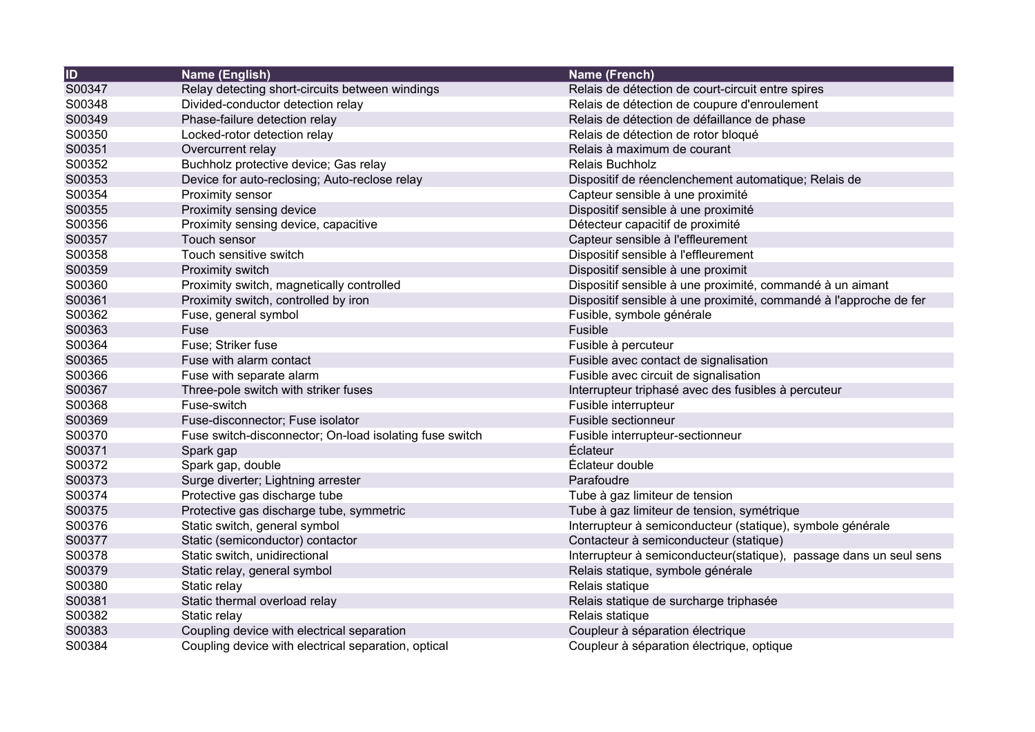| $\overline{1}$ | Name (English)                                          | Name (French)                                                      |
|----------------|---------------------------------------------------------|--------------------------------------------------------------------|
| S00347         | Relay detecting short-circuits between windings         | Relais de détection de court-circuit entre spires                  |
| S00348         | Divided-conductor detection relay                       | Relais de détection de coupure d'enroulement                       |
| S00349         | Phase-failure detection relay                           | Relais de détection de défaillance de phase                        |
| S00350         | Locked-rotor detection relay                            | Relais de détection de rotor bloqué                                |
| S00351         | Overcurrent relay                                       | Relais à maximum de courant                                        |
| S00352         | Buchholz protective device; Gas relay                   | <b>Relais Buchholz</b>                                             |
| S00353         | Device for auto-reclosing; Auto-reclose relay           | Dispositif de réenclenchement automatique; Relais de               |
| S00354         | Proximity sensor                                        | Capteur sensible à une proximité                                   |
| S00355         | Proximity sensing device                                | Dispositif sensible à une proximité                                |
| S00356         | Proximity sensing device, capacitive                    | Détecteur capacitif de proximité                                   |
| S00357         | Touch sensor                                            | Capteur sensible à l'effleurement                                  |
| S00358         | Touch sensitive switch                                  | Dispositif sensible à l'effleurement                               |
| S00359         | Proximity switch                                        | Dispositif sensible à une proximit                                 |
| S00360         | Proximity switch, magnetically controlled               | Dispositif sensible à une proximité, commandé à un aimant          |
| S00361         | Proximity switch, controlled by iron                    | Dispositif sensible à une proximité, commandé à l'approche de fer  |
| S00362         | Fuse, general symbol                                    | Fusible, symbole générale                                          |
| S00363         | Fuse                                                    | Fusible                                                            |
| S00364         | Fuse; Striker fuse                                      | Fusible à percuteur                                                |
| S00365         | Fuse with alarm contact                                 | Fusible avec contact de signalisation                              |
| S00366         | Fuse with separate alarm                                | Fusible avec circuit de signalisation                              |
| S00367         | Three-pole switch with striker fuses                    | Interrupteur triphasé avec des fusibles à percuteur                |
| S00368         | Fuse-switch                                             | Fusible interrupteur                                               |
| S00369         | Fuse-disconnector; Fuse isolator                        | Fusible sectionneur                                                |
| S00370         | Fuse switch-disconnector; On-load isolating fuse switch | Fusible interrupteur-sectionneur                                   |
| S00371         | Spark gap                                               | <b>Éclateur</b>                                                    |
| S00372         | Spark gap, double                                       | Éclateur double                                                    |
| S00373         | Surge diverter; Lightning arrester                      | Parafoudre                                                         |
| S00374         | Protective gas discharge tube                           | Tube à gaz limiteur de tension                                     |
| S00375         | Protective gas discharge tube, symmetric                | Tube à gaz limiteur de tension, symétrique                         |
| S00376         | Static switch, general symbol                           | Interrupteur à semiconducteur (statique), symbole générale         |
| S00377         | Static (semiconductor) contactor                        | Contacteur à semiconducteur (statique)                             |
| S00378         | Static switch, unidirectional                           | Interrupteur à semiconducteur(statique), passage dans un seul sens |
| S00379         | Static relay, general symbol                            | Relais statique, symbole générale                                  |
| S00380         | Static relay                                            | Relais statique                                                    |
| S00381         | Static thermal overload relay                           | Relais statique de surcharge triphasée                             |
| S00382         | Static relay                                            | Relais statique                                                    |
| S00383         | Coupling device with electrical separation              | Coupleur à séparation électrique                                   |
| S00384         | Coupling device with electrical separation, optical     | Coupleur à séparation électrique, optique                          |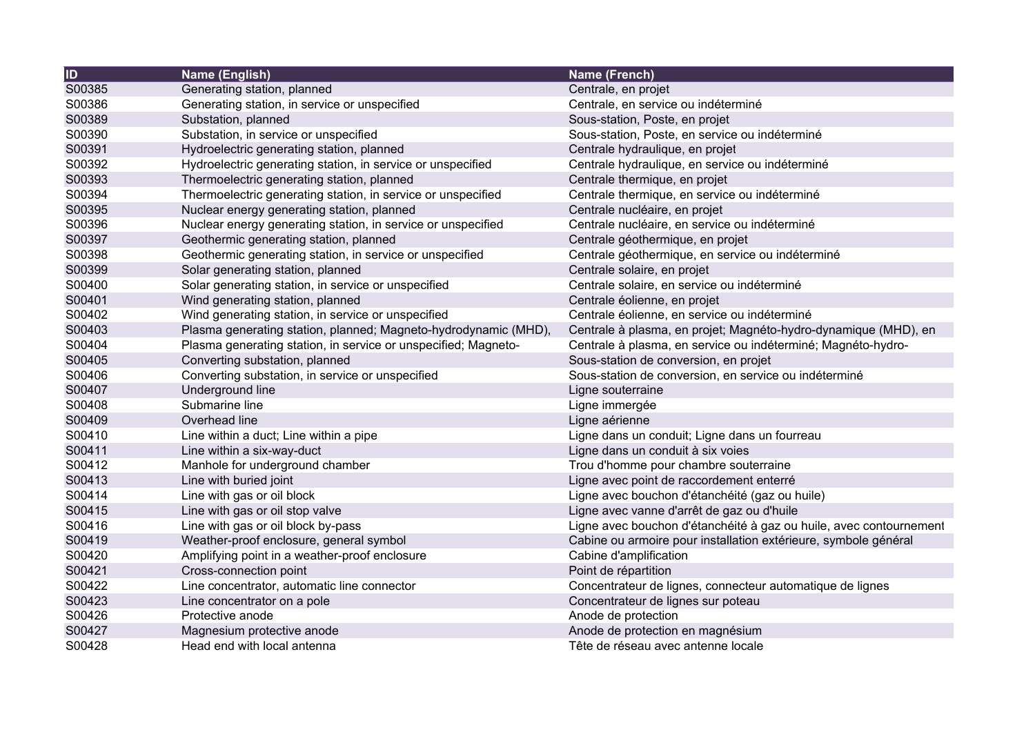| ID     | Name (English)                                                  | Name (French)                                                      |
|--------|-----------------------------------------------------------------|--------------------------------------------------------------------|
| S00385 | Generating station, planned                                     | Centrale, en projet                                                |
| S00386 | Generating station, in service or unspecified                   | Centrale, en service ou indéterminé                                |
| S00389 | Substation, planned                                             | Sous-station, Poste, en projet                                     |
| S00390 | Substation, in service or unspecified                           | Sous-station, Poste, en service ou indéterminé                     |
| S00391 | Hydroelectric generating station, planned                       | Centrale hydraulique, en projet                                    |
| S00392 | Hydroelectric generating station, in service or unspecified     | Centrale hydraulique, en service ou indéterminé                    |
| S00393 | Thermoelectric generating station, planned                      | Centrale thermique, en projet                                      |
| S00394 | Thermoelectric generating station, in service or unspecified    | Centrale thermique, en service ou indéterminé                      |
| S00395 | Nuclear energy generating station, planned                      | Centrale nucléaire, en projet                                      |
| S00396 | Nuclear energy generating station, in service or unspecified    | Centrale nucléaire, en service ou indéterminé                      |
| S00397 | Geothermic generating station, planned                          | Centrale géothermique, en projet                                   |
| S00398 | Geothermic generating station, in service or unspecified        | Centrale géothermique, en service ou indéterminé                   |
| S00399 | Solar generating station, planned                               | Centrale solaire, en projet                                        |
| S00400 | Solar generating station, in service or unspecified             | Centrale solaire, en service ou indéterminé                        |
| S00401 | Wind generating station, planned                                | Centrale éolienne, en projet                                       |
| S00402 | Wind generating station, in service or unspecified              | Centrale éolienne, en service ou indéterminé                       |
| S00403 | Plasma generating station, planned; Magneto-hydrodynamic (MHD), | Centrale à plasma, en projet; Magnéto-hydro-dynamique (MHD), en    |
| S00404 | Plasma generating station, in service or unspecified; Magneto-  | Centrale à plasma, en service ou indéterminé; Magnéto-hydro-       |
| S00405 | Converting substation, planned                                  | Sous-station de conversion, en projet                              |
| S00406 | Converting substation, in service or unspecified                | Sous-station de conversion, en service ou indéterminé              |
| S00407 | Underground line                                                | Ligne souterraine                                                  |
| S00408 | Submarine line                                                  | Ligne immergée                                                     |
| S00409 | Overhead line                                                   | Ligne aérienne                                                     |
| S00410 | Line within a duct; Line within a pipe                          | Ligne dans un conduit; Ligne dans un fourreau                      |
| S00411 | Line within a six-way-duct                                      | Ligne dans un conduit à six voies                                  |
| S00412 | Manhole for underground chamber                                 | Trou d'homme pour chambre souterraine                              |
| S00413 | Line with buried joint                                          | Ligne avec point de raccordement enterré                           |
| S00414 | Line with gas or oil block                                      | Ligne avec bouchon d'étanchéité (gaz ou huile)                     |
| S00415 | Line with gas or oil stop valve                                 | Ligne avec vanne d'arrêt de gaz ou d'huile                         |
| S00416 | Line with gas or oil block by-pass                              | Ligne avec bouchon d'étanchéité à gaz ou huile, avec contournement |
| S00419 | Weather-proof enclosure, general symbol                         | Cabine ou armoire pour installation extérieure, symbole général    |
| S00420 | Amplifying point in a weather-proof enclosure                   | Cabine d'amplification                                             |
| S00421 | Cross-connection point                                          | Point de répartition                                               |
| S00422 | Line concentrator, automatic line connector                     | Concentrateur de lignes, connecteur automatique de lignes          |
| S00423 | Line concentrator on a pole                                     | Concentrateur de lignes sur poteau                                 |
| S00426 | Protective anode                                                | Anode de protection                                                |
| S00427 | Magnesium protective anode                                      | Anode de protection en magnésium                                   |
| S00428 | Head end with local antenna                                     | Tête de réseau avec antenne locale                                 |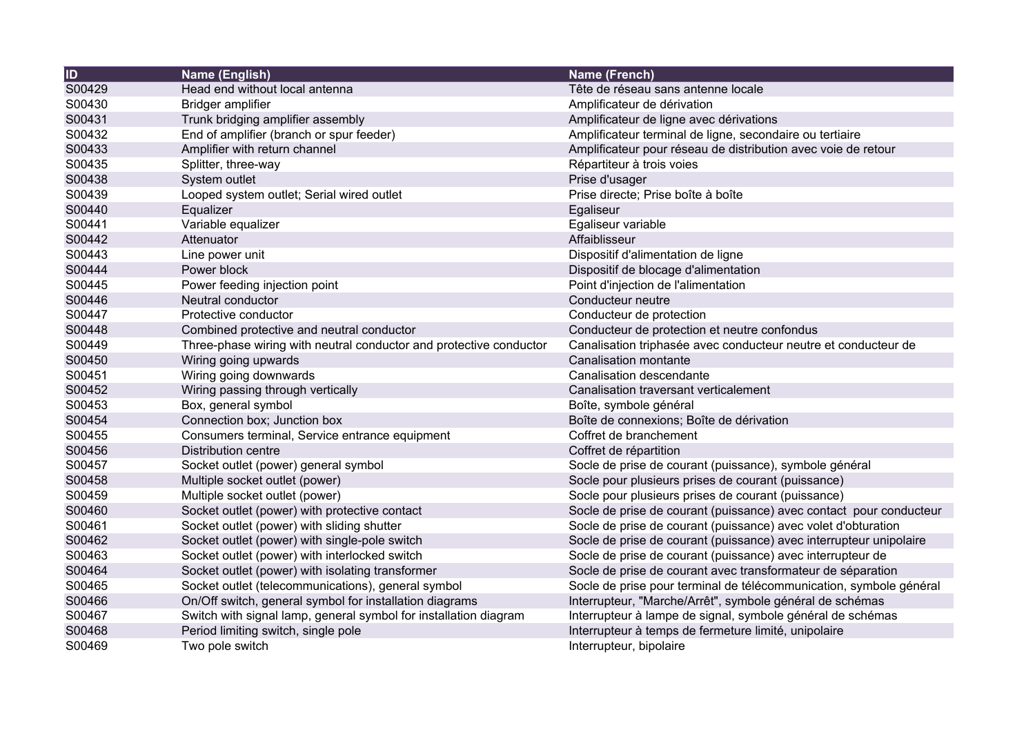| $\overline{1}$ | Name (English)                                                     | <b>Name (French)</b>                                               |
|----------------|--------------------------------------------------------------------|--------------------------------------------------------------------|
| S00429         | Head end without local antenna                                     | Tête de réseau sans antenne locale                                 |
| S00430         | Bridger amplifier                                                  | Amplificateur de dérivation                                        |
| S00431         | Trunk bridging amplifier assembly                                  | Amplificateur de ligne avec dérivations                            |
| S00432         | End of amplifier (branch or spur feeder)                           | Amplificateur terminal de ligne, secondaire ou tertiaire           |
| S00433         | Amplifier with return channel                                      | Amplificateur pour réseau de distribution avec voie de retour      |
| S00435         | Splitter, three-way                                                | Répartiteur à trois voies                                          |
| S00438         | System outlet                                                      | Prise d'usager                                                     |
| S00439         | Looped system outlet; Serial wired outlet                          | Prise directe; Prise boîte à boîte                                 |
| S00440         | Equalizer                                                          | Egaliseur                                                          |
| S00441         | Variable equalizer                                                 | Egaliseur variable                                                 |
| S00442         | Attenuator                                                         | Affaiblisseur                                                      |
| S00443         | Line power unit                                                    | Dispositif d'alimentation de ligne                                 |
| S00444         | Power block                                                        | Dispositif de blocage d'alimentation                               |
| S00445         | Power feeding injection point                                      | Point d'injection de l'alimentation                                |
| S00446         | Neutral conductor                                                  | Conducteur neutre                                                  |
| S00447         | Protective conductor                                               | Conducteur de protection                                           |
| S00448         | Combined protective and neutral conductor                          | Conducteur de protection et neutre confondus                       |
| S00449         | Three-phase wiring with neutral conductor and protective conductor | Canalisation triphasée avec conducteur neutre et conducteur de     |
| S00450         | Wiring going upwards                                               | Canalisation montante                                              |
| S00451         | Wiring going downwards                                             | Canalisation descendante                                           |
| S00452         | Wiring passing through vertically                                  | Canalisation traversant verticalement                              |
| S00453         | Box, general symbol                                                | Boîte, symbole général                                             |
| S00454         | Connection box; Junction box                                       | Boîte de connexions; Boîte de dérivation                           |
| S00455         | Consumers terminal, Service entrance equipment                     | Coffret de branchement                                             |
| S00456         | <b>Distribution centre</b>                                         | Coffret de répartition                                             |
| S00457         | Socket outlet (power) general symbol                               | Socle de prise de courant (puissance), symbole général             |
| S00458         | Multiple socket outlet (power)                                     | Socle pour plusieurs prises de courant (puissance)                 |
| S00459         | Multiple socket outlet (power)                                     | Socle pour plusieurs prises de courant (puissance)                 |
| S00460         | Socket outlet (power) with protective contact                      | Socle de prise de courant (puissance) avec contact pour conducteur |
| S00461         | Socket outlet (power) with sliding shutter                         | Socle de prise de courant (puissance) avec volet d'obturation      |
| S00462         | Socket outlet (power) with single-pole switch                      | Socle de prise de courant (puissance) avec interrupteur unipolaire |
| S00463         | Socket outlet (power) with interlocked switch                      | Socle de prise de courant (puissance) avec interrupteur de         |
| S00464         | Socket outlet (power) with isolating transformer                   | Socle de prise de courant avec transformateur de séparation        |
| S00465         | Socket outlet (telecommunications), general symbol                 | Socle de prise pour terminal de télécommunication, symbole général |
| S00466         | On/Off switch, general symbol for installation diagrams            | Interrupteur, "Marche/Arrêt", symbole général de schémas           |
| S00467         | Switch with signal lamp, general symbol for installation diagram   | Interrupteur à lampe de signal, symbole général de schémas         |
| S00468         | Period limiting switch, single pole                                | Interrupteur à temps de fermeture limité, unipolaire               |
| S00469         | Two pole switch                                                    | Interrupteur, bipolaire                                            |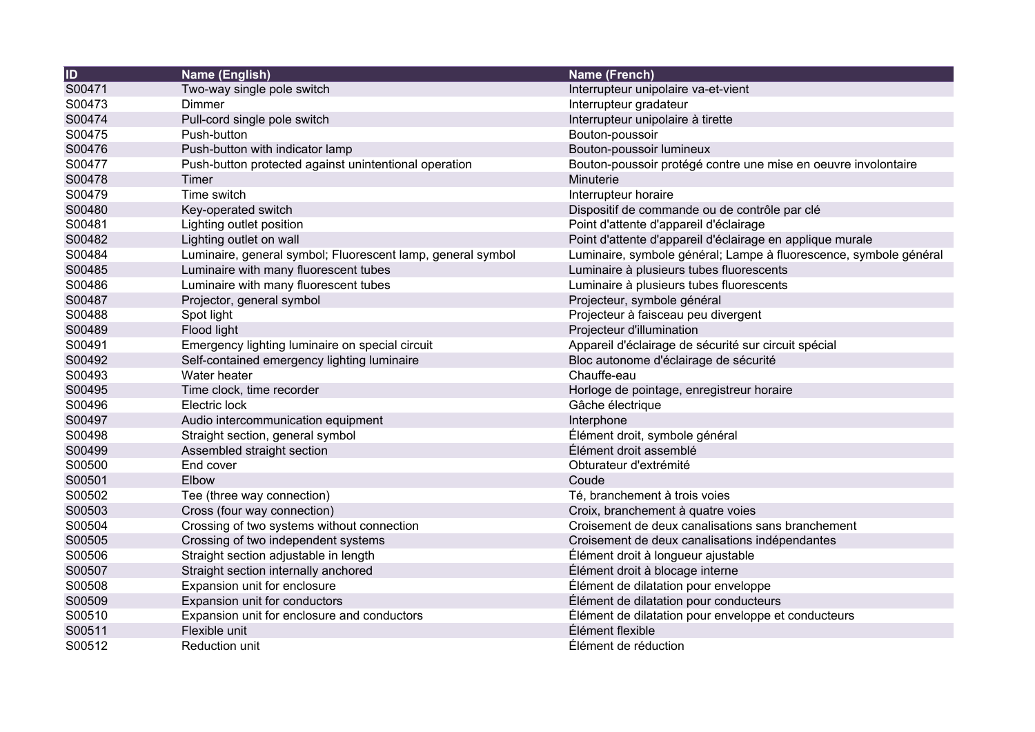| <b>ID</b> | Name (English)                                              | <b>Name (French)</b>                                              |
|-----------|-------------------------------------------------------------|-------------------------------------------------------------------|
| S00471    | Two-way single pole switch                                  | Interrupteur unipolaire va-et-vient                               |
| S00473    | Dimmer                                                      | Interrupteur gradateur                                            |
| S00474    | Pull-cord single pole switch                                | Interrupteur unipolaire à tirette                                 |
| S00475    | Push-button                                                 | Bouton-poussoir                                                   |
| S00476    | Push-button with indicator lamp                             | Bouton-poussoir lumineux                                          |
| S00477    | Push-button protected against unintentional operation       | Bouton-poussoir protégé contre une mise en oeuvre involontaire    |
| S00478    | Timer                                                       | Minuterie                                                         |
| S00479    | Time switch                                                 | Interrupteur horaire                                              |
| S00480    | Key-operated switch                                         | Dispositif de commande ou de contrôle par clé                     |
| S00481    | Lighting outlet position                                    | Point d'attente d'appareil d'éclairage                            |
| S00482    | Lighting outlet on wall                                     | Point d'attente d'appareil d'éclairage en applique murale         |
| S00484    | Luminaire, general symbol; Fluorescent lamp, general symbol | Luminaire, symbole général; Lampe à fluorescence, symbole général |
| S00485    | Luminaire with many fluorescent tubes                       | Luminaire à plusieurs tubes fluorescents                          |
| S00486    | Luminaire with many fluorescent tubes                       | Luminaire à plusieurs tubes fluorescents                          |
| S00487    | Projector, general symbol                                   | Projecteur, symbole général                                       |
| S00488    | Spot light                                                  | Projecteur à faisceau peu divergent                               |
| S00489    | Flood light                                                 | Projecteur d'illumination                                         |
| S00491    | Emergency lighting luminaire on special circuit             | Appareil d'éclairage de sécurité sur circuit spécial              |
| S00492    | Self-contained emergency lighting luminaire                 | Bloc autonome d'éclairage de sécurité                             |
| S00493    | Water heater                                                | Chauffe-eau                                                       |
| S00495    | Time clock, time recorder                                   | Horloge de pointage, enregistreur horaire                         |
| S00496    | Electric lock                                               | Gâche électrique                                                  |
| S00497    | Audio intercommunication equipment                          | Interphone                                                        |
| S00498    | Straight section, general symbol                            | Élément droit, symbole général                                    |
| S00499    | Assembled straight section                                  | Élément droit assemblé                                            |
| S00500    | End cover                                                   | Obturateur d'extrémité                                            |
| S00501    | Elbow                                                       | Coude                                                             |
| S00502    | Tee (three way connection)                                  | Té, branchement à trois voies                                     |
| S00503    | Cross (four way connection)                                 | Croix, branchement à quatre voies                                 |
| S00504    | Crossing of two systems without connection                  | Croisement de deux canalisations sans branchement                 |
| S00505    | Crossing of two independent systems                         | Croisement de deux canalisations indépendantes                    |
| S00506    | Straight section adjustable in length                       | Élément droit à longueur ajustable                                |
| S00507    | Straight section internally anchored                        | Élément droit à blocage interne                                   |
| S00508    | Expansion unit for enclosure                                | Élément de dilatation pour enveloppe                              |
| S00509    | Expansion unit for conductors                               | Élément de dilatation pour conducteurs                            |
| S00510    | Expansion unit for enclosure and conductors                 | Élément de dilatation pour enveloppe et conducteurs               |
| S00511    | Flexible unit                                               | Élément flexible                                                  |
| S00512    | Reduction unit                                              | Élément de réduction                                              |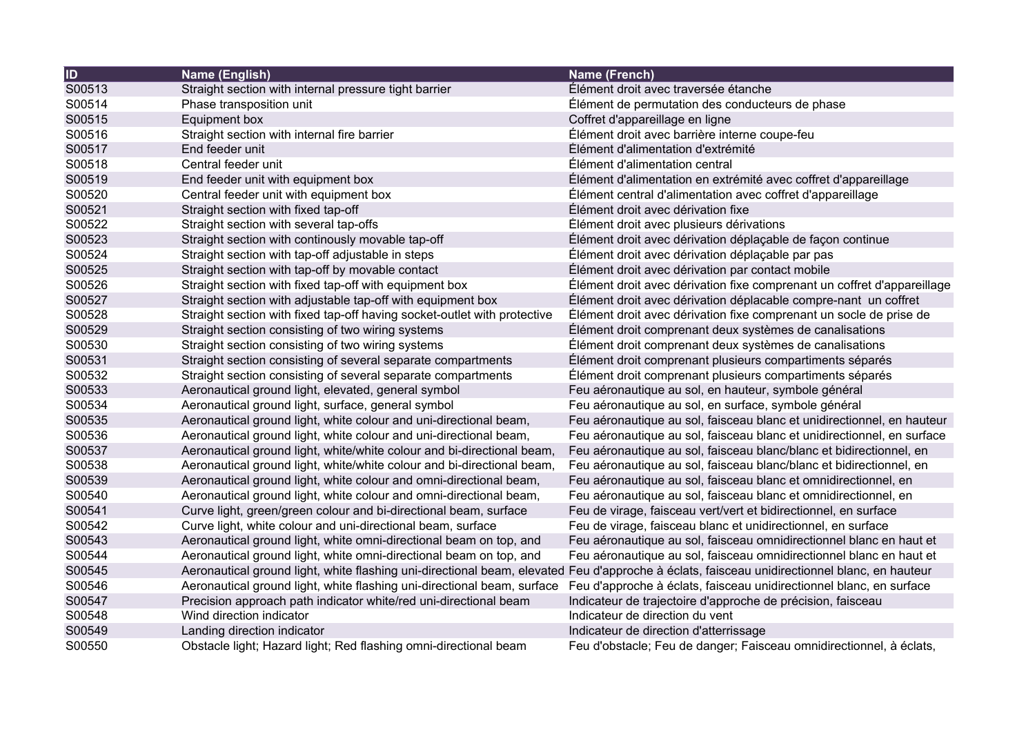| $\overline{1}$ | Name (English)                                                                                                                               | Name (French)                                                           |
|----------------|----------------------------------------------------------------------------------------------------------------------------------------------|-------------------------------------------------------------------------|
| S00513         | Straight section with internal pressure tight barrier                                                                                        | Élément droit avec traversée étanche                                    |
| S00514         | Phase transposition unit                                                                                                                     | Élément de permutation des conducteurs de phase                         |
| S00515         | <b>Equipment box</b>                                                                                                                         | Coffret d'appareillage en ligne                                         |
| S00516         | Straight section with internal fire barrier                                                                                                  | Élément droit avec barrière interne coupe-feu                           |
| S00517         | End feeder unit                                                                                                                              | Élément d'alimentation d'extrémité                                      |
| S00518         | Central feeder unit                                                                                                                          | Élément d'alimentation central                                          |
| S00519         | End feeder unit with equipment box                                                                                                           | Élément d'alimentation en extrémité avec coffret d'appareillage         |
| S00520         | Central feeder unit with equipment box                                                                                                       | Élément central d'alimentation avec coffret d'appareillage              |
| S00521         | Straight section with fixed tap-off                                                                                                          | Élément droit avec dérivation fixe                                      |
| S00522         | Straight section with several tap-offs                                                                                                       | Élément droit avec plusieurs dérivations                                |
| S00523         | Straight section with continously movable tap-off                                                                                            | Élément droit avec dérivation déplaçable de façon continue              |
| S00524         | Straight section with tap-off adjustable in steps                                                                                            | Élément droit avec dérivation déplaçable par pas                        |
| S00525         | Straight section with tap-off by movable contact                                                                                             | Elément droit avec dérivation par contact mobile                        |
| S00526         | Straight section with fixed tap-off with equipment box                                                                                       | Élément droit avec dérivation fixe comprenant un coffret d'appareillage |
| S00527         | Straight section with adjustable tap-off with equipment box                                                                                  | Élément droit avec dérivation déplacable compre-nant un coffret         |
| S00528         | Straight section with fixed tap-off having socket-outlet with protective                                                                     | Élément droit avec dérivation fixe comprenant un socle de prise de      |
| S00529         | Straight section consisting of two wiring systems                                                                                            | Élément droit comprenant deux systèmes de canalisations                 |
| S00530         | Straight section consisting of two wiring systems                                                                                            | Élément droit comprenant deux systèmes de canalisations                 |
| S00531         | Straight section consisting of several separate compartments                                                                                 | Élément droit comprenant plusieurs compartiments séparés                |
| S00532         | Straight section consisting of several separate compartments                                                                                 | Élément droit comprenant plusieurs compartiments séparés                |
| S00533         | Aeronautical ground light, elevated, general symbol                                                                                          | Feu aéronautique au sol, en hauteur, symbole général                    |
| S00534         | Aeronautical ground light, surface, general symbol                                                                                           | Feu aéronautique au sol, en surface, symbole général                    |
| S00535         | Aeronautical ground light, white colour and uni-directional beam,                                                                            | Feu aéronautique au sol, faisceau blanc et unidirectionnel, en hauteur  |
| S00536         | Aeronautical ground light, white colour and uni-directional beam,                                                                            | Feu aéronautique au sol, faisceau blanc et unidirectionnel, en surface  |
| S00537         | Aeronautical ground light, white/white colour and bi-directional beam,                                                                       | Feu aéronautique au sol, faisceau blanc/blanc et bidirectionnel, en     |
| S00538         | Aeronautical ground light, white/white colour and bi-directional beam,                                                                       | Feu aéronautique au sol, faisceau blanc/blanc et bidirectionnel, en     |
| S00539         | Aeronautical ground light, white colour and omni-directional beam,                                                                           | Feu aéronautique au sol, faisceau blanc et omnidirectionnel, en         |
| S00540         | Aeronautical ground light, white colour and omni-directional beam,                                                                           | Feu aéronautique au sol, faisceau blanc et omnidirectionnel, en         |
| S00541         | Curve light, green/green colour and bi-directional beam, surface                                                                             | Feu de virage, faisceau vert/vert et bidirectionnel, en surface         |
| S00542         | Curve light, white colour and uni-directional beam, surface                                                                                  | Feu de virage, faisceau blanc et unidirectionnel, en surface            |
| S00543         | Aeronautical ground light, white omni-directional beam on top, and                                                                           | Feu aéronautique au sol, faisceau omnidirectionnel blanc en haut et     |
| S00544         | Aeronautical ground light, white omni-directional beam on top, and                                                                           | Feu aéronautique au sol, faisceau omnidirectionnel blanc en haut et     |
| S00545         | Aeronautical ground light, white flashing uni-directional beam, elevated Feu d'approche à éclats, faisceau unidirectionnel blanc, en hauteur |                                                                         |
| S00546         | Aeronautical ground light, white flashing uni-directional beam, surface                                                                      | Feu d'approche à éclats, faisceau unidirectionnel blanc, en surface     |
| S00547         | Precision approach path indicator white/red uni-directional beam                                                                             | Indicateur de trajectoire d'approche de précision, faisceau             |
| S00548         | Wind direction indicator                                                                                                                     | Indicateur de direction du vent                                         |
| S00549         | Landing direction indicator                                                                                                                  | Indicateur de direction d'atterrissage                                  |
| S00550         | Obstacle light; Hazard light; Red flashing omni-directional beam                                                                             | Feu d'obstacle; Feu de danger; Faisceau omnidirectionnel, à éclats,     |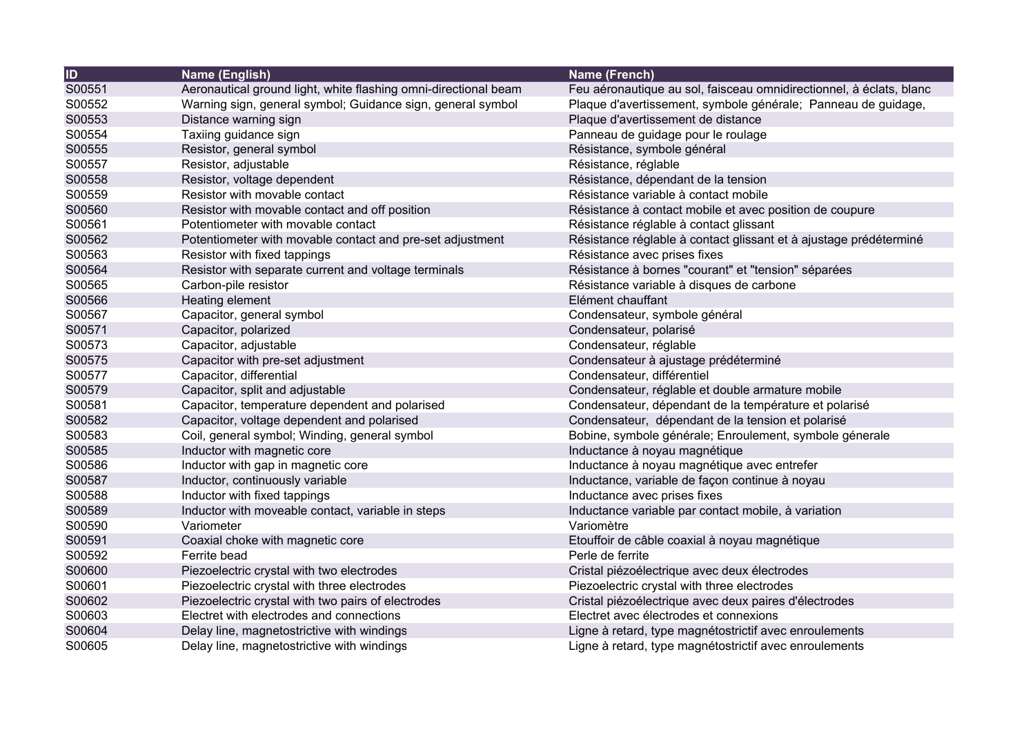| $\overline{1}$ | Name (English)                                                  | <b>Name (French)</b>                                                |
|----------------|-----------------------------------------------------------------|---------------------------------------------------------------------|
| S00551         | Aeronautical ground light, white flashing omni-directional beam | Feu aéronautique au sol, faisceau omnidirectionnel, à éclats, blanc |
| S00552         | Warning sign, general symbol; Guidance sign, general symbol     | Plaque d'avertissement, symbole générale; Panneau de guidage,       |
| S00553         | Distance warning sign                                           | Plaque d'avertissement de distance                                  |
| S00554         | Taxiing guidance sign                                           | Panneau de guidage pour le roulage                                  |
| S00555         | Resistor, general symbol                                        | Résistance, symbole général                                         |
| S00557         | Resistor, adjustable                                            | Résistance, réglable                                                |
| S00558         | Resistor, voltage dependent                                     | Résistance, dépendant de la tension                                 |
| S00559         | Resistor with movable contact                                   | Résistance variable à contact mobile                                |
| S00560         | Resistor with movable contact and off position                  | Résistance à contact mobile et avec position de coupure             |
| S00561         | Potentiometer with movable contact                              | Résistance réglable à contact glissant                              |
| S00562         | Potentiometer with movable contact and pre-set adjustment       | Résistance réglable à contact glissant et à ajustage prédéterminé   |
| S00563         | Resistor with fixed tappings                                    | Résistance avec prises fixes                                        |
| S00564         | Resistor with separate current and voltage terminals            | Résistance à bornes "courant" et "tension" séparées                 |
| S00565         | Carbon-pile resistor                                            | Résistance variable à disques de carbone                            |
| S00566         | Heating element                                                 | Elément chauffant                                                   |
| S00567         | Capacitor, general symbol                                       | Condensateur, symbole général                                       |
| S00571         | Capacitor, polarized                                            | Condensateur, polarisé                                              |
| S00573         | Capacitor, adjustable                                           | Condensateur, réglable                                              |
| S00575         | Capacitor with pre-set adjustment                               | Condensateur à ajustage prédéterminé                                |
| S00577         | Capacitor, differential                                         | Condensateur, différentiel                                          |
| S00579         | Capacitor, split and adjustable                                 | Condensateur, réglable et double armature mobile                    |
| S00581         | Capacitor, temperature dependent and polarised                  | Condensateur, dépendant de la température et polarisé               |
| S00582         | Capacitor, voltage dependent and polarised                      | Condensateur, dépendant de la tension et polarisé                   |
| S00583         | Coil, general symbol; Winding, general symbol                   | Bobine, symbole générale; Enroulement, symbole génerale             |
| S00585         | Inductor with magnetic core                                     | Inductance à noyau magnétique                                       |
| S00586         | Inductor with gap in magnetic core                              | Inductance à noyau magnétique avec entrefer                         |
| S00587         | Inductor, continuously variable                                 | Inductance, variable de façon continue à noyau                      |
| S00588         | Inductor with fixed tappings                                    | Inductance avec prises fixes                                        |
| S00589         | Inductor with moveable contact, variable in steps               | Inductance variable par contact mobile, à variation                 |
| S00590         | Variometer                                                      | Variomètre                                                          |
| S00591         | Coaxial choke with magnetic core                                | Etouffoir de câble coaxial à noyau magnétique                       |
| S00592         | Ferrite bead                                                    | Perle de ferrite                                                    |
| S00600         | Piezoelectric crystal with two electrodes                       | Cristal piézoélectrique avec deux électrodes                        |
| S00601         | Piezoelectric crystal with three electrodes                     | Piezoelectric crystal with three electrodes                         |
| S00602         | Piezoelectric crystal with two pairs of electrodes              | Cristal piézoélectrique avec deux paires d'électrodes               |
| S00603         | Electret with electrodes and connections                        | Electret avec électrodes et connexions                              |
| S00604         | Delay line, magnetostrictive with windings                      | Ligne à retard, type magnétostrictif avec enroulements              |
| S00605         | Delay line, magnetostrictive with windings                      | Ligne à retard, type magnétostrictif avec enroulements              |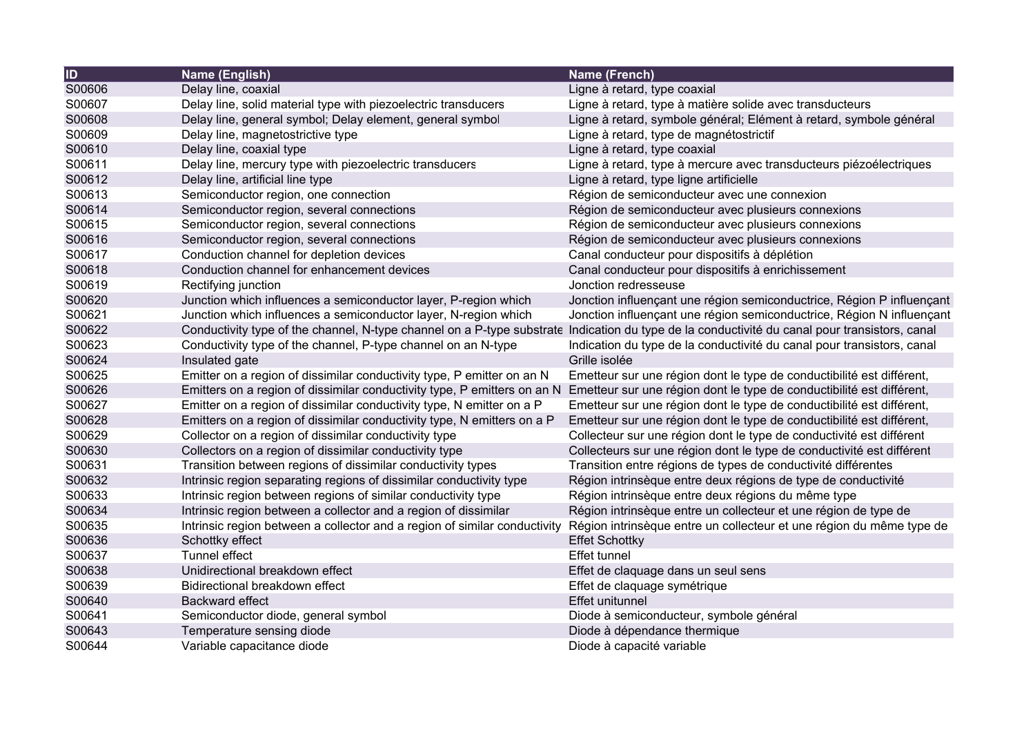| $\overline{1}$ | Name (English)                                                            | Name (French)                                                          |
|----------------|---------------------------------------------------------------------------|------------------------------------------------------------------------|
| S00606         | Delay line, coaxial                                                       | Ligne à retard, type coaxial                                           |
| S00607         | Delay line, solid material type with piezoelectric transducers            | Ligne à retard, type à matière solide avec transducteurs               |
| S00608         | Delay line, general symbol; Delay element, general symbol                 | Ligne à retard, symbole général; Elément à retard, symbole général     |
| S00609         | Delay line, magnetostrictive type                                         | Ligne à retard, type de magnétostrictif                                |
| S00610         | Delay line, coaxial type                                                  | Ligne à retard, type coaxial                                           |
| S00611         | Delay line, mercury type with piezoelectric transducers                   | Ligne à retard, type à mercure avec transducteurs piézoélectriques     |
| S00612         | Delay line, artificial line type                                          | Ligne à retard, type ligne artificielle                                |
| S00613         | Semiconductor region, one connection                                      | Région de semiconducteur avec une connexion                            |
| S00614         | Semiconductor region, several connections                                 | Région de semiconducteur avec plusieurs connexions                     |
| S00615         | Semiconductor region, several connections                                 | Région de semiconducteur avec plusieurs connexions                     |
| S00616         | Semiconductor region, several connections                                 | Région de semiconducteur avec plusieurs connexions                     |
| S00617         | Conduction channel for depletion devices                                  | Canal conducteur pour dispositifs à déplétion                          |
| S00618         | Conduction channel for enhancement devices                                | Canal conducteur pour dispositifs à enrichissement                     |
| S00619         | Rectifying junction                                                       | Jonction redresseuse                                                   |
| S00620         | Junction which influences a semiconductor layer, P-region which           | Jonction influençant une région semiconductrice, Région P influençant  |
| S00621         | Junction which influences a semiconductor layer, N-region which           | Jonction influençant une région semiconductrice, Région N influençant  |
| S00622         | Conductivity type of the channel, N-type channel on a P-type substrate    | Indication du type de la conductivité du canal pour transistors, canal |
| S00623         | Conductivity type of the channel, P-type channel on an N-type             | Indication du type de la conductivité du canal pour transistors, canal |
| S00624         | Insulated gate                                                            | Grille isolée                                                          |
| S00625         | Emitter on a region of dissimilar conductivity type, P emitter on an N    | Emetteur sur une région dont le type de conductibilité est différent,  |
| S00626         | Emitters on a region of dissimilar conductivity type, P emitters on an N  | Emetteur sur une région dont le type de conductibilité est différent,  |
| S00627         | Emitter on a region of dissimilar conductivity type, N emitter on a P     | Emetteur sur une région dont le type de conductibilité est différent,  |
| S00628         | Emitters on a region of dissimilar conductivity type, N emitters on a P   | Emetteur sur une région dont le type de conductibilité est différent,  |
| S00629         | Collector on a region of dissimilar conductivity type                     | Collecteur sur une région dont le type de conductivité est différent   |
| S00630         | Collectors on a region of dissimilar conductivity type                    | Collecteurs sur une région dont le type de conductivité est différent  |
| S00631         | Transition between regions of dissimilar conductivity types               | Transition entre régions de types de conductivité différentes          |
| S00632         | Intrinsic region separating regions of dissimilar conductivity type       | Région intrinsèque entre deux régions de type de conductivité          |
| S00633         | Intrinsic region between regions of similar conductivity type             | Région intrinsèque entre deux régions du même type                     |
| S00634         | Intrinsic region between a collector and a region of dissimilar           | Région intrinsèque entre un collecteur et une région de type de        |
| S00635         | Intrinsic region between a collector and a region of similar conductivity | Région intrinsèque entre un collecteur et une région du même type de   |
| S00636         | Schottky effect                                                           | <b>Effet Schottky</b>                                                  |
| S00637         | Tunnel effect                                                             | <b>Effet tunnel</b>                                                    |
| S00638         | Unidirectional breakdown effect                                           | Effet de claquage dans un seul sens                                    |
| S00639         | Bidirectional breakdown effect                                            | Effet de claquage symétrique                                           |
| S00640         | <b>Backward effect</b>                                                    | Effet unitunnel                                                        |
| S00641         | Semiconductor diode, general symbol                                       | Diode à semiconducteur, symbole général                                |
| S00643         | Temperature sensing diode                                                 | Diode à dépendance thermique                                           |
| S00644         | Variable capacitance diode                                                | Diode à capacité variable                                              |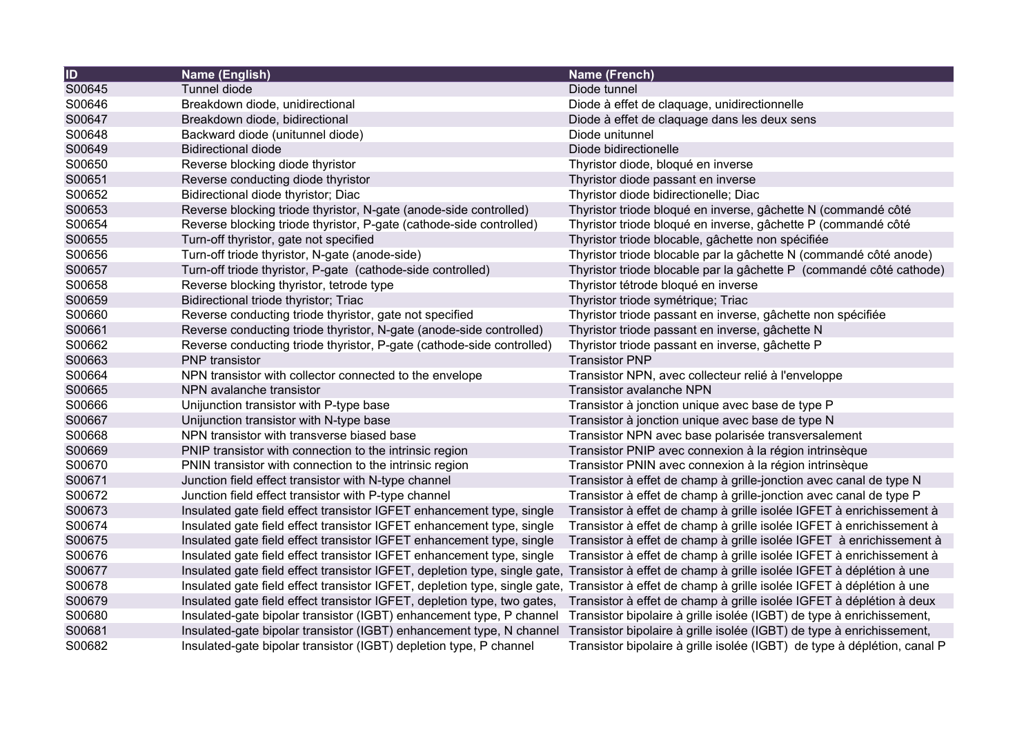| ID     | Name (English)                                                             | Name (French)                                                            |
|--------|----------------------------------------------------------------------------|--------------------------------------------------------------------------|
| S00645 | Tunnel diode                                                               | Diode tunnel                                                             |
| S00646 | Breakdown diode, unidirectional                                            | Diode à effet de claquage, unidirectionnelle                             |
| S00647 | Breakdown diode, bidirectional                                             | Diode à effet de claquage dans les deux sens                             |
| S00648 | Backward diode (unitunnel diode)                                           | Diode unitunnel                                                          |
| S00649 | <b>Bidirectional diode</b>                                                 | Diode bidirectionelle                                                    |
| S00650 | Reverse blocking diode thyristor                                           | Thyristor diode, bloqué en inverse                                       |
| S00651 | Reverse conducting diode thyristor                                         | Thyristor diode passant en inverse                                       |
| S00652 | Bidirectional diode thyristor; Diac                                        | Thyristor diode bidirectionelle; Diac                                    |
| S00653 | Reverse blocking triode thyristor, N-gate (anode-side controlled)          | Thyristor triode bloqué en inverse, gâchette N (commandé côté            |
| S00654 | Reverse blocking triode thyristor, P-gate (cathode-side controlled)        | Thyristor triode bloqué en inverse, gâchette P (commandé côté            |
| S00655 | Turn-off thyristor, gate not specified                                     | Thyristor triode blocable, gâchette non spécifiée                        |
| S00656 | Turn-off triode thyristor, N-gate (anode-side)                             | Thyristor triode blocable par la gâchette N (commandé côté anode)        |
| S00657 | Turn-off triode thyristor, P-gate (cathode-side controlled)                | Thyristor triode blocable par la gâchette P (commandé côté cathode)      |
| S00658 | Reverse blocking thyristor, tetrode type                                   | Thyristor tétrode bloqué en inverse                                      |
| S00659 | Bidirectional triode thyristor; Triac                                      | Thyristor triode symétrique; Triac                                       |
| S00660 | Reverse conducting triode thyristor, gate not specified                    | Thyristor triode passant en inverse, gâchette non spécifiée              |
| S00661 | Reverse conducting triode thyristor, N-gate (anode-side controlled)        | Thyristor triode passant en inverse, gâchette N                          |
| S00662 | Reverse conducting triode thyristor, P-gate (cathode-side controlled)      | Thyristor triode passant en inverse, gâchette P                          |
| S00663 | <b>PNP</b> transistor                                                      | <b>Transistor PNP</b>                                                    |
| S00664 | NPN transistor with collector connected to the envelope                    | Transistor NPN, avec collecteur relié à l'enveloppe                      |
| S00665 | NPN avalanche transistor                                                   | <b>Transistor avalanche NPN</b>                                          |
| S00666 | Unijunction transistor with P-type base                                    | Transistor à jonction unique avec base de type P                         |
| S00667 | Unijunction transistor with N-type base                                    | Transistor à jonction unique avec base de type N                         |
| S00668 | NPN transistor with transverse biased base                                 | Transistor NPN avec base polarisée transversalement                      |
| S00669 | PNIP transistor with connection to the intrinsic region                    | Transistor PNIP avec connexion à la région intrinsèque                   |
| S00670 | PNIN transistor with connection to the intrinsic region                    | Transistor PNIN avec connexion à la région intrinsèque                   |
| S00671 | Junction field effect transistor with N-type channel                       | Transistor à effet de champ à grille-jonction avec canal de type N       |
| S00672 | Junction field effect transistor with P-type channel                       | Transistor à effet de champ à grille-jonction avec canal de type P       |
| S00673 | Insulated gate field effect transistor IGFET enhancement type, single      | Transistor à effet de champ à grille isolée IGFET à enrichissement à     |
| S00674 | Insulated gate field effect transistor IGFET enhancement type, single      | Transistor à effet de champ à grille isolée IGFET à enrichissement à     |
| S00675 | Insulated gate field effect transistor IGFET enhancement type, single      | Transistor à effet de champ à grille isolée IGFET à enrichissement à     |
| S00676 | Insulated gate field effect transistor IGFET enhancement type, single      | Transistor à effet de champ à grille isolée IGFET à enrichissement à     |
| S00677 | Insulated gate field effect transistor IGFET, depletion type, single gate, | Transistor à effet de champ à grille isolée IGFET à déplétion à une      |
| S00678 | Insulated gate field effect transistor IGFET, depletion type, single gate, | Transistor à effet de champ à grille isolée IGFET à déplétion à une      |
| S00679 | Insulated gate field effect transistor IGFET, depletion type, two gates,   | Transistor à effet de champ à grille isolée IGFET à déplétion à deux     |
| S00680 | Insulated-gate bipolar transistor (IGBT) enhancement type, P channel       | Transistor bipolaire à grille isolée (IGBT) de type à enrichissement,    |
| S00681 | Insulated-gate bipolar transistor (IGBT) enhancement type, N channel       | Transistor bipolaire à grille isolée (IGBT) de type à enrichissement,    |
| S00682 | Insulated-gate bipolar transistor (IGBT) depletion type, P channel         | Transistor bipolaire à grille isolée (IGBT) de type à déplétion, canal P |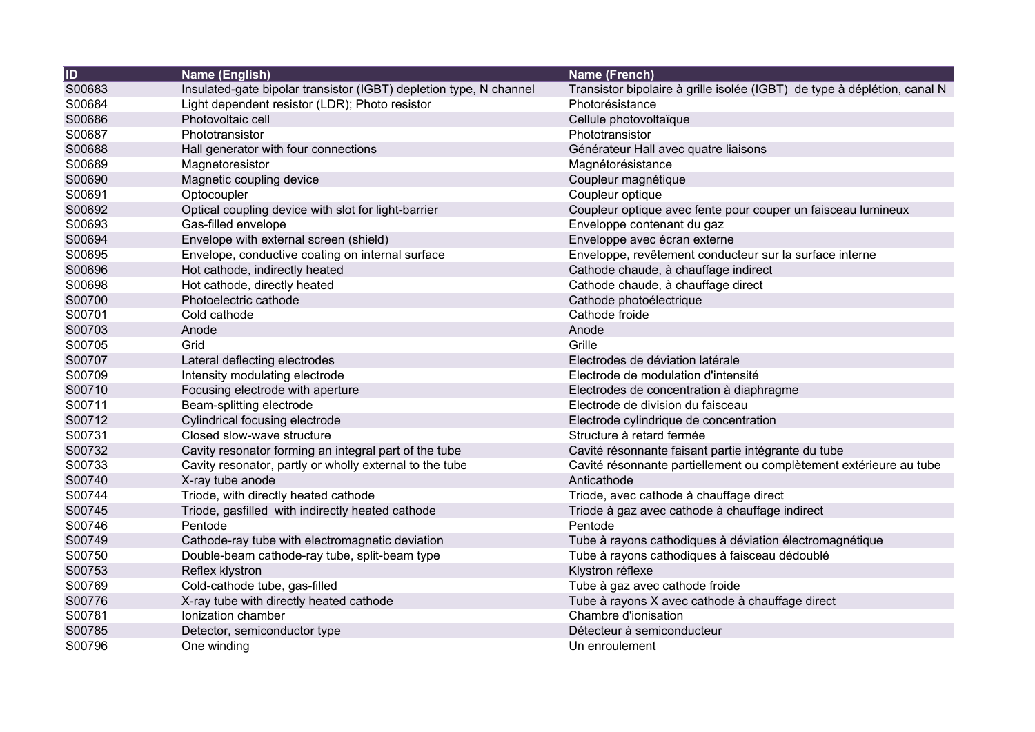| $\overline{1}$ | Name (English)                                                     | Name (French)                                                            |
|----------------|--------------------------------------------------------------------|--------------------------------------------------------------------------|
| S00683         | Insulated-gate bipolar transistor (IGBT) depletion type, N channel | Transistor bipolaire à grille isolée (IGBT) de type à déplétion, canal N |
| S00684         | Light dependent resistor (LDR); Photo resistor                     | Photorésistance                                                          |
| S00686         | Photovoltaic cell                                                  | Cellule photovoltaïque                                                   |
| S00687         | Phototransistor                                                    | Phototransistor                                                          |
| S00688         | Hall generator with four connections                               | Générateur Hall avec quatre liaisons                                     |
| S00689         | Magnetoresistor                                                    | Magnétorésistance                                                        |
| S00690         | Magnetic coupling device                                           | Coupleur magnétique                                                      |
| S00691         | Optocoupler                                                        | Coupleur optique                                                         |
| S00692         | Optical coupling device with slot for light-barrier                | Coupleur optique avec fente pour couper un faisceau lumineux             |
| S00693         | Gas-filled envelope                                                | Enveloppe contenant du gaz                                               |
| S00694         | Envelope with external screen (shield)                             | Enveloppe avec écran externe                                             |
| S00695         | Envelope, conductive coating on internal surface                   | Enveloppe, revêtement conducteur sur la surface interne                  |
| S00696         | Hot cathode, indirectly heated                                     | Cathode chaude, à chauffage indirect                                     |
| S00698         | Hot cathode, directly heated                                       | Cathode chaude, à chauffage direct                                       |
| S00700         | Photoelectric cathode                                              | Cathode photoélectrique                                                  |
| S00701         | Cold cathode                                                       | Cathode froide                                                           |
| S00703         | Anode                                                              | Anode                                                                    |
| S00705         | Grid                                                               | Grille                                                                   |
| S00707         | Lateral deflecting electrodes                                      | Electrodes de déviation latérale                                         |
| S00709         | Intensity modulating electrode                                     | Electrode de modulation d'intensité                                      |
| S00710         | Focusing electrode with aperture                                   | Electrodes de concentration à diaphragme                                 |
| S00711         | Beam-splitting electrode                                           | Electrode de division du faisceau                                        |
| S00712         | Cylindrical focusing electrode                                     | Electrode cylindrique de concentration                                   |
| S00731         | Closed slow-wave structure                                         | Structure à retard fermée                                                |
| S00732         | Cavity resonator forming an integral part of the tube              | Cavité résonnante faisant partie intégrante du tube                      |
| S00733         | Cavity resonator, partly or wholly external to the tube            | Cavité résonnante partiellement ou complètement extérieure au tube       |
| S00740         | X-ray tube anode                                                   | Anticathode                                                              |
| S00744         | Triode, with directly heated cathode                               | Triode, avec cathode à chauffage direct                                  |
| S00745         | Triode, gasfilled with indirectly heated cathode                   | Triode à gaz avec cathode à chauffage indirect                           |
| S00746         | Pentode                                                            | Pentode                                                                  |
| S00749         | Cathode-ray tube with electromagnetic deviation                    | Tube à rayons cathodiques à déviation électromagnétique                  |
| S00750         | Double-beam cathode-ray tube, split-beam type                      | Tube à rayons cathodiques à faisceau dédoublé                            |
| S00753         | Reflex klystron                                                    | Klystron réflexe                                                         |
| S00769         | Cold-cathode tube, gas-filled                                      | Tube à gaz avec cathode froide                                           |
| S00776         | X-ray tube with directly heated cathode                            | Tube à rayons X avec cathode à chauffage direct                          |
| S00781         | Ionization chamber                                                 | Chambre d'ionisation                                                     |
| S00785         | Detector, semiconductor type                                       | Détecteur à semiconducteur                                               |
| S00796         | One winding                                                        | Un enroulement                                                           |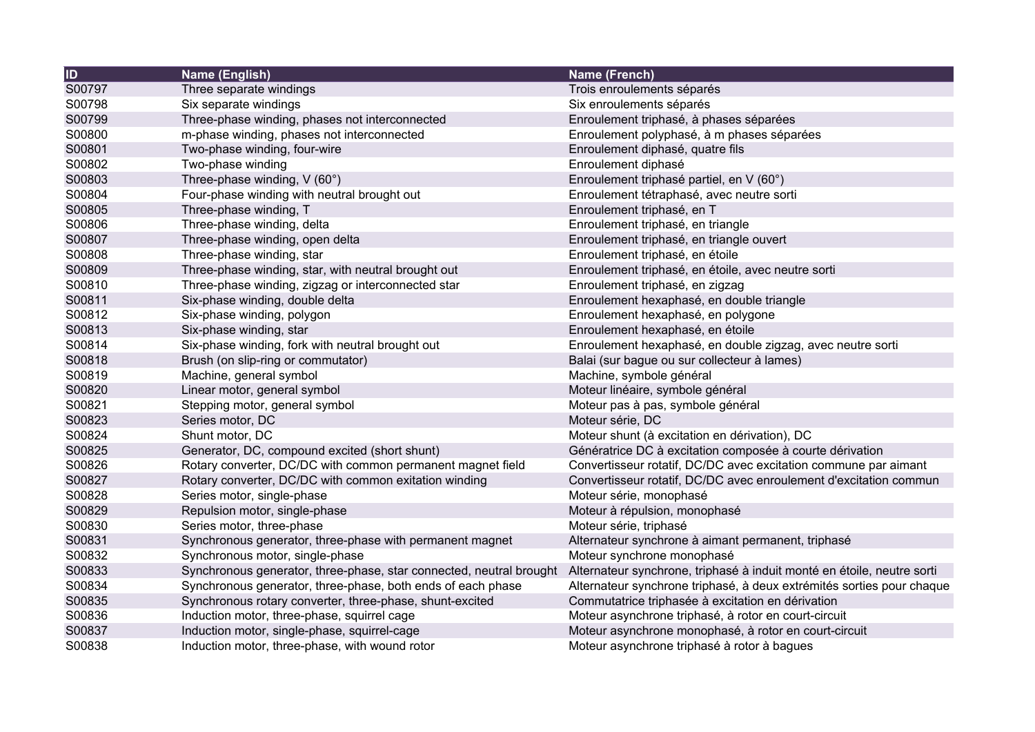| $\overline{1}$ | Name (English)                                                      | Name (French)                                                          |
|----------------|---------------------------------------------------------------------|------------------------------------------------------------------------|
| S00797         | Three separate windings                                             | Trois enroulements séparés                                             |
| S00798         | Six separate windings                                               | Six enroulements séparés                                               |
| S00799         | Three-phase winding, phases not interconnected                      | Enroulement triphasé, à phases séparées                                |
| S00800         | m-phase winding, phases not interconnected                          | Enroulement polyphasé, à m phases séparées                             |
| S00801         | Two-phase winding, four-wire                                        | Enroulement diphasé, quatre fils                                       |
| S00802         | Two-phase winding                                                   | Enroulement diphasé                                                    |
| S00803         | Three-phase winding, V (60°)                                        | Enroulement triphasé partiel, en V (60°)                               |
| S00804         | Four-phase winding with neutral brought out                         | Enroulement tétraphasé, avec neutre sorti                              |
| S00805         | Three-phase winding, T                                              | Enroulement triphasé, en T                                             |
| S00806         | Three-phase winding, delta                                          | Enroulement triphasé, en triangle                                      |
| S00807         | Three-phase winding, open delta                                     | Enroulement triphasé, en triangle ouvert                               |
| S00808         | Three-phase winding, star                                           | Enroulement triphasé, en étoile                                        |
| S00809         | Three-phase winding, star, with neutral brought out                 | Enroulement triphasé, en étoile, avec neutre sorti                     |
| S00810         | Three-phase winding, zigzag or interconnected star                  | Enroulement triphasé, en zigzag                                        |
| S00811         | Six-phase winding, double delta                                     | Enroulement hexaphasé, en double triangle                              |
| S00812         | Six-phase winding, polygon                                          | Enroulement hexaphasé, en polygone                                     |
| S00813         | Six-phase winding, star                                             | Enroulement hexaphasé, en étoile                                       |
| S00814         | Six-phase winding, fork with neutral brought out                    | Enroulement hexaphasé, en double zigzag, avec neutre sorti             |
| S00818         | Brush (on slip-ring or commutator)                                  | Balai (sur bague ou sur collecteur à lames)                            |
| S00819         | Machine, general symbol                                             | Machine, symbole général                                               |
| S00820         | Linear motor, general symbol                                        | Moteur linéaire, symbole général                                       |
| S00821         | Stepping motor, general symbol                                      | Moteur pas à pas, symbole général                                      |
| S00823         | Series motor, DC                                                    | Moteur série, DC                                                       |
| S00824         | Shunt motor, DC                                                     | Moteur shunt (à excitation en dérivation), DC                          |
| S00825         | Generator, DC, compound excited (short shunt)                       | Génératrice DC à excitation composée à courte dérivation               |
| S00826         | Rotary converter, DC/DC with common permanent magnet field          | Convertisseur rotatif, DC/DC avec excitation commune par aimant        |
| S00827         | Rotary converter, DC/DC with common exitation winding               | Convertisseur rotatif, DC/DC avec enroulement d'excitation commun      |
| S00828         | Series motor, single-phase                                          | Moteur série, monophasé                                                |
| S00829         | Repulsion motor, single-phase                                       | Moteur à répulsion, monophasé                                          |
| S00830         | Series motor, three-phase                                           | Moteur série, triphasé                                                 |
| S00831         | Synchronous generator, three-phase with permanent magnet            | Alternateur synchrone à aimant permanent, triphasé                     |
| S00832         | Synchronous motor, single-phase                                     | Moteur synchrone monophasé                                             |
| S00833         | Synchronous generator, three-phase, star connected, neutral brought | Alternateur synchrone, triphasé à induit monté en étoile, neutre sorti |
| S00834         | Synchronous generator, three-phase, both ends of each phase         | Alternateur synchrone triphasé, à deux extrémités sorties pour chaque  |
| S00835         | Synchronous rotary converter, three-phase, shunt-excited            | Commutatrice triphasée à excitation en dérivation                      |
| S00836         | Induction motor, three-phase, squirrel cage                         | Moteur asynchrone triphasé, à rotor en court-circuit                   |
| S00837         | Induction motor, single-phase, squirrel-cage                        | Moteur asynchrone monophasé, à rotor en court-circuit                  |
| S00838         | Induction motor, three-phase, with wound rotor                      | Moteur asynchrone triphasé à rotor à bagues                            |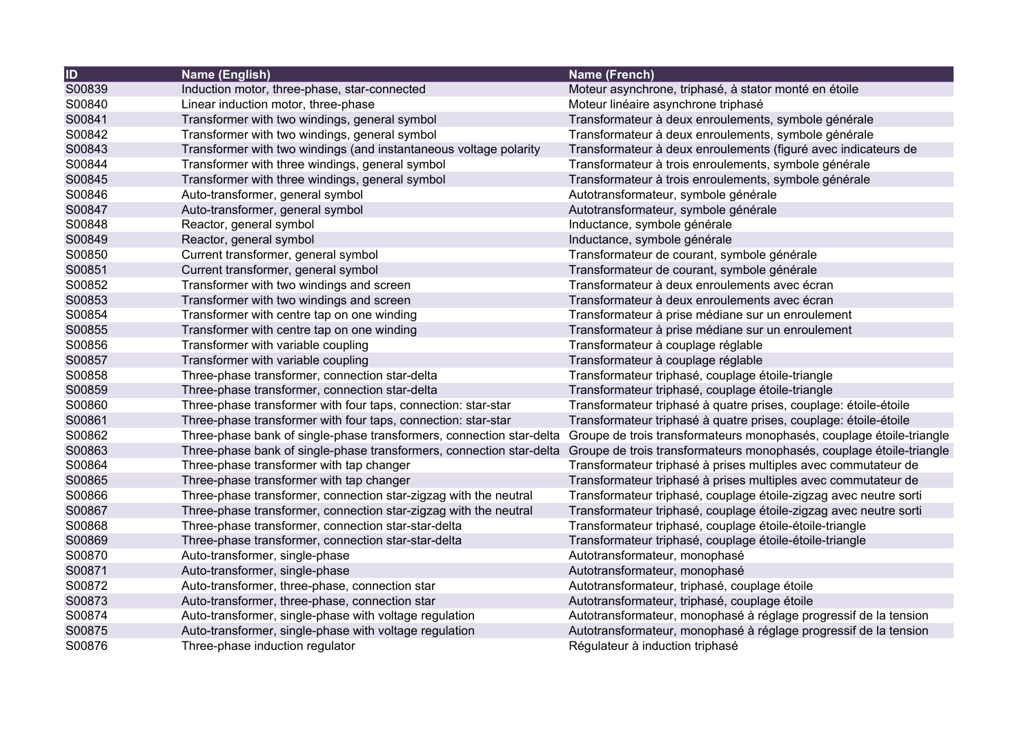| <b>ID</b> | Name (English)                                                       | Name (French)                                                                                                                             |
|-----------|----------------------------------------------------------------------|-------------------------------------------------------------------------------------------------------------------------------------------|
| S00839    | Induction motor, three-phase, star-connected                         | Moteur asynchrone, triphasé, à stator monté en étoile                                                                                     |
| S00840    | Linear induction motor, three-phase                                  | Moteur linéaire asynchrone triphasé                                                                                                       |
| S00841    | Transformer with two windings, general symbol                        | Transformateur à deux enroulements, symbole générale                                                                                      |
| S00842    | Transformer with two windings, general symbol                        | Transformateur à deux enroulements, symbole générale                                                                                      |
| S00843    | Transformer with two windings (and instantaneous voltage polarity    | Transformateur à deux enroulements (figuré avec indicateurs de                                                                            |
| S00844    | Transformer with three windings, general symbol                      | Transformateur à trois enroulements, symbole générale                                                                                     |
| S00845    | Transformer with three windings, general symbol                      | Transformateur à trois enroulements, symbole générale                                                                                     |
| S00846    | Auto-transformer, general symbol                                     | Autotransformateur, symbole générale                                                                                                      |
| S00847    | Auto-transformer, general symbol                                     | Autotransformateur, symbole générale                                                                                                      |
| S00848    | Reactor, general symbol                                              | Inductance, symbole générale                                                                                                              |
| S00849    | Reactor, general symbol                                              | Inductance, symbole générale                                                                                                              |
| S00850    | Current transformer, general symbol                                  | Transformateur de courant, symbole générale                                                                                               |
| S00851    | Current transformer, general symbol                                  | Transformateur de courant, symbole générale                                                                                               |
| S00852    | Transformer with two windings and screen                             | Transformateur à deux enroulements avec écran                                                                                             |
| S00853    | Transformer with two windings and screen                             | Transformateur à deux enroulements avec écran                                                                                             |
| S00854    | Transformer with centre tap on one winding                           | Transformateur à prise médiane sur un enroulement                                                                                         |
| S00855    | Transformer with centre tap on one winding                           | Transformateur à prise médiane sur un enroulement                                                                                         |
| S00856    | Transformer with variable coupling                                   | Transformateur à couplage réglable                                                                                                        |
| S00857    | Transformer with variable coupling                                   | Transformateur à couplage réglable                                                                                                        |
| S00858    | Three-phase transformer, connection star-delta                       | Transformateur triphasé, couplage étoile-triangle                                                                                         |
| S00859    | Three-phase transformer, connection star-delta                       | Transformateur triphasé, couplage étoile-triangle                                                                                         |
| S00860    | Three-phase transformer with four taps, connection: star-star        | Transformateur triphasé à quatre prises, couplage: étoile-étoile                                                                          |
| S00861    | Three-phase transformer with four taps, connection: star-star        | Transformateur triphasé à quatre prises, couplage: étoile-étoile                                                                          |
| S00862    | Three-phase bank of single-phase transformers, connection star-delta | Groupe de trois transformateurs monophasés, couplage étoile-triangle                                                                      |
| S00863    |                                                                      | Three-phase bank of single-phase transformers, connection star-delta Groupe de trois transformateurs monophasés, couplage étoile-triangle |
| S00864    | Three-phase transformer with tap changer                             | Transformateur triphasé à prises multiples avec commutateur de                                                                            |
| S00865    | Three-phase transformer with tap changer                             | Transformateur triphasé à prises multiples avec commutateur de                                                                            |
| S00866    | Three-phase transformer, connection star-zigzag with the neutral     | Transformateur triphasé, couplage étoile-zigzag avec neutre sorti                                                                         |
| S00867    | Three-phase transformer, connection star-zigzag with the neutral     | Transformateur triphasé, couplage étoile-zigzag avec neutre sorti                                                                         |
| S00868    | Three-phase transformer, connection star-star-delta                  | Transformateur triphasé, couplage étoile-étoile-triangle                                                                                  |
| S00869    | Three-phase transformer, connection star-star-delta                  | Transformateur triphasé, couplage étoile-étoile-triangle                                                                                  |
| S00870    | Auto-transformer, single-phase                                       | Autotransformateur, monophasé                                                                                                             |
| S00871    | Auto-transformer, single-phase                                       | Autotransformateur, monophasé                                                                                                             |
| S00872    | Auto-transformer, three-phase, connection star                       | Autotransformateur, triphasé, couplage étoile                                                                                             |
| S00873    | Auto-transformer, three-phase, connection star                       | Autotransformateur, triphasé, couplage étoile                                                                                             |
| S00874    | Auto-transformer, single-phase with voltage regulation               | Autotransformateur, monophasé à réglage progressif de la tension                                                                          |
| S00875    | Auto-transformer, single-phase with voltage regulation               | Autotransformateur, monophasé à réglage progressif de la tension                                                                          |
| S00876    | Three-phase induction regulator                                      | Régulateur à induction triphasé                                                                                                           |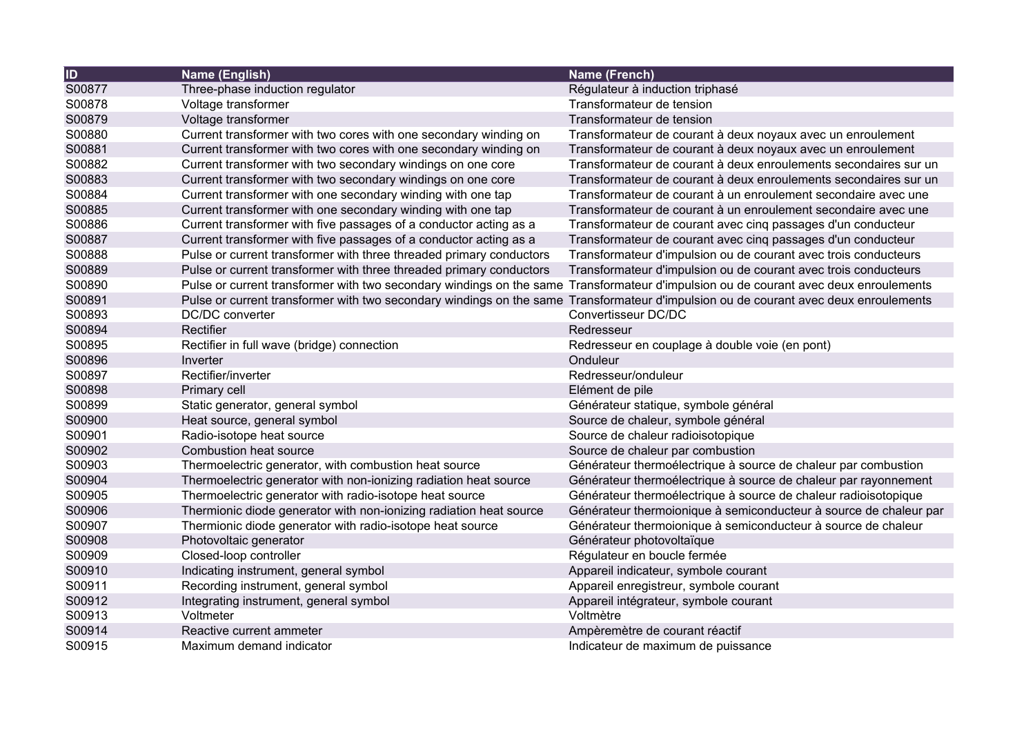| <b>ID</b> | Name (English)                                                                                                                       | Name (French)                                                     |
|-----------|--------------------------------------------------------------------------------------------------------------------------------------|-------------------------------------------------------------------|
| S00877    | Three-phase induction regulator                                                                                                      | Régulateur à induction triphasé                                   |
| S00878    | Voltage transformer                                                                                                                  | Transformateur de tension                                         |
| S00879    | Voltage transformer                                                                                                                  | Transformateur de tension                                         |
| S00880    | Current transformer with two cores with one secondary winding on                                                                     | Transformateur de courant à deux noyaux avec un enroulement       |
| S00881    | Current transformer with two cores with one secondary winding on                                                                     | Transformateur de courant à deux noyaux avec un enroulement       |
| S00882    | Current transformer with two secondary windings on one core                                                                          | Transformateur de courant à deux enroulements secondaires sur un  |
| S00883    | Current transformer with two secondary windings on one core                                                                          | Transformateur de courant à deux enroulements secondaires sur un  |
| S00884    | Current transformer with one secondary winding with one tap                                                                          | Transformateur de courant à un enroulement secondaire avec une    |
| S00885    | Current transformer with one secondary winding with one tap                                                                          | Transformateur de courant à un enroulement secondaire avec une    |
| S00886    | Current transformer with five passages of a conductor acting as a                                                                    | Transformateur de courant avec cinq passages d'un conducteur      |
| S00887    | Current transformer with five passages of a conductor acting as a                                                                    | Transformateur de courant avec cinq passages d'un conducteur      |
| S00888    | Pulse or current transformer with three threaded primary conductors                                                                  | Transformateur d'impulsion ou de courant avec trois conducteurs   |
| S00889    | Pulse or current transformer with three threaded primary conductors                                                                  | Transformateur d'impulsion ou de courant avec trois conducteurs   |
| S00890    | Pulse or current transformer with two secondary windings on the same Transformateur d'impulsion ou de courant avec deux enroulements |                                                                   |
| S00891    | Pulse or current transformer with two secondary windings on the same                                                                 | Transformateur d'impulsion ou de courant avec deux enroulements   |
| S00893    | DC/DC converter                                                                                                                      | Convertisseur DC/DC                                               |
| S00894    | Rectifier                                                                                                                            | Redresseur                                                        |
| S00895    | Rectifier in full wave (bridge) connection                                                                                           | Redresseur en couplage à double voie (en pont)                    |
| S00896    | Inverter                                                                                                                             | Onduleur                                                          |
| S00897    | Rectifier/inverter                                                                                                                   | Redresseur/onduleur                                               |
| S00898    | Primary cell                                                                                                                         | Elément de pile                                                   |
| S00899    | Static generator, general symbol                                                                                                     | Générateur statique, symbole général                              |
| S00900    | Heat source, general symbol                                                                                                          | Source de chaleur, symbole général                                |
| S00901    | Radio-isotope heat source                                                                                                            | Source de chaleur radioisotopique                                 |
| S00902    | <b>Combustion heat source</b>                                                                                                        | Source de chaleur par combustion                                  |
| S00903    | Thermoelectric generator, with combustion heat source                                                                                | Générateur thermoélectrique à source de chaleur par combustion    |
| S00904    | Thermoelectric generator with non-ionizing radiation heat source                                                                     | Générateur thermoélectrique à source de chaleur par rayonnement   |
| S00905    | Thermoelectric generator with radio-isotope heat source                                                                              | Générateur thermoélectrique à source de chaleur radioisotopique   |
| S00906    | Thermionic diode generator with non-ionizing radiation heat source                                                                   | Générateur thermoionique à semiconducteur à source de chaleur par |
| S00907    | Thermionic diode generator with radio-isotope heat source                                                                            | Générateur thermoionique à semiconducteur à source de chaleur     |
| S00908    | Photovoltaic generator                                                                                                               | Générateur photovoltaïque                                         |
| S00909    | Closed-loop controller                                                                                                               | Régulateur en boucle fermée                                       |
| S00910    | Indicating instrument, general symbol                                                                                                | Appareil indicateur, symbole courant                              |
| S00911    | Recording instrument, general symbol                                                                                                 | Appareil enregistreur, symbole courant                            |
| S00912    | Integrating instrument, general symbol                                                                                               | Appareil intégrateur, symbole courant                             |
| S00913    | Voltmeter                                                                                                                            | Voltmètre                                                         |
| S00914    | Reactive current ammeter                                                                                                             | Ampèremètre de courant réactif                                    |
| S00915    | Maximum demand indicator                                                                                                             | Indicateur de maximum de puissance                                |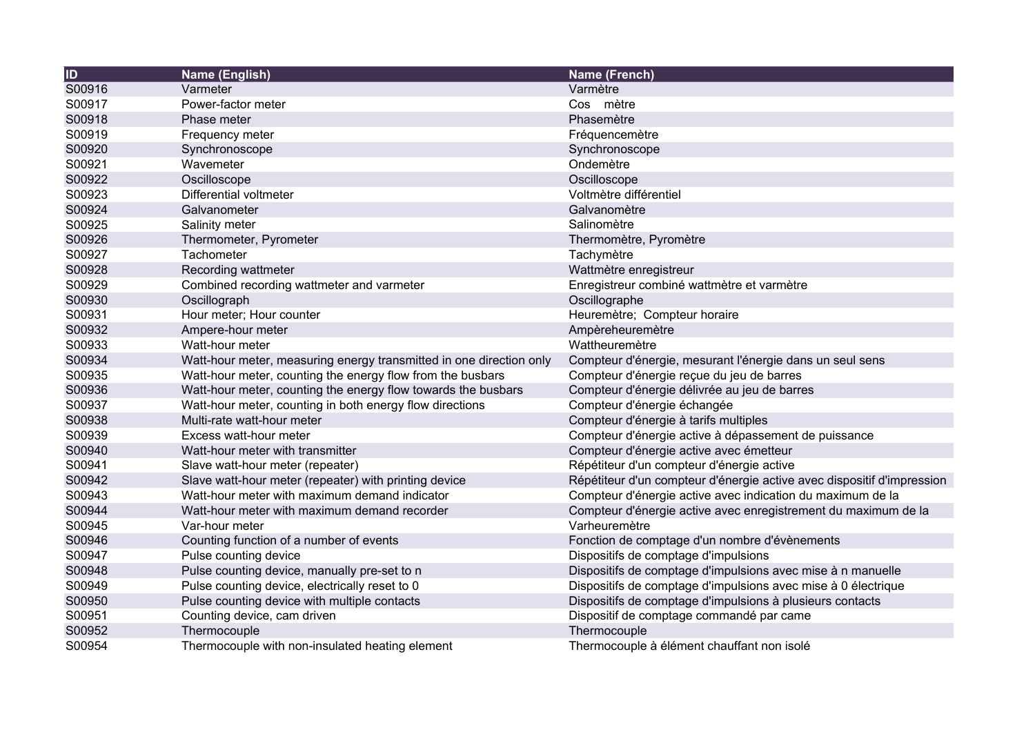| $\overline{1}$ | Name (English)                                                      | <b>Name (French)</b>                                                   |
|----------------|---------------------------------------------------------------------|------------------------------------------------------------------------|
| S00916         | Varmeter                                                            | Varmètre                                                               |
| S00917         | Power-factor meter                                                  | Cos mètre                                                              |
| S00918         | Phase meter                                                         | Phasemètre                                                             |
| S00919         | Frequency meter                                                     | Fréquencemètre                                                         |
| S00920         | Synchronoscope                                                      | Synchronoscope                                                         |
| S00921         | Wavemeter                                                           | Ondemètre                                                              |
| S00922         | Oscilloscope                                                        | Oscilloscope                                                           |
| S00923         | Differential voltmeter                                              | Voltmètre différentiel                                                 |
| S00924         | Galvanometer                                                        | Galvanomètre                                                           |
| S00925         | Salinity meter                                                      | Salinomètre                                                            |
| S00926         | Thermometer, Pyrometer                                              | Thermomètre, Pyromètre                                                 |
| S00927         | Tachometer                                                          | Tachymètre                                                             |
| S00928         | Recording wattmeter                                                 | Wattmètre enregistreur                                                 |
| S00929         | Combined recording wattmeter and varmeter                           | Enregistreur combiné wattmètre et varmètre                             |
| S00930         | Oscillograph                                                        | Oscillographe                                                          |
| S00931         | Hour meter; Hour counter                                            | Heuremètre; Compteur horaire                                           |
| S00932         | Ampere-hour meter                                                   | Ampèreheuremètre                                                       |
| S00933         | Watt-hour meter                                                     | Wattheuremètre                                                         |
| S00934         | Watt-hour meter, measuring energy transmitted in one direction only | Compteur d'énergie, mesurant l'énergie dans un seul sens               |
| S00935         | Watt-hour meter, counting the energy flow from the busbars          | Compteur d'énergie reçue du jeu de barres                              |
| S00936         | Watt-hour meter, counting the energy flow towards the busbars       | Compteur d'énergie délivrée au jeu de barres                           |
| S00937         | Watt-hour meter, counting in both energy flow directions            | Compteur d'énergie échangée                                            |
| S00938         | Multi-rate watt-hour meter                                          | Compteur d'énergie à tarifs multiples                                  |
| S00939         | Excess watt-hour meter                                              | Compteur d'énergie active à dépassement de puissance                   |
| S00940         | Watt-hour meter with transmitter                                    | Compteur d'énergie active avec émetteur                                |
| S00941         | Slave watt-hour meter (repeater)                                    | Répétiteur d'un compteur d'énergie active                              |
| S00942         | Slave watt-hour meter (repeater) with printing device               | Répétiteur d'un compteur d'énergie active avec dispositif d'impression |
| S00943         | Watt-hour meter with maximum demand indicator                       | Compteur d'énergie active avec indication du maximum de la             |
| S00944         | Watt-hour meter with maximum demand recorder                        | Compteur d'énergie active avec enregistrement du maximum de la         |
| S00945         | Var-hour meter                                                      | Varheuremètre                                                          |
| S00946         | Counting function of a number of events                             | Fonction de comptage d'un nombre d'évènements                          |
| S00947         | Pulse counting device                                               | Dispositifs de comptage d'impulsions                                   |
| S00948         | Pulse counting device, manually pre-set to n                        | Dispositifs de comptage d'impulsions avec mise à n manuelle            |
| S00949         | Pulse counting device, electrically reset to 0                      | Dispositifs de comptage d'impulsions avec mise à 0 électrique          |
| S00950         | Pulse counting device with multiple contacts                        | Dispositifs de comptage d'impulsions à plusieurs contacts              |
| S00951         | Counting device, cam driven                                         | Dispositif de comptage commandé par came                               |
| S00952         | Thermocouple                                                        | Thermocouple                                                           |
| S00954         | Thermocouple with non-insulated heating element                     | Thermocouple à élément chauffant non isolé                             |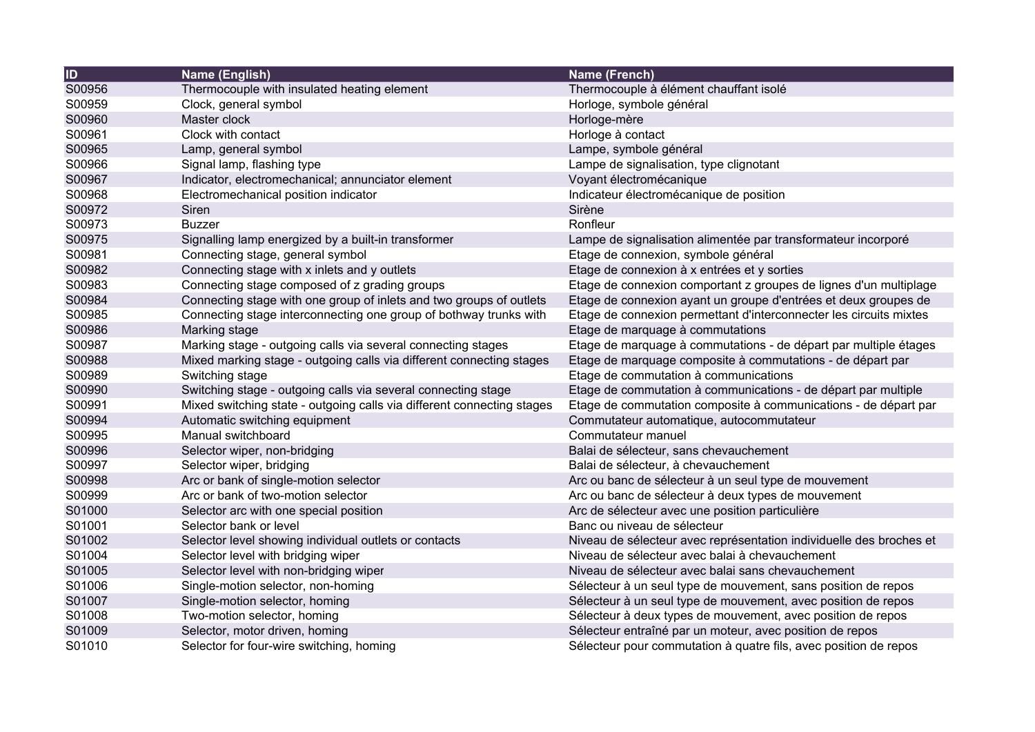| $\overline{1}$ | Name (English)                                                         | Name (French)                                                       |
|----------------|------------------------------------------------------------------------|---------------------------------------------------------------------|
| S00956         | Thermocouple with insulated heating element                            | Thermocouple à élément chauffant isolé                              |
| S00959         | Clock, general symbol                                                  | Horloge, symbole général                                            |
| S00960         | Master clock                                                           | Horloge-mère                                                        |
| S00961         | Clock with contact                                                     | Horloge à contact                                                   |
| S00965         | Lamp, general symbol                                                   | Lampe, symbole général                                              |
| S00966         | Signal lamp, flashing type                                             | Lampe de signalisation, type clignotant                             |
| S00967         | Indicator, electromechanical; annunciator element                      | Voyant électromécanique                                             |
| S00968         | Electromechanical position indicator                                   | Indicateur électromécanique de position                             |
| S00972         | Siren                                                                  | Sirène                                                              |
| S00973         | <b>Buzzer</b>                                                          | Ronfleur                                                            |
| S00975         | Signalling lamp energized by a built-in transformer                    | Lampe de signalisation alimentée par transformateur incorporé       |
| S00981         | Connecting stage, general symbol                                       | Etage de connexion, symbole général                                 |
| S00982         | Connecting stage with x inlets and y outlets                           | Etage de connexion à x entrées et y sorties                         |
| S00983         | Connecting stage composed of z grading groups                          | Etage de connexion comportant z groupes de lignes d'un multiplage   |
| S00984         | Connecting stage with one group of inlets and two groups of outlets    | Etage de connexion ayant un groupe d'entrées et deux groupes de     |
| S00985         | Connecting stage interconnecting one group of bothway trunks with      | Etage de connexion permettant d'interconnecter les circuits mixtes  |
| S00986         | Marking stage                                                          | Etage de marquage à commutations                                    |
| S00987         | Marking stage - outgoing calls via several connecting stages           | Etage de marquage à commutations - de départ par multiple étages    |
| S00988         | Mixed marking stage - outgoing calls via different connecting stages   | Etage de marquage composite à commutations - de départ par          |
| S00989         | Switching stage                                                        | Etage de commutation à communications                               |
| S00990         | Switching stage - outgoing calls via several connecting stage          | Etage de commutation à communications - de départ par multiple      |
| S00991         | Mixed switching state - outgoing calls via different connecting stages | Etage de commutation composite à communications - de départ par     |
| S00994         | Automatic switching equipment                                          | Commutateur automatique, autocommutateur                            |
| S00995         | Manual switchboard                                                     | Commutateur manuel                                                  |
| S00996         | Selector wiper, non-bridging                                           | Balai de sélecteur, sans chevauchement                              |
| S00997         | Selector wiper, bridging                                               | Balai de sélecteur, à chevauchement                                 |
| S00998         | Arc or bank of single-motion selector                                  | Arc ou banc de sélecteur à un seul type de mouvement                |
| S00999         | Arc or bank of two-motion selector                                     | Arc ou banc de sélecteur à deux types de mouvement                  |
| S01000         | Selector arc with one special position                                 | Arc de sélecteur avec une position particulière                     |
| S01001         | Selector bank or level                                                 | Banc ou niveau de sélecteur                                         |
| S01002         | Selector level showing individual outlets or contacts                  | Niveau de sélecteur avec représentation individuelle des broches et |
| S01004         | Selector level with bridging wiper                                     | Niveau de sélecteur avec balai à chevauchement                      |
| S01005         | Selector level with non-bridging wiper                                 | Niveau de sélecteur avec balai sans chevauchement                   |
| S01006         | Single-motion selector, non-homing                                     | Sélecteur à un seul type de mouvement, sans position de repos       |
| S01007         | Single-motion selector, homing                                         | Sélecteur à un seul type de mouvement, avec position de repos       |
| S01008         | Two-motion selector, homing                                            | Sélecteur à deux types de mouvement, avec position de repos         |
| S01009         | Selector, motor driven, homing                                         | Sélecteur entraîné par un moteur, avec position de repos            |
| S01010         | Selector for four-wire switching, homing                               | Sélecteur pour commutation à quatre fils, avec position de repos    |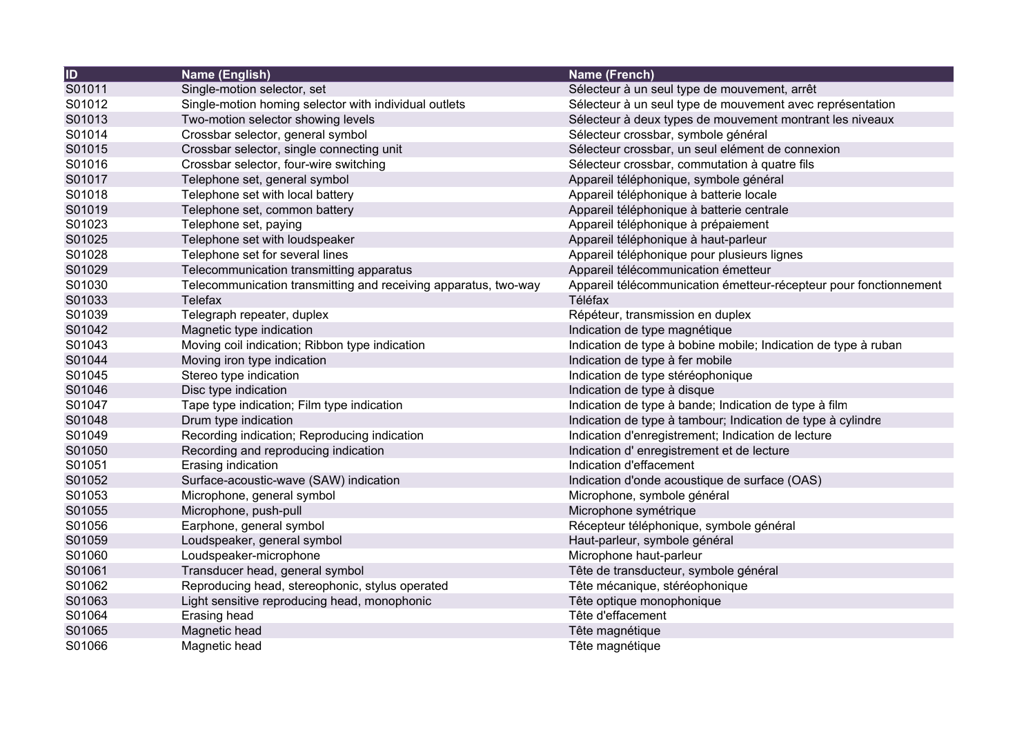| $\overline{1}$ | Name (English)                                                  | Name (French)                                                     |
|----------------|-----------------------------------------------------------------|-------------------------------------------------------------------|
| S01011         | Single-motion selector, set                                     | Sélecteur à un seul type de mouvement, arrêt                      |
| S01012         | Single-motion homing selector with individual outlets           | Sélecteur à un seul type de mouvement avec représentation         |
| S01013         | Two-motion selector showing levels                              | Sélecteur à deux types de mouvement montrant les niveaux          |
| S01014         | Crossbar selector, general symbol                               | Sélecteur crossbar, symbole général                               |
| S01015         | Crossbar selector, single connecting unit                       | Sélecteur crossbar, un seul elément de connexion                  |
| S01016         | Crossbar selector, four-wire switching                          | Sélecteur crossbar, commutation à quatre fils                     |
| S01017         | Telephone set, general symbol                                   | Appareil téléphonique, symbole général                            |
| S01018         | Telephone set with local battery                                | Appareil téléphonique à batterie locale                           |
| S01019         | Telephone set, common battery                                   | Appareil téléphonique à batterie centrale                         |
| S01023         | Telephone set, paying                                           | Appareil téléphonique à prépaiement                               |
| S01025         | Telephone set with loudspeaker                                  | Appareil téléphonique à haut-parleur                              |
| S01028         | Telephone set for several lines                                 | Appareil téléphonique pour plusieurs lignes                       |
| S01029         | Telecommunication transmitting apparatus                        | Appareil télécommunication émetteur                               |
| S01030         | Telecommunication transmitting and receiving apparatus, two-way | Appareil télécommunication émetteur-récepteur pour fonctionnement |
| S01033         | Telefax                                                         | Téléfax                                                           |
| S01039         | Telegraph repeater, duplex                                      | Répéteur, transmission en duplex                                  |
| S01042         | Magnetic type indication                                        | Indication de type magnétique                                     |
| S01043         | Moving coil indication; Ribbon type indication                  | Indication de type à bobine mobile; Indication de type à ruban    |
| S01044         | Moving iron type indication                                     | Indication de type à fer mobile                                   |
| S01045         | Stereo type indication                                          | Indication de type stéréophonique                                 |
| S01046         | Disc type indication                                            | Indication de type à disque                                       |
| S01047         | Tape type indication; Film type indication                      | Indication de type à bande; Indication de type à film             |
| S01048         | Drum type indication                                            | Indication de type à tambour; Indication de type à cylindre       |
| S01049         | Recording indication; Reproducing indication                    | Indication d'enregistrement; Indication de lecture                |
| S01050         | Recording and reproducing indication                            | Indication d'enregistrement et de lecture                         |
| S01051         | Erasing indication                                              | Indication d'effacement                                           |
| S01052         | Surface-acoustic-wave (SAW) indication                          | Indication d'onde acoustique de surface (OAS)                     |
| S01053         | Microphone, general symbol                                      | Microphone, symbole général                                       |
| S01055         | Microphone, push-pull                                           | Microphone symétrique                                             |
| S01056         | Earphone, general symbol                                        | Récepteur téléphonique, symbole général                           |
| S01059         | Loudspeaker, general symbol                                     | Haut-parleur, symbole général                                     |
| S01060         | Loudspeaker-microphone                                          | Microphone haut-parleur                                           |
| S01061         | Transducer head, general symbol                                 | Tête de transducteur, symbole général                             |
| S01062         | Reproducing head, stereophonic, stylus operated                 | Tête mécanique, stéréophonique                                    |
| S01063         | Light sensitive reproducing head, monophonic                    | Tête optique monophonique                                         |
| S01064         | Erasing head                                                    | Tête d'effacement                                                 |
| S01065         | Magnetic head                                                   | Tête magnétique                                                   |
| S01066         | Magnetic head                                                   | Tête magnétique                                                   |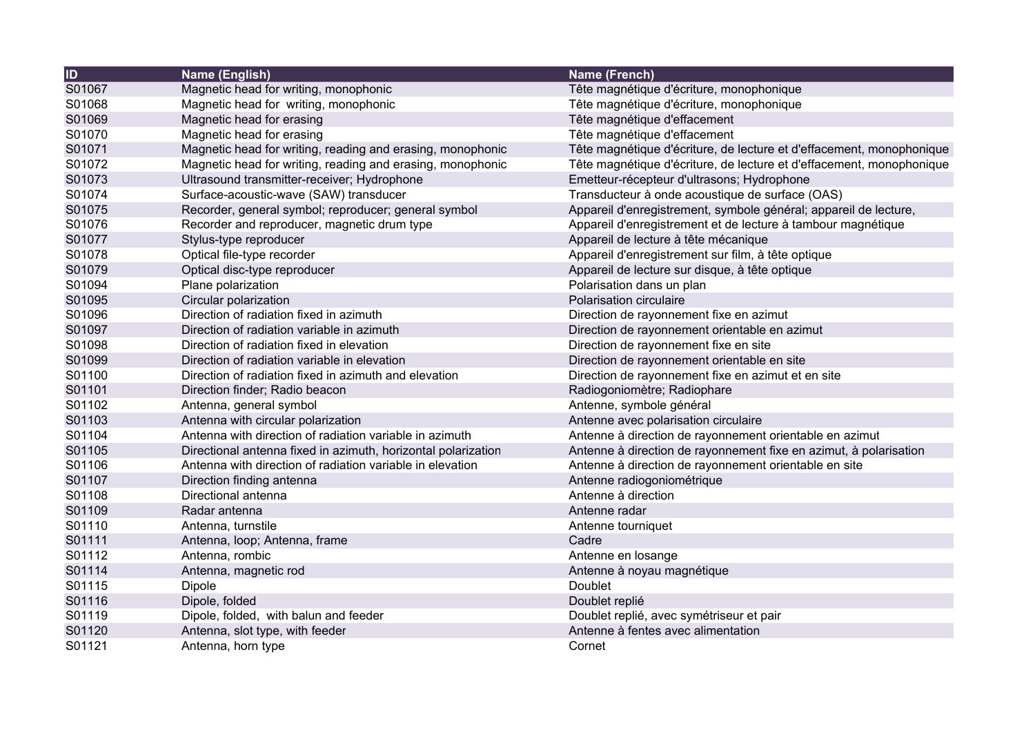| $\overline{1}$ | Name (English)                                                | Name (French)                                                        |
|----------------|---------------------------------------------------------------|----------------------------------------------------------------------|
| S01067         | Magnetic head for writing, monophonic                         | Tête magnétique d'écriture, monophonique                             |
| S01068         | Magnetic head for writing, monophonic                         | Tête magnétique d'écriture, monophonique                             |
| S01069         | Magnetic head for erasing                                     | Tête magnétique d'effacement                                         |
| S01070         | Magnetic head for erasing                                     | Tête magnétique d'effacement                                         |
| S01071         | Magnetic head for writing, reading and erasing, monophonic    | Tête magnétique d'écriture, de lecture et d'effacement, monophonique |
| S01072         | Magnetic head for writing, reading and erasing, monophonic    | Tête magnétique d'écriture, de lecture et d'effacement, monophonique |
| S01073         | Ultrasound transmitter-receiver; Hydrophone                   | Emetteur-récepteur d'ultrasons; Hydrophone                           |
| S01074         | Surface-acoustic-wave (SAW) transducer                        | Transducteur à onde acoustique de surface (OAS)                      |
| S01075         | Recorder, general symbol; reproducer; general symbol          | Appareil d'enregistrement, symbole général; appareil de lecture,     |
| S01076         | Recorder and reproducer, magnetic drum type                   | Appareil d'enregistrement et de lecture à tambour magnétique         |
| S01077         | Stylus-type reproducer                                        | Appareil de lecture à tête mécanique                                 |
| S01078         | Optical file-type recorder                                    | Appareil d'enregistrement sur film, à tête optique                   |
| S01079         | Optical disc-type reproducer                                  | Appareil de lecture sur disque, à tête optique                       |
| S01094         | Plane polarization                                            | Polarisation dans un plan                                            |
| S01095         | Circular polarization                                         | Polarisation circulaire                                              |
| S01096         | Direction of radiation fixed in azimuth                       | Direction de rayonnement fixe en azimut                              |
| S01097         | Direction of radiation variable in azimuth                    | Direction de rayonnement orientable en azimut                        |
| S01098         | Direction of radiation fixed in elevation                     | Direction de rayonnement fixe en site                                |
| S01099         | Direction of radiation variable in elevation                  | Direction de rayonnement orientable en site                          |
| S01100         | Direction of radiation fixed in azimuth and elevation         | Direction de rayonnement fixe en azimut et en site                   |
| S01101         | Direction finder; Radio beacon                                | Radiogoniomètre; Radiophare                                          |
| S01102         | Antenna, general symbol                                       | Antenne, symbole général                                             |
| S01103         | Antenna with circular polarization                            | Antenne avec polarisation circulaire                                 |
| S01104         | Antenna with direction of radiation variable in azimuth       | Antenne à direction de rayonnement orientable en azimut              |
| S01105         | Directional antenna fixed in azimuth, horizontal polarization | Antenne à direction de rayonnement fixe en azimut, à polarisation    |
| S01106         | Antenna with direction of radiation variable in elevation     | Antenne à direction de rayonnement orientable en site                |
| S01107         | Direction finding antenna                                     | Antenne radiogoniométrique                                           |
| S01108         | Directional antenna                                           | Antenne à direction                                                  |
| S01109         | Radar antenna                                                 | Antenne radar                                                        |
| S01110         | Antenna, turnstile                                            | Antenne tourniquet                                                   |
| S01111         | Antenna, loop; Antenna, frame                                 | Cadre                                                                |
| S01112         | Antenna, rombic                                               | Antenne en losange                                                   |
| S01114         | Antenna, magnetic rod                                         | Antenne à noyau magnétique                                           |
| S01115         | Dipole                                                        | Doublet                                                              |
| S01116         | Dipole, folded                                                | Doublet replié                                                       |
| S01119         | Dipole, folded, with balun and feeder                         | Doublet replié, avec symétriseur et pair                             |
| S01120         | Antenna, slot type, with feeder                               | Antenne à fentes avec alimentation                                   |
| S01121         | Antenna, horn type                                            | Cornet                                                               |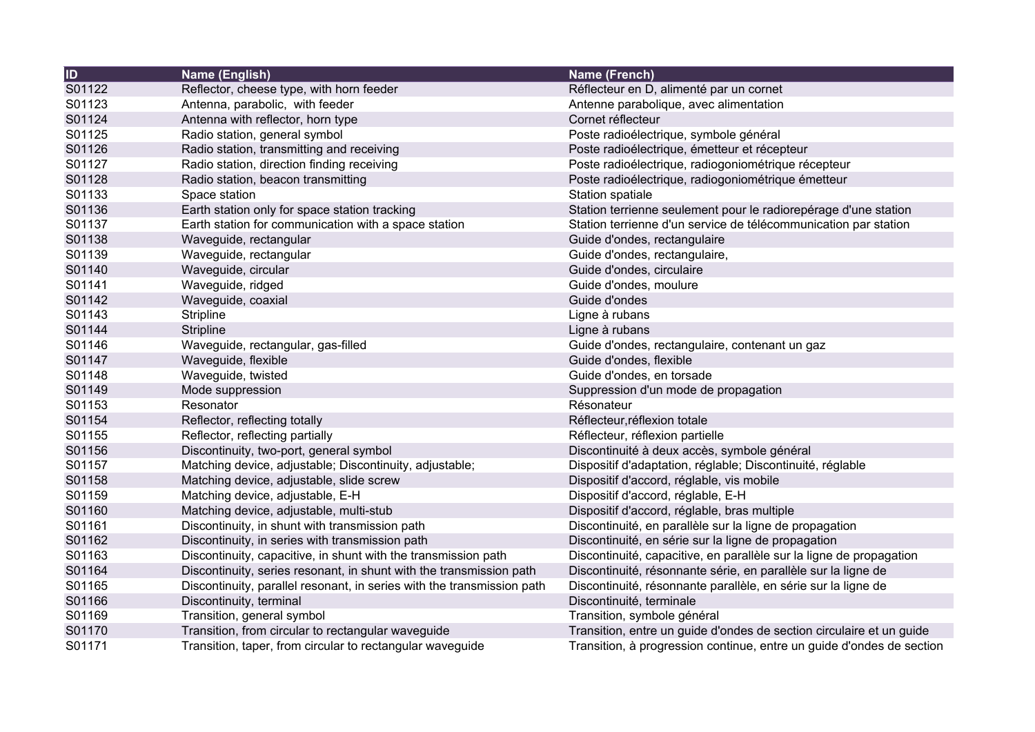| $\overline{1}$ | Name (English)                                                         | Name (French)                                                         |
|----------------|------------------------------------------------------------------------|-----------------------------------------------------------------------|
| S01122         | Reflector, cheese type, with horn feeder                               | Réflecteur en D, alimenté par un cornet                               |
| S01123         | Antenna, parabolic, with feeder                                        | Antenne parabolique, avec alimentation                                |
| S01124         | Antenna with reflector, horn type                                      | Cornet réflecteur                                                     |
| S01125         | Radio station, general symbol                                          | Poste radioélectrique, symbole général                                |
| S01126         | Radio station, transmitting and receiving                              | Poste radioélectrique, émetteur et récepteur                          |
| S01127         | Radio station, direction finding receiving                             | Poste radioélectrique, radiogoniométrique récepteur                   |
| S01128         | Radio station, beacon transmitting                                     | Poste radioélectrique, radiogoniométrique émetteur                    |
| S01133         | Space station                                                          | Station spatiale                                                      |
| S01136         | Earth station only for space station tracking                          | Station terrienne seulement pour le radiorepérage d'une station       |
| S01137         | Earth station for communication with a space station                   | Station terrienne d'un service de télécommunication par station       |
| S01138         | Waveguide, rectangular                                                 | Guide d'ondes, rectangulaire                                          |
| S01139         | Waveguide, rectangular                                                 | Guide d'ondes, rectangulaire,                                         |
| S01140         | Waveguide, circular                                                    | Guide d'ondes, circulaire                                             |
| S01141         | Waveguide, ridged                                                      | Guide d'ondes, moulure                                                |
| S01142         | Waveguide, coaxial                                                     | Guide d'ondes                                                         |
| S01143         | Stripline                                                              | Ligne à rubans                                                        |
| S01144         | Stripline                                                              | Ligne à rubans                                                        |
| S01146         | Waveguide, rectangular, gas-filled                                     | Guide d'ondes, rectangulaire, contenant un gaz                        |
| S01147         | Waveguide, flexible                                                    | Guide d'ondes, flexible                                               |
| S01148         | Waveguide, twisted                                                     | Guide d'ondes, en torsade                                             |
| S01149         | Mode suppression                                                       | Suppression d'un mode de propagation                                  |
| S01153         | Resonator                                                              | Résonateur                                                            |
| S01154         | Reflector, reflecting totally                                          | Réflecteur, réflexion totale                                          |
| S01155         | Reflector, reflecting partially                                        | Réflecteur, réflexion partielle                                       |
| S01156         | Discontinuity, two-port, general symbol                                | Discontinuité à deux accès, symbole général                           |
| S01157         | Matching device, adjustable; Discontinuity, adjustable;                | Dispositif d'adaptation, réglable; Discontinuité, réglable            |
| S01158         | Matching device, adjustable, slide screw                               | Dispositif d'accord, réglable, vis mobile                             |
| S01159         | Matching device, adjustable, E-H                                       | Dispositif d'accord, réglable, E-H                                    |
| S01160         | Matching device, adjustable, multi-stub                                | Dispositif d'accord, réglable, bras multiple                          |
| S01161         | Discontinuity, in shunt with transmission path                         | Discontinuité, en parallèle sur la ligne de propagation               |
| S01162         | Discontinuity, in series with transmission path                        | Discontinuité, en série sur la ligne de propagation                   |
| S01163         | Discontinuity, capacitive, in shunt with the transmission path         | Discontinuité, capacitive, en parallèle sur la ligne de propagation   |
| S01164         | Discontinuity, series resonant, in shunt with the transmission path    | Discontinuité, résonnante série, en parallèle sur la ligne de         |
| S01165         | Discontinuity, parallel resonant, in series with the transmission path | Discontinuité, résonnante parallèle, en série sur la ligne de         |
| S01166         | Discontinuity, terminal                                                | Discontinuité, terminale                                              |
| S01169         | Transition, general symbol                                             | Transition, symbole général                                           |
| S01170         | Transition, from circular to rectangular waveguide                     | Transition, entre un guide d'ondes de section circulaire et un guide  |
| S01171         | Transition, taper, from circular to rectangular waveguide              | Transition, à progression continue, entre un guide d'ondes de section |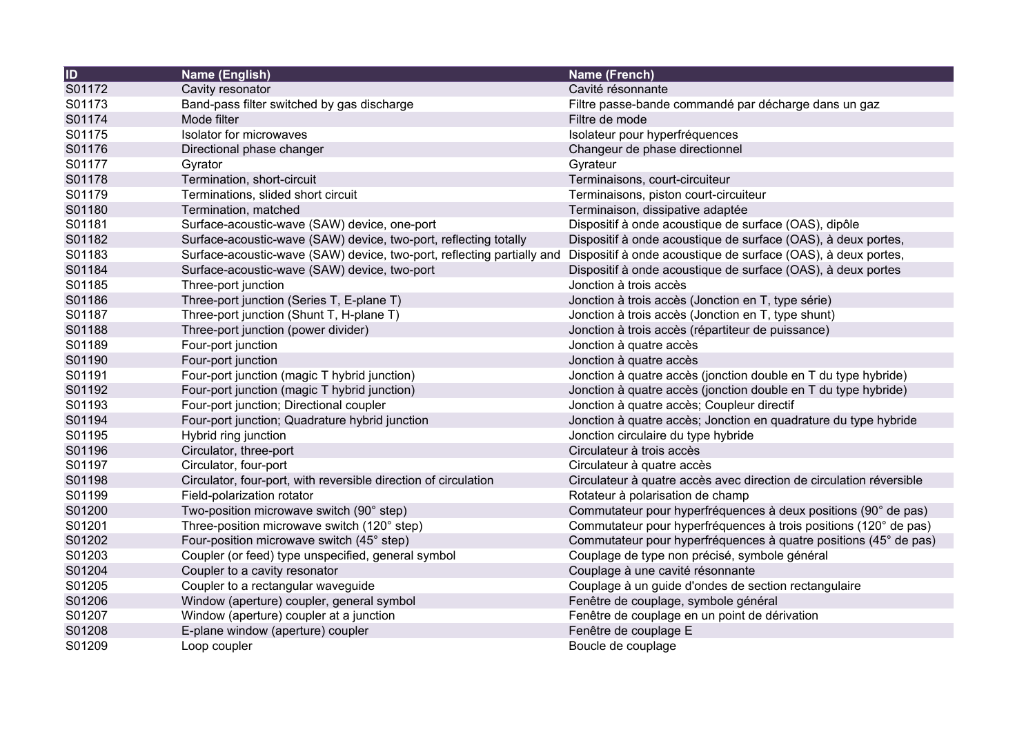| ID     | Name (English)                                                         | Name (French)                                                       |
|--------|------------------------------------------------------------------------|---------------------------------------------------------------------|
| S01172 | Cavity resonator                                                       | Cavité résonnante                                                   |
| S01173 | Band-pass filter switched by gas discharge                             | Filtre passe-bande commandé par décharge dans un gaz                |
| S01174 | Mode filter                                                            | Filtre de mode                                                      |
| S01175 | <b>Isolator for microwaves</b>                                         | Isolateur pour hyperfréquences                                      |
| S01176 | Directional phase changer                                              | Changeur de phase directionnel                                      |
| S01177 | Gyrator                                                                | Gyrateur                                                            |
| S01178 | Termination, short-circuit                                             | Terminaisons, court-circuiteur                                      |
| S01179 | Terminations, slided short circuit                                     | Terminaisons, piston court-circuiteur                               |
| S01180 | Termination, matched                                                   | Terminaison, dissipative adaptée                                    |
| S01181 | Surface-acoustic-wave (SAW) device, one-port                           | Dispositif à onde acoustique de surface (OAS), dipôle               |
| S01182 | Surface-acoustic-wave (SAW) device, two-port, reflecting totally       | Dispositif à onde acoustique de surface (OAS), à deux portes,       |
| S01183 | Surface-acoustic-wave (SAW) device, two-port, reflecting partially and | Dispositif à onde acoustique de surface (OAS), à deux portes,       |
| S01184 | Surface-acoustic-wave (SAW) device, two-port                           | Dispositif à onde acoustique de surface (OAS), à deux portes        |
| S01185 | Three-port junction                                                    | Jonction à trois accès                                              |
| S01186 | Three-port junction (Series T, E-plane T)                              | Jonction à trois accès (Jonction en T, type série)                  |
| S01187 | Three-port junction (Shunt T, H-plane T)                               | Jonction à trois accès (Jonction en T, type shunt)                  |
| S01188 | Three-port junction (power divider)                                    | Jonction à trois accès (répartiteur de puissance)                   |
| S01189 | Four-port junction                                                     | Jonction à quatre accès                                             |
| S01190 | Four-port junction                                                     | Jonction à quatre accès                                             |
| S01191 | Four-port junction (magic T hybrid junction)                           | Jonction à quatre accès (jonction double en T du type hybride)      |
| S01192 | Four-port junction (magic T hybrid junction)                           | Jonction à quatre accès (jonction double en T du type hybride)      |
| S01193 | Four-port junction; Directional coupler                                | Jonction à quatre accès; Coupleur directif                          |
| S01194 | Four-port junction; Quadrature hybrid junction                         | Jonction à quatre accès; Jonction en quadrature du type hybride     |
| S01195 | Hybrid ring junction                                                   | Jonction circulaire du type hybride                                 |
| S01196 | Circulator, three-port                                                 | Circulateur à trois accès                                           |
| S01197 | Circulator, four-port                                                  | Circulateur à quatre accès                                          |
| S01198 | Circulator, four-port, with reversible direction of circulation        | Circulateur à quatre accès avec direction de circulation réversible |
| S01199 | Field-polarization rotator                                             | Rotateur à polarisation de champ                                    |
| S01200 | Two-position microwave switch (90° step)                               | Commutateur pour hyperfréquences à deux positions (90° de pas)      |
| S01201 | Three-position microwave switch (120° step)                            | Commutateur pour hyperfréquences à trois positions (120° de pas)    |
| S01202 | Four-position microwave switch (45° step)                              | Commutateur pour hyperfréquences à quatre positions (45° de pas)    |
| S01203 | Coupler (or feed) type unspecified, general symbol                     | Couplage de type non précisé, symbole général                       |
| S01204 | Coupler to a cavity resonator                                          | Couplage à une cavité résonnante                                    |
| S01205 | Coupler to a rectangular waveguide                                     | Couplage à un guide d'ondes de section rectangulaire                |
| S01206 | Window (aperture) coupler, general symbol                              | Fenêtre de couplage, symbole général                                |
| S01207 | Window (aperture) coupler at a junction                                | Fenêtre de couplage en un point de dérivation                       |
| S01208 | E-plane window (aperture) coupler                                      | Fenêtre de couplage E                                               |
| S01209 | Loop coupler                                                           | Boucle de couplage                                                  |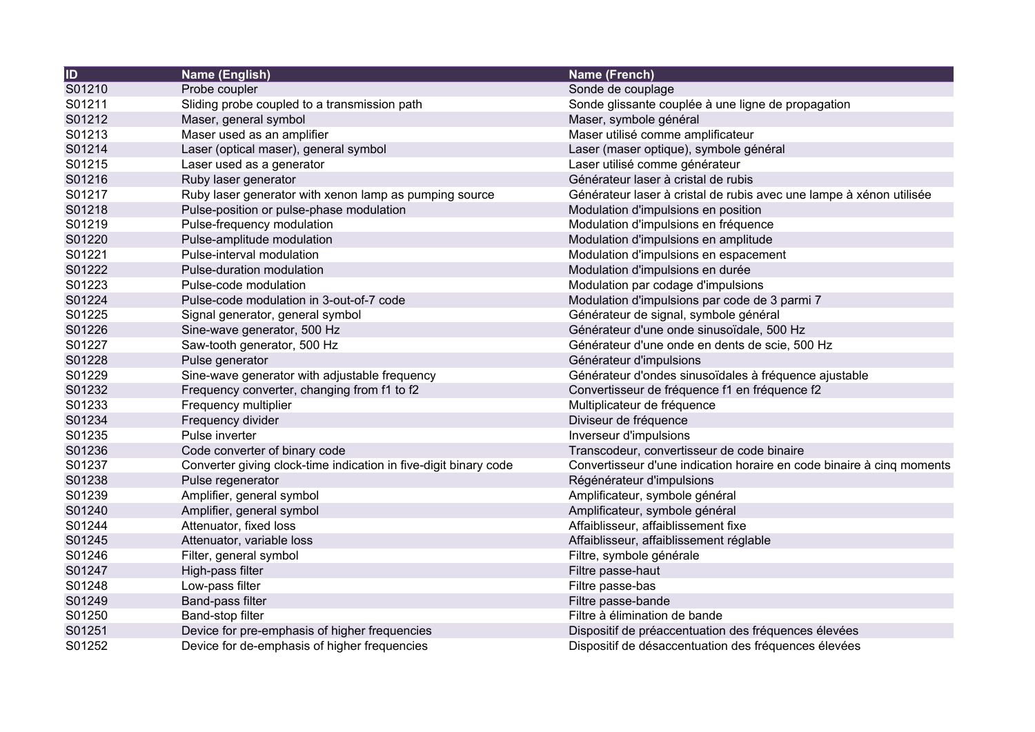| ID     | Name (English)                                                   | <b>Name (French)</b>                                                  |
|--------|------------------------------------------------------------------|-----------------------------------------------------------------------|
| S01210 | Probe coupler                                                    | Sonde de couplage                                                     |
| S01211 | Sliding probe coupled to a transmission path                     | Sonde glissante couplée à une ligne de propagation                    |
| S01212 | Maser, general symbol                                            | Maser, symbole général                                                |
| S01213 | Maser used as an amplifier                                       | Maser utilisé comme amplificateur                                     |
| S01214 | Laser (optical maser), general symbol                            | Laser (maser optique), symbole général                                |
| S01215 | Laser used as a generator                                        | Laser utilisé comme générateur                                        |
| S01216 | Ruby laser generator                                             | Générateur laser à cristal de rubis                                   |
| S01217 | Ruby laser generator with xenon lamp as pumping source           | Générateur laser à cristal de rubis avec une lampe à xénon utilisée   |
| S01218 | Pulse-position or pulse-phase modulation                         | Modulation d'impulsions en position                                   |
| S01219 | Pulse-frequency modulation                                       | Modulation d'impulsions en fréquence                                  |
| S01220 | Pulse-amplitude modulation                                       | Modulation d'impulsions en amplitude                                  |
| S01221 | Pulse-interval modulation                                        | Modulation d'impulsions en espacement                                 |
| S01222 | Pulse-duration modulation                                        | Modulation d'impulsions en durée                                      |
| S01223 | Pulse-code modulation                                            | Modulation par codage d'impulsions                                    |
| S01224 | Pulse-code modulation in 3-out-of-7 code                         | Modulation d'impulsions par code de 3 parmi 7                         |
| S01225 | Signal generator, general symbol                                 | Générateur de signal, symbole général                                 |
| S01226 | Sine-wave generator, 500 Hz                                      | Générateur d'une onde sinusoïdale, 500 Hz                             |
| S01227 | Saw-tooth generator, 500 Hz                                      | Générateur d'une onde en dents de scie, 500 Hz                        |
| S01228 | Pulse generator                                                  | Générateur d'impulsions                                               |
| S01229 | Sine-wave generator with adjustable frequency                    | Générateur d'ondes sinusoïdales à fréquence ajustable                 |
| S01232 | Frequency converter, changing from f1 to f2                      | Convertisseur de fréquence f1 en fréquence f2                         |
| S01233 | Frequency multiplier                                             | Multiplicateur de fréquence                                           |
| S01234 | Frequency divider                                                | Diviseur de fréquence                                                 |
| S01235 | Pulse inverter                                                   | Inverseur d'impulsions                                                |
| S01236 | Code converter of binary code                                    | Transcodeur, convertisseur de code binaire                            |
| S01237 | Converter giving clock-time indication in five-digit binary code | Convertisseur d'une indication horaire en code binaire à cinq moments |
| S01238 | Pulse regenerator                                                | Régénérateur d'impulsions                                             |
| S01239 | Amplifier, general symbol                                        | Amplificateur, symbole général                                        |
| S01240 | Amplifier, general symbol                                        | Amplificateur, symbole général                                        |
| S01244 | Attenuator, fixed loss                                           | Affaiblisseur, affaiblissement fixe                                   |
| S01245 | Attenuator, variable loss                                        | Affaiblisseur, affaiblissement réglable                               |
| S01246 | Filter, general symbol                                           | Filtre, symbole générale                                              |
| S01247 | High-pass filter                                                 | Filtre passe-haut                                                     |
| S01248 | Low-pass filter                                                  | Filtre passe-bas                                                      |
| S01249 | Band-pass filter                                                 | Filtre passe-bande                                                    |
| S01250 | Band-stop filter                                                 | Filtre à élimination de bande                                         |
| S01251 | Device for pre-emphasis of higher frequencies                    | Dispositif de préaccentuation des fréquences élevées                  |
| S01252 | Device for de-emphasis of higher frequencies                     | Dispositif de désaccentuation des fréquences élevées                  |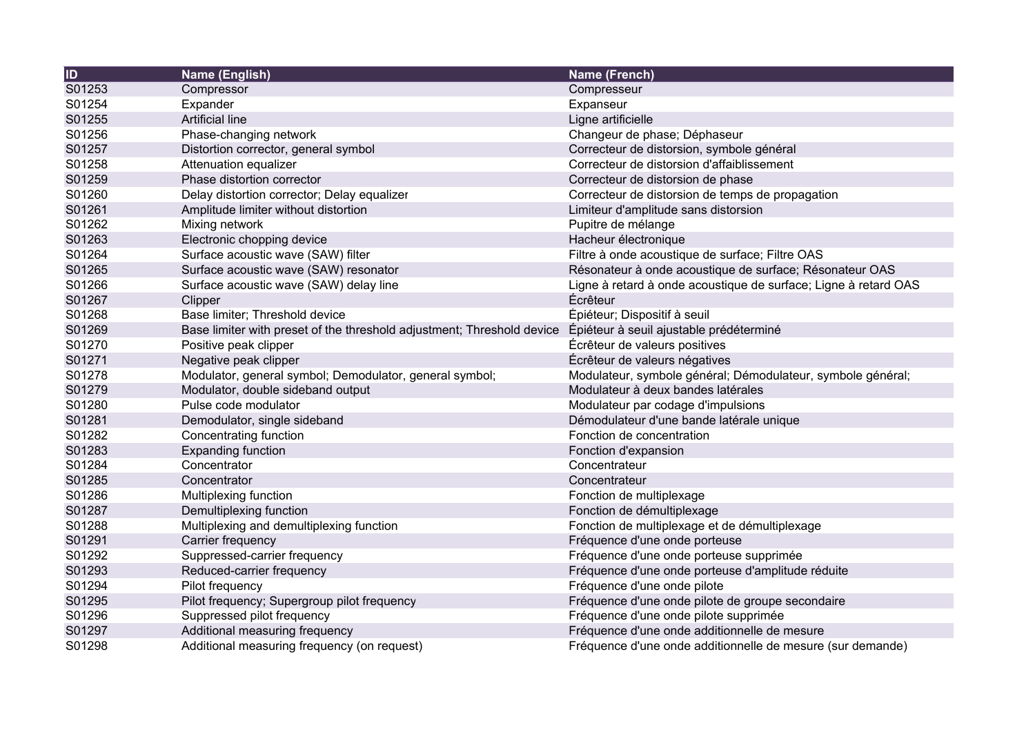| ID     | <b>Name (English)</b>                                                  | <b>Name (French)</b>                                            |
|--------|------------------------------------------------------------------------|-----------------------------------------------------------------|
| S01253 | Compressor                                                             | Compresseur                                                     |
| S01254 | Expander                                                               | Expanseur                                                       |
| S01255 | Artificial line                                                        | Ligne artificielle                                              |
| S01256 | Phase-changing network                                                 | Changeur de phase; Déphaseur                                    |
| S01257 | Distortion corrector, general symbol                                   | Correcteur de distorsion, symbole général                       |
| S01258 | Attenuation equalizer                                                  | Correcteur de distorsion d'affaiblissement                      |
| S01259 | Phase distortion corrector                                             | Correcteur de distorsion de phase                               |
| S01260 | Delay distortion corrector; Delay equalizer                            | Correcteur de distorsion de temps de propagation                |
| S01261 | Amplitude limiter without distortion                                   | Limiteur d'amplitude sans distorsion                            |
| S01262 | Mixing network                                                         | Pupitre de mélange                                              |
| S01263 | Electronic chopping device                                             | Hacheur électronique                                            |
| S01264 | Surface acoustic wave (SAW) filter                                     | Filtre à onde acoustique de surface; Filtre OAS                 |
| S01265 | Surface acoustic wave (SAW) resonator                                  | Résonateur à onde acoustique de surface; Résonateur OAS         |
| S01266 | Surface acoustic wave (SAW) delay line                                 | Ligne à retard à onde acoustique de surface; Ligne à retard OAS |
| S01267 | Clipper                                                                | Écrêteur                                                        |
| S01268 | Base limiter; Threshold device                                         | Épiéteur; Dispositif à seuil                                    |
| S01269 | Base limiter with preset of the threshold adjustment; Threshold device | Épiéteur à seuil ajustable prédéterminé                         |
| S01270 | Positive peak clipper                                                  | Écrêteur de valeurs positives                                   |
| S01271 | Negative peak clipper                                                  | Écrêteur de valeurs négatives                                   |
| S01278 | Modulator, general symbol; Demodulator, general symbol;                | Modulateur, symbole général; Démodulateur, symbole général;     |
| S01279 | Modulator, double sideband output                                      | Modulateur à deux bandes latérales                              |
| S01280 | Pulse code modulator                                                   | Modulateur par codage d'impulsions                              |
| S01281 | Demodulator, single sideband                                           | Démodulateur d'une bande latérale unique                        |
| S01282 | Concentrating function                                                 | Fonction de concentration                                       |
| S01283 | <b>Expanding function</b>                                              | Fonction d'expansion                                            |
| S01284 | Concentrator                                                           | Concentrateur                                                   |
| S01285 | Concentrator                                                           | Concentrateur                                                   |
| S01286 | Multiplexing function                                                  | Fonction de multiplexage                                        |
| S01287 | Demultiplexing function                                                | Fonction de démultiplexage                                      |
| S01288 | Multiplexing and demultiplexing function                               | Fonction de multiplexage et de démultiplexage                   |
| S01291 | Carrier frequency                                                      | Fréquence d'une onde porteuse                                   |
| S01292 | Suppressed-carrier frequency                                           | Fréquence d'une onde porteuse supprimée                         |
| S01293 | Reduced-carrier frequency                                              | Fréquence d'une onde porteuse d'amplitude réduite               |
| S01294 | Pilot frequency                                                        | Fréquence d'une onde pilote                                     |
| S01295 | Pilot frequency; Supergroup pilot frequency                            | Fréquence d'une onde pilote de groupe secondaire                |
| S01296 | Suppressed pilot frequency                                             | Fréquence d'une onde pilote supprimée                           |
| S01297 | Additional measuring frequency                                         | Fréquence d'une onde additionnelle de mesure                    |
| S01298 | Additional measuring frequency (on request)                            | Fréquence d'une onde additionnelle de mesure (sur demande)      |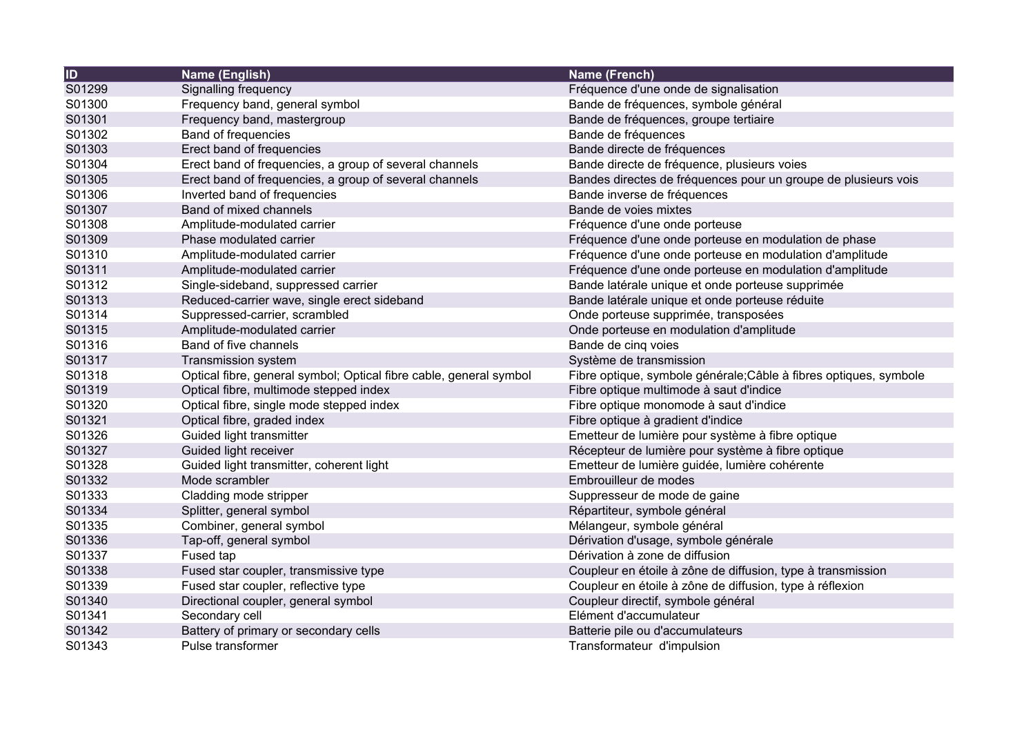| ID     | Name (English)                                                     | <b>Name (French)</b>                                              |
|--------|--------------------------------------------------------------------|-------------------------------------------------------------------|
| S01299 | Signalling frequency                                               | Fréquence d'une onde de signalisation                             |
| S01300 | Frequency band, general symbol                                     | Bande de fréquences, symbole général                              |
| S01301 | Frequency band, mastergroup                                        | Bande de fréquences, groupe tertiaire                             |
| S01302 | Band of frequencies                                                | Bande de fréquences                                               |
| S01303 | Erect band of frequencies                                          | Bande directe de fréquences                                       |
| S01304 | Erect band of frequencies, a group of several channels             | Bande directe de fréquence, plusieurs voies                       |
| S01305 | Erect band of frequencies, a group of several channels             | Bandes directes de fréquences pour un groupe de plusieurs vois    |
| S01306 | Inverted band of frequencies                                       | Bande inverse de fréquences                                       |
| S01307 | Band of mixed channels                                             | Bande de voies mixtes                                             |
| S01308 | Amplitude-modulated carrier                                        | Fréquence d'une onde porteuse                                     |
| S01309 | Phase modulated carrier                                            | Fréquence d'une onde porteuse en modulation de phase              |
| S01310 | Amplitude-modulated carrier                                        | Fréquence d'une onde porteuse en modulation d'amplitude           |
| S01311 | Amplitude-modulated carrier                                        | Fréquence d'une onde porteuse en modulation d'amplitude           |
| S01312 | Single-sideband, suppressed carrier                                | Bande latérale unique et onde porteuse supprimée                  |
| S01313 | Reduced-carrier wave, single erect sideband                        | Bande latérale unique et onde porteuse réduite                    |
| S01314 | Suppressed-carrier, scrambled                                      | Onde porteuse supprimée, transposées                              |
| S01315 | Amplitude-modulated carrier                                        | Onde porteuse en modulation d'amplitude                           |
| S01316 | Band of five channels                                              | Bande de cinq voies                                               |
| S01317 | Transmission system                                                | Système de transmission                                           |
| S01318 | Optical fibre, general symbol; Optical fibre cable, general symbol | Fibre optique, symbole générale; Câble à fibres optiques, symbole |
| S01319 | Optical fibre, multimode stepped index                             | Fibre optique multimode à saut d'indice                           |
| S01320 | Optical fibre, single mode stepped index                           | Fibre optique monomode à saut d'indice                            |
| S01321 | Optical fibre, graded index                                        | Fibre optique à gradient d'indice                                 |
| S01326 | Guided light transmitter                                           | Emetteur de lumière pour système à fibre optique                  |
| S01327 | Guided light receiver                                              | Récepteur de lumière pour système à fibre optique                 |
| S01328 | Guided light transmitter, coherent light                           | Emetteur de lumière guidée, lumière cohérente                     |
| S01332 | Mode scrambler                                                     | Embrouilleur de modes                                             |
| S01333 | Cladding mode stripper                                             | Suppresseur de mode de gaine                                      |
| S01334 | Splitter, general symbol                                           | Répartiteur, symbole général                                      |
| S01335 | Combiner, general symbol                                           | Mélangeur, symbole général                                        |
| S01336 | Tap-off, general symbol                                            | Dérivation d'usage, symbole générale                              |
| S01337 | Fused tap                                                          | Dérivation à zone de diffusion                                    |
| S01338 | Fused star coupler, transmissive type                              | Coupleur en étoile à zône de diffusion, type à transmission       |
| S01339 | Fused star coupler, reflective type                                | Coupleur en étoile à zône de diffusion, type à réflexion          |
| S01340 | Directional coupler, general symbol                                | Coupleur directif, symbole général                                |
| S01341 | Secondary cell                                                     | Elément d'accumulateur                                            |
| S01342 | Battery of primary or secondary cells                              | Batterie pile ou d'accumulateurs                                  |
| S01343 | Pulse transformer                                                  | Transformateur d'impulsion                                        |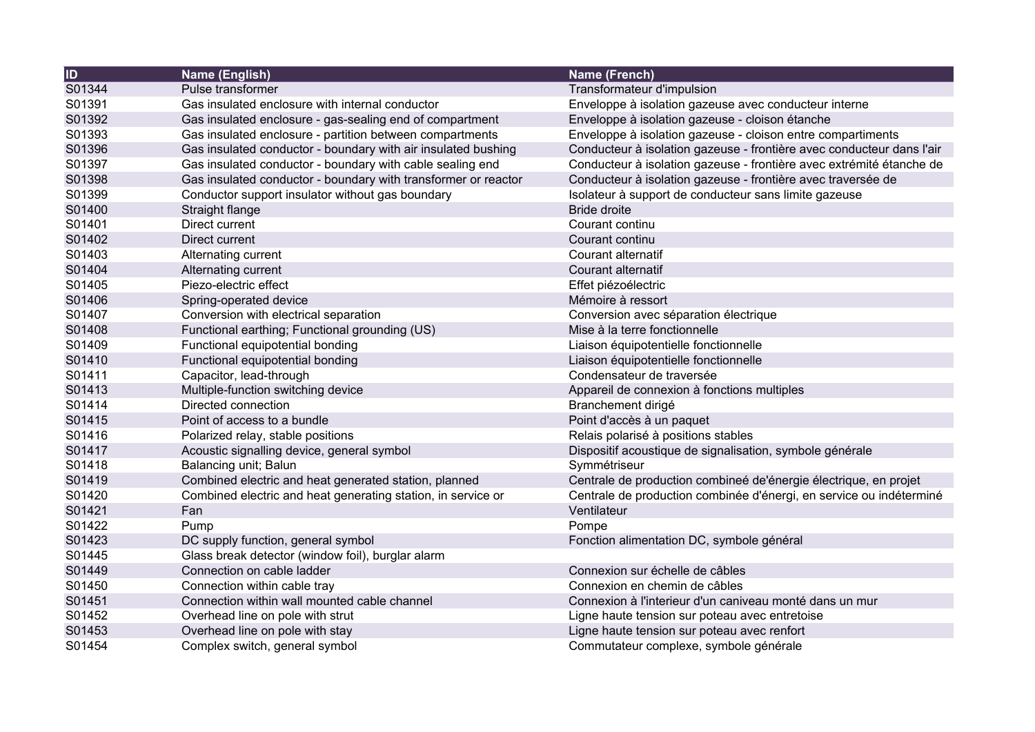| <b>ID</b> | Name (English)                                                 | Name (French)                                                         |
|-----------|----------------------------------------------------------------|-----------------------------------------------------------------------|
| S01344    | Pulse transformer                                              | Transformateur d'impulsion                                            |
| S01391    | Gas insulated enclosure with internal conductor                | Enveloppe à isolation gazeuse avec conducteur interne                 |
| S01392    | Gas insulated enclosure - gas-sealing end of compartment       | Enveloppe à isolation gazeuse - cloison étanche                       |
| S01393    | Gas insulated enclosure - partition between compartments       | Enveloppe à isolation gazeuse - cloison entre compartiments           |
| S01396    | Gas insulated conductor - boundary with air insulated bushing  | Conducteur à isolation gazeuse - frontière avec conducteur dans l'air |
| S01397    | Gas insulated conductor - boundary with cable sealing end      | Conducteur à isolation gazeuse - frontière avec extrémité étanche de  |
| S01398    | Gas insulated conductor - boundary with transformer or reactor | Conducteur à isolation gazeuse - frontière avec traversée de          |
| S01399    | Conductor support insulator without gas boundary               | Isolateur à support de conducteur sans limite gazeuse                 |
| S01400    | Straight flange                                                | <b>Bride droite</b>                                                   |
| S01401    | Direct current                                                 | Courant continu                                                       |
| S01402    | Direct current                                                 | Courant continu                                                       |
| S01403    | Alternating current                                            | Courant alternatif                                                    |
| S01404    | Alternating current                                            | Courant alternatif                                                    |
| S01405    | Piezo-electric effect                                          | Effet piézoélectric                                                   |
| S01406    | Spring-operated device                                         | Mémoire à ressort                                                     |
| S01407    | Conversion with electrical separation                          | Conversion avec séparation électrique                                 |
| S01408    | Functional earthing; Functional grounding (US)                 | Mise à la terre fonctionnelle                                         |
| S01409    | Functional equipotential bonding                               | Liaison équipotentielle fonctionnelle                                 |
| S01410    | Functional equipotential bonding                               | Liaison équipotentielle fonctionnelle                                 |
| S01411    | Capacitor, lead-through                                        | Condensateur de traversée                                             |
| S01413    | Multiple-function switching device                             | Appareil de connexion à fonctions multiples                           |
| S01414    | Directed connection                                            | Branchement dirigé                                                    |
| S01415    | Point of access to a bundle                                    | Point d'accès à un paquet                                             |
| S01416    | Polarized relay, stable positions                              | Relais polarisé à positions stables                                   |
| S01417    | Acoustic signalling device, general symbol                     | Dispositif acoustique de signalisation, symbole générale              |
| S01418    | Balancing unit; Balun                                          | Symmétriseur                                                          |
| S01419    | Combined electric and heat generated station, planned          | Centrale de production combineé de'énergie électrique, en projet      |
| S01420    | Combined electric and heat generating station, in service or   | Centrale de production combinée d'énergi, en service ou indéterminé   |
| S01421    | Fan                                                            | Ventilateur                                                           |
| S01422    | Pump                                                           | Pompe                                                                 |
| S01423    | DC supply function, general symbol                             | Fonction alimentation DC, symbole général                             |
| S01445    | Glass break detector (window foil), burglar alarm              |                                                                       |
| S01449    | Connection on cable ladder                                     | Connexion sur échelle de câbles                                       |
| S01450    | Connection within cable tray                                   | Connexion en chemin de câbles                                         |
| S01451    | Connection within wall mounted cable channel                   | Connexion à l'interieur d'un caniveau monté dans un mur               |
| S01452    | Overhead line on pole with strut                               | Ligne haute tension sur poteau avec entretoise                        |
| S01453    | Overhead line on pole with stay                                | Ligne haute tension sur poteau avec renfort                           |
| S01454    | Complex switch, general symbol                                 | Commutateur complexe, symbole générale                                |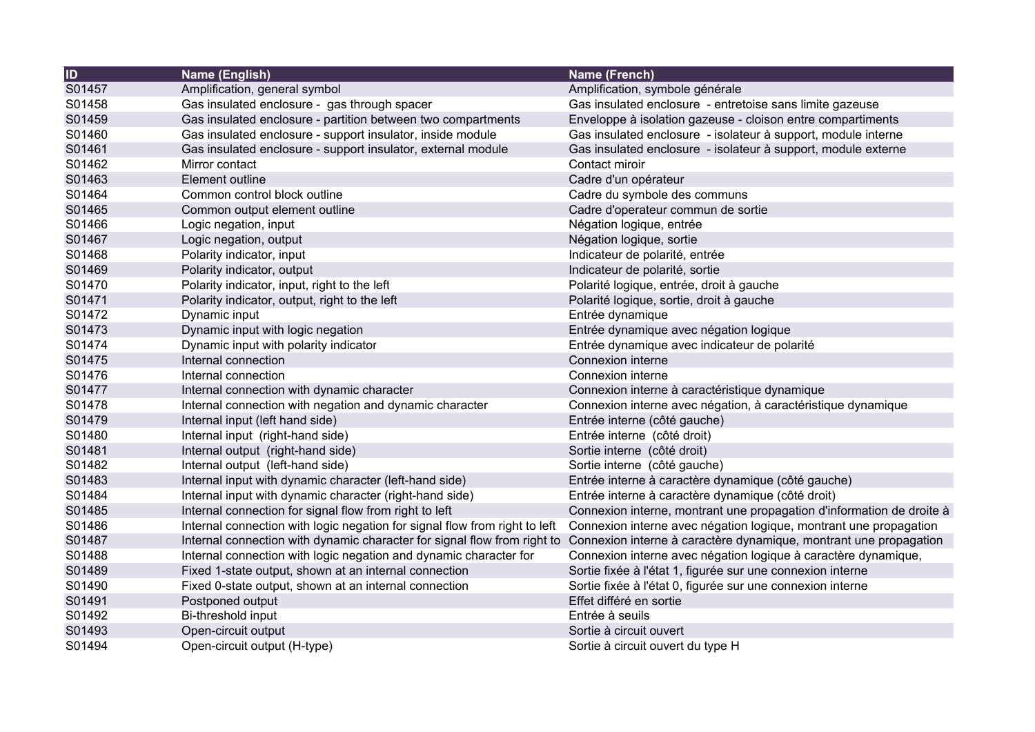| $\overline{1}$ | Name (English)                                                             | Name (French)                                                         |
|----------------|----------------------------------------------------------------------------|-----------------------------------------------------------------------|
| S01457         | Amplification, general symbol                                              | Amplification, symbole générale                                       |
| S01458         | Gas insulated enclosure - gas through spacer                               | Gas insulated enclosure - entretoise sans limite gazeuse              |
| S01459         | Gas insulated enclosure - partition between two compartments               | Enveloppe à isolation gazeuse - cloison entre compartiments           |
| S01460         | Gas insulated enclosure - support insulator, inside module                 | Gas insulated enclosure - isolateur à support, module interne         |
| S01461         | Gas insulated enclosure - support insulator, external module               | Gas insulated enclosure - isolateur à support, module externe         |
| S01462         | Mirror contact                                                             | Contact miroir                                                        |
| S01463         | Element outline                                                            | Cadre d'un opérateur                                                  |
| S01464         | Common control block outline                                               | Cadre du symbole des communs                                          |
| S01465         | Common output element outline                                              | Cadre d'operateur commun de sortie                                    |
| S01466         | Logic negation, input                                                      | Négation logique, entrée                                              |
| S01467         | Logic negation, output                                                     | Négation logique, sortie                                              |
| S01468         | Polarity indicator, input                                                  | Indicateur de polarité, entrée                                        |
| S01469         | Polarity indicator, output                                                 | Indicateur de polarité, sortie                                        |
| S01470         | Polarity indicator, input, right to the left                               | Polarité logique, entrée, droit à gauche                              |
| S01471         | Polarity indicator, output, right to the left                              | Polarité logique, sortie, droit à gauche                              |
| S01472         | Dynamic input                                                              | Entrée dynamique                                                      |
| S01473         | Dynamic input with logic negation                                          | Entrée dynamique avec négation logique                                |
| S01474         | Dynamic input with polarity indicator                                      | Entrée dynamique avec indicateur de polarité                          |
| S01475         | Internal connection                                                        | Connexion interne                                                     |
| S01476         | Internal connection                                                        | Connexion interne                                                     |
| S01477         | Internal connection with dynamic character                                 | Connexion interne à caractéristique dynamique                         |
| S01478         | Internal connection with negation and dynamic character                    | Connexion interne avec négation, à caractéristique dynamique          |
| S01479         | Internal input (left hand side)                                            | Entrée interne (côté gauche)                                          |
| S01480         | Internal input (right-hand side)                                           | Entrée interne (côté droit)                                           |
| S01481         | Internal output (right-hand side)                                          | Sortie interne (côté droit)                                           |
| S01482         | Internal output (left-hand side)                                           | Sortie interne (côté gauche)                                          |
| S01483         | Internal input with dynamic character (left-hand side)                     | Entrée interne à caractère dynamique (côté gauche)                    |
| S01484         | Internal input with dynamic character (right-hand side)                    | Entrée interne à caractère dynamique (côté droit)                     |
| S01485         | Internal connection for signal flow from right to left                     | Connexion interne, montrant une propagation d'information de droite à |
| S01486         | Internal connection with logic negation for signal flow from right to left | Connexion interne avec négation logique, montrant une propagation     |
| S01487         | Internal connection with dynamic character for signal flow from right to   | Connexion interne à caractère dynamique, montrant une propagation     |
| S01488         | Internal connection with logic negation and dynamic character for          | Connexion interne avec négation logique à caractère dynamique,        |
| S01489         | Fixed 1-state output, shown at an internal connection                      | Sortie fixée à l'état 1, figurée sur une connexion interne            |
| S01490         | Fixed 0-state output, shown at an internal connection                      | Sortie fixée à l'état 0, figurée sur une connexion interne            |
| S01491         | Postponed output                                                           | Effet différé en sortie                                               |
| S01492         | Bi-threshold input                                                         | Entrée à seuils                                                       |
| S01493         | Open-circuit output                                                        | Sortie à circuit ouvert                                               |
| S01494         | Open-circuit output (H-type)                                               | Sortie à circuit ouvert du type H                                     |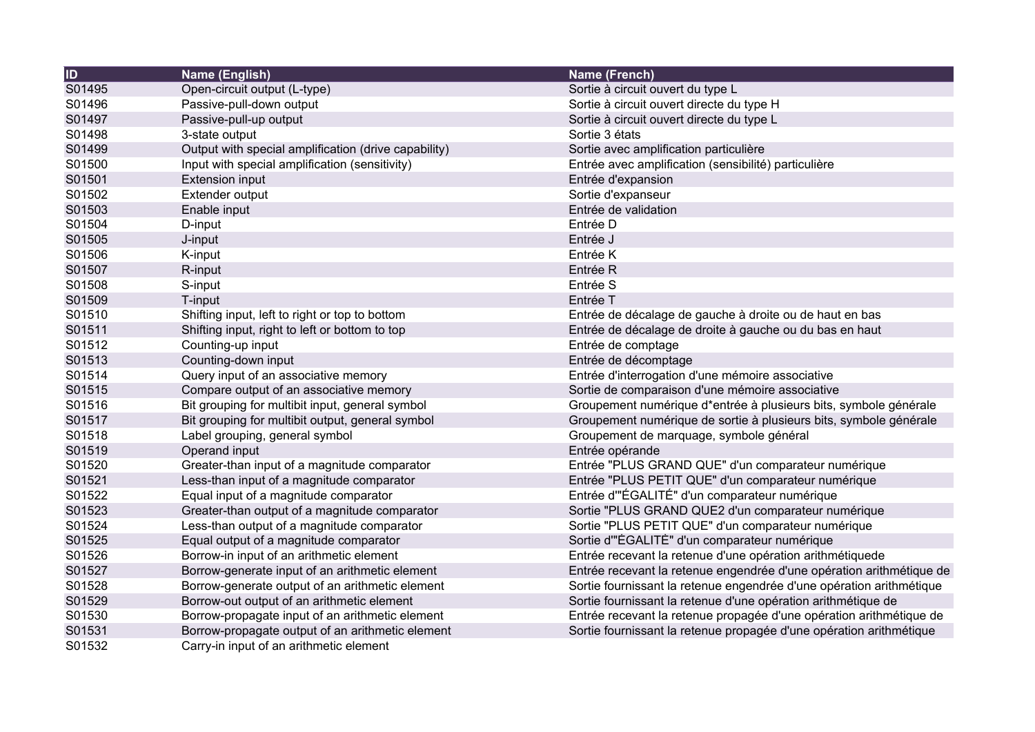| $\overline{1}$ | Name (English)                                       | Name (French)                                                        |
|----------------|------------------------------------------------------|----------------------------------------------------------------------|
| S01495         | Open-circuit output (L-type)                         | Sortie à circuit ouvert du type L                                    |
| S01496         | Passive-pull-down output                             | Sortie à circuit ouvert directe du type H                            |
| S01497         | Passive-pull-up output                               | Sortie à circuit ouvert directe du type L                            |
| S01498         | 3-state output                                       | Sortie 3 états                                                       |
| S01499         | Output with special amplification (drive capability) | Sortie avec amplification particulière                               |
| S01500         | Input with special amplification (sensitivity)       | Entrée avec amplification (sensibilité) particulière                 |
| S01501         | <b>Extension input</b>                               | Entrée d'expansion                                                   |
| S01502         | Extender output                                      | Sortie d'expanseur                                                   |
| S01503         | Enable input                                         | Entrée de validation                                                 |
| S01504         | D-input                                              | Entrée D                                                             |
| S01505         | J-input                                              | Entrée J                                                             |
| S01506         | K-input                                              | Entrée K                                                             |
| S01507         | R-input                                              | Entrée R                                                             |
| S01508         | S-input                                              | Entrée S                                                             |
| S01509         | T-input                                              | Entrée T                                                             |
| S01510         | Shifting input, left to right or top to bottom       | Entrée de décalage de gauche à droite ou de haut en bas              |
| S01511         | Shifting input, right to left or bottom to top       | Entrée de décalage de droite à gauche ou du bas en haut              |
| S01512         | Counting-up input                                    | Entrée de comptage                                                   |
| S01513         | Counting-down input                                  | Entrée de décomptage                                                 |
| S01514         | Query input of an associative memory                 | Entrée d'interrogation d'une mémoire associative                     |
| S01515         | Compare output of an associative memory              | Sortie de comparaison d'une mémoire associative                      |
| S01516         | Bit grouping for multibit input, general symbol      | Groupement numérique d*entrée à plusieurs bits, symbole générale     |
| S01517         | Bit grouping for multibit output, general symbol     | Groupement numérique de sortie à plusieurs bits, symbole générale    |
| S01518         | Label grouping, general symbol                       | Groupement de marquage, symbole général                              |
| S01519         | Operand input                                        | Entrée opérande                                                      |
| S01520         | Greater-than input of a magnitude comparator         | Entrée "PLUS GRAND QUE" d'un comparateur numérique                   |
| S01521         | Less-than input of a magnitude comparator            | Entrée "PLUS PETIT QUE" d'un comparateur numérique                   |
| S01522         | Equal input of a magnitude comparator                | Entrée d'"ÉGALITÉ" d'un comparateur numérique                        |
| S01523         | Greater-than output of a magnitude comparator        | Sortie "PLUS GRAND QUE2 d'un comparateur numérique                   |
| S01524         | Less-than output of a magnitude comparator           | Sortie "PLUS PETIT QUE" d'un comparateur numérique                   |
| S01525         | Equal output of a magnitude comparator               | Sortie d"ÉGALITÈ" d'un comparateur numérique                         |
| S01526         | Borrow-in input of an arithmetic element             | Entrée recevant la retenue d'une opération arithmétiquede            |
| S01527         | Borrow-generate input of an arithmetic element       | Entrée recevant la retenue engendrée d'une opération arithmétique de |
| S01528         | Borrow-generate output of an arithmetic element      | Sortie fournissant la retenue engendrée d'une opération arithmétique |
| S01529         | Borrow-out output of an arithmetic element           | Sortie fournissant la retenue d'une opération arithmétique de        |
| S01530         | Borrow-propagate input of an arithmetic element      | Entrée recevant la retenue propagée d'une opération arithmétique de  |
| S01531         | Borrow-propagate output of an arithmetic element     | Sortie fournissant la retenue propagée d'une opération arithmétique  |
| S01532         | Carry-in input of an arithmetic element              |                                                                      |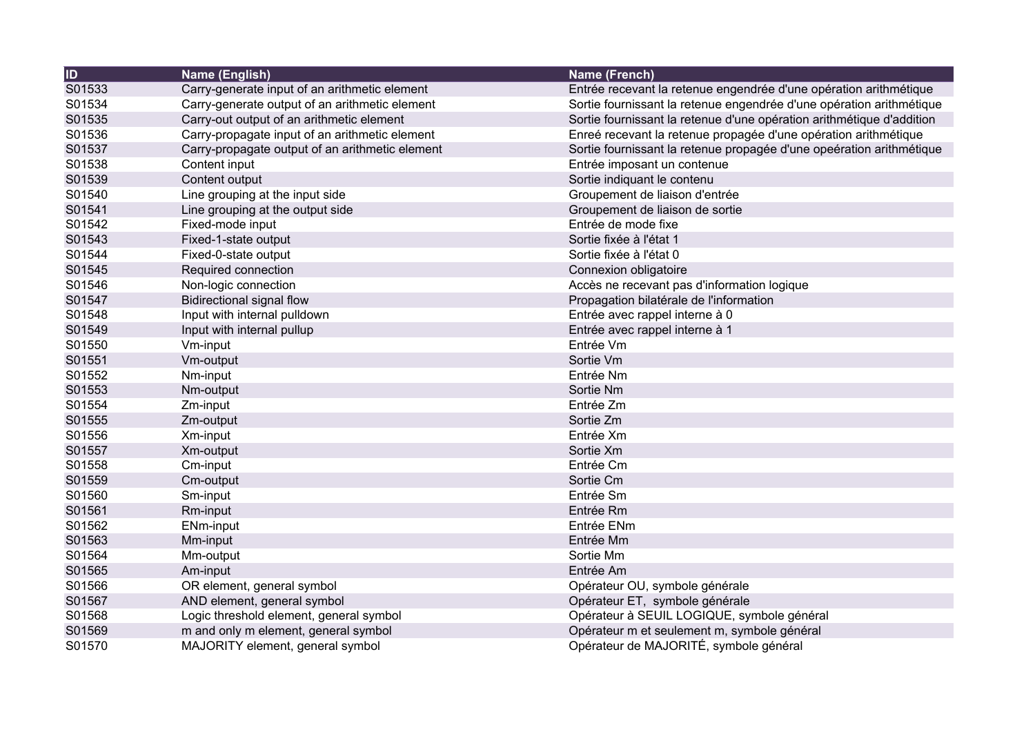| <b>ID</b> | Name (English)                                  | <b>Name (French)</b>                                                  |
|-----------|-------------------------------------------------|-----------------------------------------------------------------------|
| S01533    | Carry-generate input of an arithmetic element   | Entrée recevant la retenue engendrée d'une opération arithmétique     |
| S01534    | Carry-generate output of an arithmetic element  | Sortie fournissant la retenue engendrée d'une opération arithmétique  |
| S01535    | Carry-out output of an arithmetic element       | Sortie fournissant la retenue d'une opération arithmétique d'addition |
| S01536    | Carry-propagate input of an arithmetic element  | Enreé recevant la retenue propagée d'une opération arithmétique       |
| S01537    | Carry-propagate output of an arithmetic element | Sortie fournissant la retenue propagée d'une opeération arithmétique  |
| S01538    | Content input                                   | Entrée imposant un contenue                                           |
| S01539    | Content output                                  | Sortie indiquant le contenu                                           |
| S01540    | Line grouping at the input side                 | Groupement de liaison d'entrée                                        |
| S01541    | Line grouping at the output side                | Groupement de liaison de sortie                                       |
| S01542    | Fixed-mode input                                | Entrée de mode fixe                                                   |
| S01543    | Fixed-1-state output                            | Sortie fixée à l'état 1                                               |
| S01544    | Fixed-0-state output                            | Sortie fixée à l'état 0                                               |
| S01545    | Required connection                             | Connexion obligatoire                                                 |
| S01546    | Non-logic connection                            | Accès ne recevant pas d'information logique                           |
| S01547    | <b>Bidirectional signal flow</b>                | Propagation bilatérale de l'information                               |
| S01548    | Input with internal pulldown                    | Entrée avec rappel interne à 0                                        |
| S01549    | Input with internal pullup                      | Entrée avec rappel interne à 1                                        |
| S01550    | Vm-input                                        | Entrée Vm                                                             |
| S01551    | Vm-output                                       | Sortie Vm                                                             |
| S01552    | Nm-input                                        | Entrée Nm                                                             |
| S01553    | Nm-output                                       | Sortie Nm                                                             |
| S01554    | Zm-input                                        | Entrée Zm                                                             |
| S01555    | Zm-output                                       | Sortie Zm                                                             |
| S01556    | Xm-input                                        | Entrée Xm                                                             |
| S01557    | Xm-output                                       | Sortie Xm                                                             |
| S01558    | Cm-input                                        | Entrée Cm                                                             |
| S01559    | Cm-output                                       | Sortie Cm                                                             |
| S01560    | Sm-input                                        | Entrée Sm                                                             |
| S01561    | Rm-input                                        | Entrée Rm                                                             |
| S01562    | <b>ENm-input</b>                                | Entrée ENm                                                            |
| S01563    | Mm-input                                        | Entrée Mm                                                             |
| S01564    | Mm-output                                       | Sortie Mm                                                             |
| S01565    | Am-input                                        | Entrée Am                                                             |
| S01566    | OR element, general symbol                      | Opérateur OU, symbole générale                                        |
| S01567    | AND element, general symbol                     | Opérateur ET, symbole générale                                        |
| S01568    | Logic threshold element, general symbol         | Opérateur à SEUIL LOGIQUE, symbole général                            |
| S01569    | m and only m element, general symbol            | Opérateur m et seulement m, symbole général                           |
| S01570    | MAJORITY element, general symbol                | Opérateur de MAJORITÉ, symbole général                                |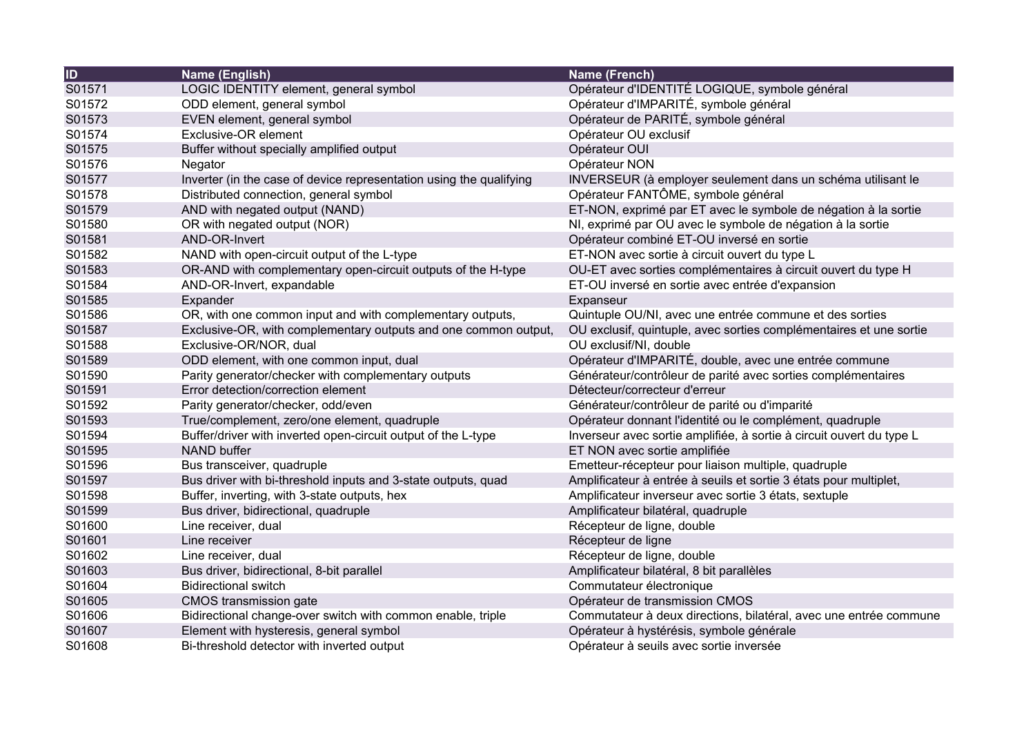| $\overline{1}$ | Name (English)                                                      | Name (French)                                                        |
|----------------|---------------------------------------------------------------------|----------------------------------------------------------------------|
| S01571         | LOGIC IDENTITY element, general symbol                              | Opérateur d'IDENTITÉ LOGIQUE, symbole général                        |
| S01572         | ODD element, general symbol                                         | Opérateur d'IMPARITÉ, symbole général                                |
| S01573         | EVEN element, general symbol                                        | Opérateur de PARITÉ, symbole général                                 |
| S01574         | Exclusive-OR element                                                | Opérateur OU exclusif                                                |
| S01575         | Buffer without specially amplified output                           | Opérateur OUI                                                        |
| S01576         | Negator                                                             | Opérateur NON                                                        |
| S01577         | Inverter (in the case of device representation using the qualifying | INVERSEUR (à employer seulement dans un schéma utilisant le          |
| S01578         | Distributed connection, general symbol                              | Opérateur FANTÔME, symbole général                                   |
| S01579         | AND with negated output (NAND)                                      | ET-NON, exprimé par ET avec le symbole de négation à la sortie       |
| S01580         | OR with negated output (NOR)                                        | NI, exprimé par OU avec le symbole de négation à la sortie           |
| S01581         | AND-OR-Invert                                                       | Opérateur combiné ET-OU inversé en sortie                            |
| S01582         | NAND with open-circuit output of the L-type                         | ET-NON avec sortie à circuit ouvert du type L                        |
| S01583         | OR-AND with complementary open-circuit outputs of the H-type        | OU-ET avec sorties complémentaires à circuit ouvert du type H        |
| S01584         | AND-OR-Invert, expandable                                           | ET-OU inversé en sortie avec entrée d'expansion                      |
| S01585         | Expander                                                            | Expanseur                                                            |
| S01586         | OR, with one common input and with complementary outputs,           | Quintuple OU/NI, avec une entrée commune et des sorties              |
| S01587         | Exclusive-OR, with complementary outputs and one common output,     | OU exclusif, quintuple, avec sorties complémentaires et une sortie   |
| S01588         | Exclusive-OR/NOR, dual                                              | OU exclusif/NI, double                                               |
| S01589         | ODD element, with one common input, dual                            | Opérateur d'IMPARITÉ, double, avec une entrée commune                |
| S01590         | Parity generator/checker with complementary outputs                 | Générateur/contrôleur de parité avec sorties complémentaires         |
| S01591         | Error detection/correction element                                  | Détecteur/correcteur d'erreur                                        |
| S01592         | Parity generator/checker, odd/even                                  | Générateur/contrôleur de parité ou d'imparité                        |
| S01593         | True/complement, zero/one element, quadruple                        | Opérateur donnant l'identité ou le complément, quadruple             |
| S01594         | Buffer/driver with inverted open-circuit output of the L-type       | Inverseur avec sortie amplifiée, à sortie à circuit ouvert du type L |
| S01595         | <b>NAND buffer</b>                                                  | ET NON avec sortie amplifiée                                         |
| S01596         | Bus transceiver, quadruple                                          | Emetteur-récepteur pour liaison multiple, quadruple                  |
| S01597         | Bus driver with bi-threshold inputs and 3-state outputs, quad       | Amplificateur à entrée à seuils et sortie 3 états pour multiplet,    |
| S01598         | Buffer, inverting, with 3-state outputs, hex                        | Amplificateur inverseur avec sortie 3 états, sextuple                |
| S01599         | Bus driver, bidirectional, quadruple                                | Amplificateur bilatéral, quadruple                                   |
| S01600         | Line receiver, dual                                                 | Récepteur de ligne, double                                           |
| S01601         | Line receiver                                                       | Récepteur de ligne                                                   |
| S01602         | Line receiver, dual                                                 | Récepteur de ligne, double                                           |
| S01603         | Bus driver, bidirectional, 8-bit parallel                           | Amplificateur bilatéral, 8 bit parallèles                            |
| S01604         | <b>Bidirectional switch</b>                                         | Commutateur électronique                                             |
| S01605         | CMOS transmission gate                                              | Opérateur de transmission CMOS                                       |
| S01606         | Bidirectional change-over switch with common enable, triple         | Commutateur à deux directions, bilatéral, avec une entrée commune    |
| S01607         | Element with hysteresis, general symbol                             | Opérateur à hystérésis, symbole générale                             |
| S01608         | Bi-threshold detector with inverted output                          | Opérateur à seuils avec sortie inversée                              |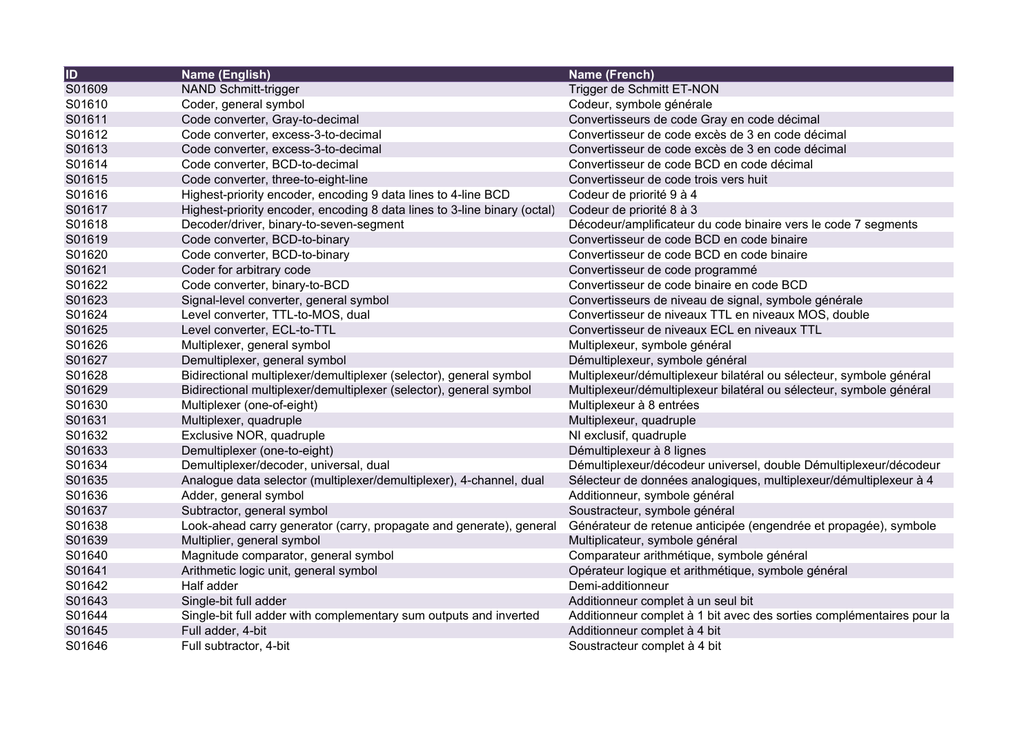| $\overline{1}$ | Name (English)                                                           | <b>Name (French)</b>                                                  |
|----------------|--------------------------------------------------------------------------|-----------------------------------------------------------------------|
| S01609         | <b>NAND Schmitt-trigger</b>                                              | Trigger de Schmitt ET-NON                                             |
| S01610         | Coder, general symbol                                                    | Codeur, symbole générale                                              |
| S01611         | Code converter, Gray-to-decimal                                          | Convertisseurs de code Gray en code décimal                           |
| S01612         | Code converter, excess-3-to-decimal                                      | Convertisseur de code excès de 3 en code décimal                      |
| S01613         | Code converter, excess-3-to-decimal                                      | Convertisseur de code excès de 3 en code décimal                      |
| S01614         | Code converter, BCD-to-decimal                                           | Convertisseur de code BCD en code décimal                             |
| S01615         | Code converter, three-to-eight-line                                      | Convertisseur de code trois vers huit                                 |
| S01616         | Highest-priority encoder, encoding 9 data lines to 4-line BCD            | Codeur de priorité 9 à 4                                              |
| S01617         | Highest-priority encoder, encoding 8 data lines to 3-line binary (octal) | Codeur de priorité 8 à 3                                              |
| S01618         | Decoder/driver, binary-to-seven-segment                                  | Décodeur/amplificateur du code binaire vers le code 7 segments        |
| S01619         | Code converter, BCD-to-binary                                            | Convertisseur de code BCD en code binaire                             |
| S01620         | Code converter, BCD-to-binary                                            | Convertisseur de code BCD en code binaire                             |
| S01621         | Coder for arbitrary code                                                 | Convertisseur de code programmé                                       |
| S01622         | Code converter, binary-to-BCD                                            | Convertisseur de code binaire en code BCD                             |
| S01623         | Signal-level converter, general symbol                                   | Convertisseurs de niveau de signal, symbole générale                  |
| S01624         | Level converter, TTL-to-MOS, dual                                        | Convertisseur de niveaux TTL en niveaux MOS, double                   |
| S01625         | Level converter, ECL-to-TTL                                              | Convertisseur de niveaux ECL en niveaux TTL                           |
| S01626         | Multiplexer, general symbol                                              | Multiplexeur, symbole général                                         |
| S01627         | Demultiplexer, general symbol                                            | Démultiplexeur, symbole général                                       |
| S01628         | Bidirectional multiplexer/demultiplexer (selector), general symbol       | Multiplexeur/démultiplexeur bilatéral ou sélecteur, symbole général   |
| S01629         | Bidirectional multiplexer/demultiplexer (selector), general symbol       | Multiplexeur/démultiplexeur bilatéral ou sélecteur, symbole général   |
| S01630         | Multiplexer (one-of-eight)                                               | Multiplexeur à 8 entrées                                              |
| S01631         | Multiplexer, quadruple                                                   | Multiplexeur, quadruple                                               |
| S01632         | Exclusive NOR, quadruple                                                 | NI exclusif, quadruple                                                |
| S01633         | Demultiplexer (one-to-eight)                                             | Démultiplexeur à 8 lignes                                             |
| S01634         | Demultiplexer/decoder, universal, dual                                   | Démultiplexeur/décodeur universel, double Démultiplexeur/décodeur     |
| S01635         | Analogue data selector (multiplexer/demultiplexer), 4-channel, dual      | Sélecteur de données analogiques, multiplexeur/démultiplexeur à 4     |
| S01636         | Adder, general symbol                                                    | Additionneur, symbole général                                         |
| S01637         | Subtractor, general symbol                                               | Soustracteur, symbole général                                         |
| S01638         | Look-ahead carry generator (carry, propagate and generate), general      | Générateur de retenue anticipée (engendrée et propagée), symbole      |
| S01639         | Multiplier, general symbol                                               | Multiplicateur, symbole général                                       |
| S01640         | Magnitude comparator, general symbol                                     | Comparateur arithmétique, symbole général                             |
| S01641         | Arithmetic logic unit, general symbol                                    | Opérateur logique et arithmétique, symbole général                    |
| S01642         | Half adder                                                               | Demi-additionneur                                                     |
| S01643         | Single-bit full adder                                                    | Additionneur complet à un seul bit                                    |
| S01644         | Single-bit full adder with complementary sum outputs and inverted        | Additionneur complet à 1 bit avec des sorties complémentaires pour la |
| S01645         | Full adder, 4-bit                                                        | Additionneur complet à 4 bit                                          |
| S01646         | Full subtractor, 4-bit                                                   | Soustracteur complet à 4 bit                                          |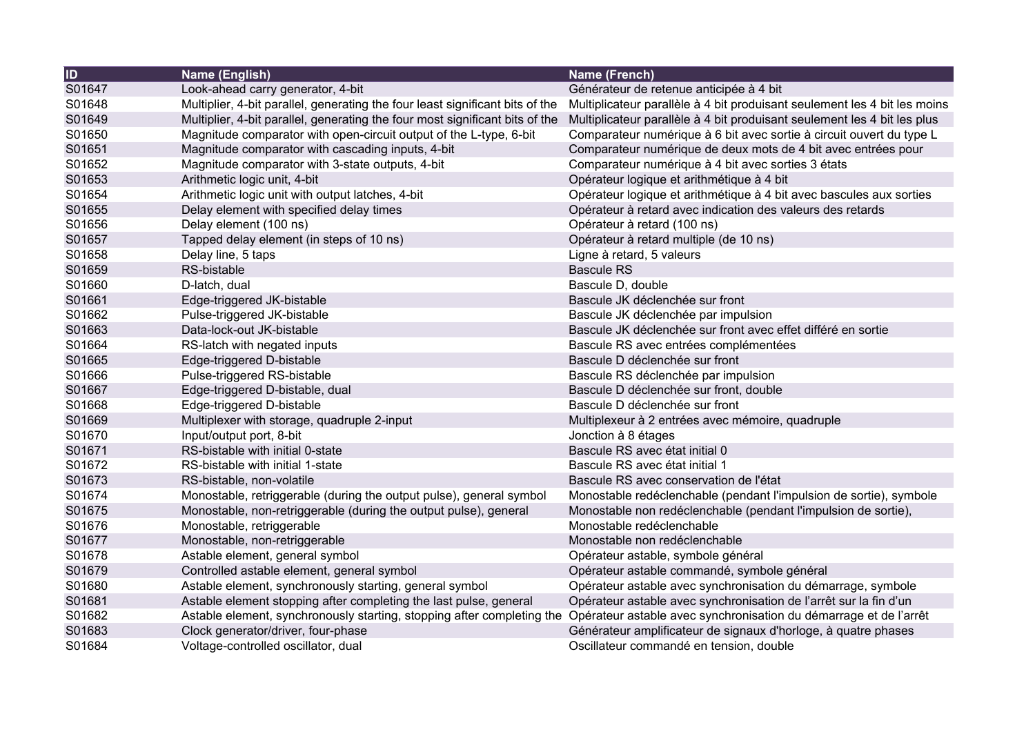| $\overline{1}$ | Name (English)                                                                | Name (French)                                                             |
|----------------|-------------------------------------------------------------------------------|---------------------------------------------------------------------------|
| S01647         | Look-ahead carry generator, 4-bit                                             | Générateur de retenue anticipée à 4 bit                                   |
| S01648         | Multiplier, 4-bit parallel, generating the four least significant bits of the | Multiplicateur parallèle à 4 bit produisant seulement les 4 bit les moins |
| S01649         | Multiplier, 4-bit parallel, generating the four most significant bits of the  | Multiplicateur parallèle à 4 bit produisant seulement les 4 bit les plus  |
| S01650         | Magnitude comparator with open-circuit output of the L-type, 6-bit            | Comparateur numérique à 6 bit avec sortie à circuit ouvert du type L      |
| S01651         | Magnitude comparator with cascading inputs, 4-bit                             | Comparateur numérique de deux mots de 4 bit avec entrées pour             |
| S01652         | Magnitude comparator with 3-state outputs, 4-bit                              | Comparateur numérique à 4 bit avec sorties 3 états                        |
| S01653         | Arithmetic logic unit, 4-bit                                                  | Opérateur logique et arithmétique à 4 bit                                 |
| S01654         | Arithmetic logic unit with output latches, 4-bit                              | Opérateur logique et arithmétique à 4 bit avec bascules aux sorties       |
| S01655         | Delay element with specified delay times                                      | Opérateur à retard avec indication des valeurs des retards                |
| S01656         | Delay element (100 ns)                                                        | Opérateur à retard (100 ns)                                               |
| S01657         | Tapped delay element (in steps of 10 ns)                                      | Opérateur à retard multiple (de 10 ns)                                    |
| S01658         | Delay line, 5 taps                                                            | Ligne à retard, 5 valeurs                                                 |
| S01659         | RS-bistable                                                                   | <b>Bascule RS</b>                                                         |
| S01660         | D-latch, dual                                                                 | Bascule D, double                                                         |
| S01661         | Edge-triggered JK-bistable                                                    | Bascule JK déclenchée sur front                                           |
| S01662         | Pulse-triggered JK-bistable                                                   | Bascule JK déclenchée par impulsion                                       |
| S01663         | Data-lock-out JK-bistable                                                     | Bascule JK déclenchée sur front avec effet différé en sortie              |
| S01664         | RS-latch with negated inputs                                                  | Bascule RS avec entrées complémentées                                     |
| S01665         | Edge-triggered D-bistable                                                     | Bascule D déclenchée sur front                                            |
| S01666         | Pulse-triggered RS-bistable                                                   | Bascule RS déclenchée par impulsion                                       |
| S01667         | Edge-triggered D-bistable, dual                                               | Bascule D déclenchée sur front, double                                    |
| S01668         | Edge-triggered D-bistable                                                     | Bascule D déclenchée sur front                                            |
| S01669         | Multiplexer with storage, quadruple 2-input                                   | Multiplexeur à 2 entrées avec mémoire, quadruple                          |
| S01670         | Input/output port, 8-bit                                                      | Jonction à 8 étages                                                       |
| S01671         | RS-bistable with initial 0-state                                              | Bascule RS avec état initial 0                                            |
| S01672         | RS-bistable with initial 1-state                                              | Bascule RS avec état initial 1                                            |
| S01673         | RS-bistable, non-volatile                                                     | Bascule RS avec conservation de l'état                                    |
| S01674         | Monostable, retriggerable (during the output pulse), general symbol           | Monostable redéclenchable (pendant l'impulsion de sortie), symbole        |
| S01675         | Monostable, non-retriggerable (during the output pulse), general              | Monostable non redéclenchable (pendant l'impulsion de sortie),            |
| S01676         | Monostable, retriggerable                                                     | Monostable redéclenchable                                                 |
| S01677         | Monostable, non-retriggerable                                                 | Monostable non redéclenchable                                             |
| S01678         | Astable element, general symbol                                               | Opérateur astable, symbole général                                        |
| S01679         | Controlled astable element, general symbol                                    | Opérateur astable commandé, symbole général                               |
| S01680         | Astable element, synchronously starting, general symbol                       | Opérateur astable avec synchronisation du démarrage, symbole              |
| S01681         | Astable element stopping after completing the last pulse, general             | Opérateur astable avec synchronisation de l'arrêt sur la fin d'un         |
| S01682         | Astable element, synchronously starting, stopping after completing the        | Opérateur astable avec synchronisation du démarrage et de l'arrêt         |
| S01683         | Clock generator/driver, four-phase                                            | Générateur amplificateur de signaux d'horloge, à quatre phases            |
| S01684         | Voltage-controlled oscillator, dual                                           | Oscillateur commandé en tension, double                                   |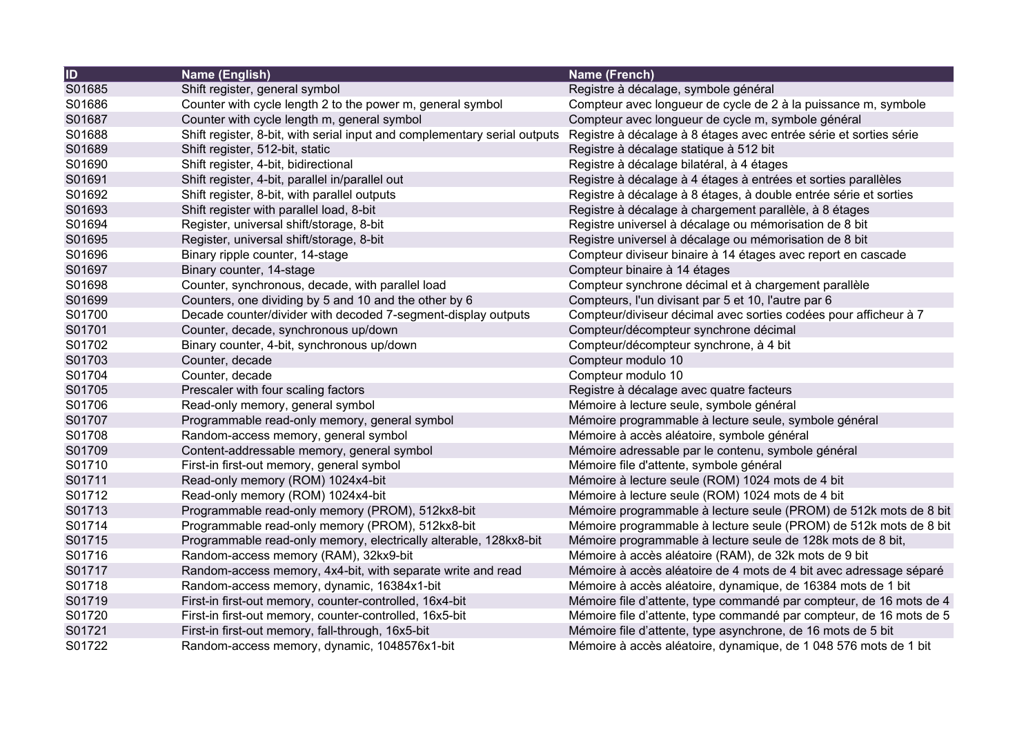| <b>ID</b> | <b>Name (English)</b>                                                     | Name (French)                                                       |
|-----------|---------------------------------------------------------------------------|---------------------------------------------------------------------|
| S01685    | Shift register, general symbol                                            | Registre à décalage, symbole général                                |
| S01686    | Counter with cycle length 2 to the power m, general symbol                | Compteur avec longueur de cycle de 2 à la puissance m, symbole      |
| S01687    | Counter with cycle length m, general symbol                               | Compteur avec longueur de cycle m, symbole général                  |
| S01688    | Shift register, 8-bit, with serial input and complementary serial outputs | Registre à décalage à 8 étages avec entrée série et sorties série   |
| S01689    | Shift register, 512-bit, static                                           | Registre à décalage statique à 512 bit                              |
| S01690    | Shift register, 4-bit, bidirectional                                      | Registre à décalage bilatéral, à 4 étages                           |
| S01691    | Shift register, 4-bit, parallel in/parallel out                           | Registre à décalage à 4 étages à entrées et sorties parallèles      |
| S01692    | Shift register, 8-bit, with parallel outputs                              | Registre à décalage à 8 étages, à double entrée série et sorties    |
| S01693    | Shift register with parallel load, 8-bit                                  | Registre à décalage à chargement parallèle, à 8 étages              |
| S01694    | Register, universal shift/storage, 8-bit                                  | Registre universel à décalage ou mémorisation de 8 bit              |
| S01695    | Register, universal shift/storage, 8-bit                                  | Registre universel à décalage ou mémorisation de 8 bit              |
| S01696    | Binary ripple counter, 14-stage                                           | Compteur diviseur binaire à 14 étages avec report en cascade        |
| S01697    | Binary counter, 14-stage                                                  | Compteur binaire à 14 étages                                        |
| S01698    | Counter, synchronous, decade, with parallel load                          | Compteur synchrone décimal et à chargement parallèle                |
| S01699    | Counters, one dividing by 5 and 10 and the other by 6                     | Compteurs, l'un divisant par 5 et 10, l'autre par 6                 |
| S01700    | Decade counter/divider with decoded 7-segment-display outputs             | Compteur/diviseur décimal avec sorties codées pour afficheur à 7    |
| S01701    | Counter, decade, synchronous up/down                                      | Compteur/décompteur synchrone décimal                               |
| S01702    | Binary counter, 4-bit, synchronous up/down                                | Compteur/décompteur synchrone, à 4 bit                              |
| S01703    | Counter, decade                                                           | Compteur modulo 10                                                  |
| S01704    | Counter, decade                                                           | Compteur modulo 10                                                  |
| S01705    | Prescaler with four scaling factors                                       | Registre à décalage avec quatre facteurs                            |
| S01706    | Read-only memory, general symbol                                          | Mémoire à lecture seule, symbole général                            |
| S01707    | Programmable read-only memory, general symbol                             | Mémoire programmable à lecture seule, symbole général               |
| S01708    | Random-access memory, general symbol                                      | Mémoire à accès aléatoire, symbole général                          |
| S01709    | Content-addressable memory, general symbol                                | Mémoire adressable par le contenu, symbole général                  |
| S01710    | First-in first-out memory, general symbol                                 | Mémoire file d'attente, symbole général                             |
| S01711    | Read-only memory (ROM) 1024x4-bit                                         | Mémoire à lecture seule (ROM) 1024 mots de 4 bit                    |
| S01712    | Read-only memory (ROM) 1024x4-bit                                         | Mémoire à lecture seule (ROM) 1024 mots de 4 bit                    |
| S01713    | Programmable read-only memory (PROM), 512kx8-bit                          | Mémoire programmable à lecture seule (PROM) de 512k mots de 8 bit   |
| S01714    | Programmable read-only memory (PROM), 512kx8-bit                          | Mémoire programmable à lecture seule (PROM) de 512k mots de 8 bit   |
| S01715    | Programmable read-only memory, electrically alterable, 128kx8-bit         | Mémoire programmable à lecture seule de 128k mots de 8 bit,         |
| S01716    | Random-access memory (RAM), 32kx9-bit                                     | Mémoire à accès aléatoire (RAM), de 32k mots de 9 bit               |
| S01717    | Random-access memory, 4x4-bit, with separate write and read               | Mémoire à accès aléatoire de 4 mots de 4 bit avec adressage séparé  |
| S01718    | Random-access memory, dynamic, 16384x1-bit                                | Mémoire à accès aléatoire, dynamique, de 16384 mots de 1 bit        |
| S01719    | First-in first-out memory, counter-controlled, 16x4-bit                   | Mémoire file d'attente, type commandé par compteur, de 16 mots de 4 |
| S01720    | First-in first-out memory, counter-controlled, 16x5-bit                   | Mémoire file d'attente, type commandé par compteur, de 16 mots de 5 |
| S01721    | First-in first-out memory, fall-through, 16x5-bit                         | Mémoire file d'attente, type asynchrone, de 16 mots de 5 bit        |
| S01722    | Random-access memory, dynamic, 1048576x1-bit                              | Mémoire à accès aléatoire, dynamique, de 1 048 576 mots de 1 bit    |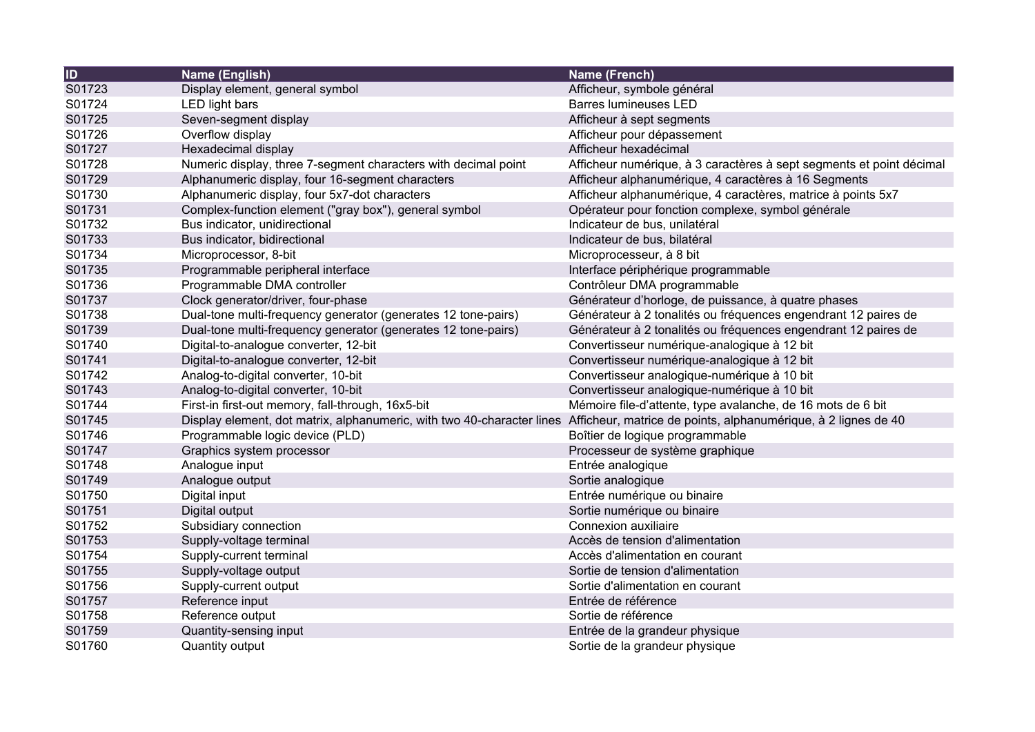| ID     | Name (English)                                                                                                                        | Name (French)                                                        |
|--------|---------------------------------------------------------------------------------------------------------------------------------------|----------------------------------------------------------------------|
| S01723 | Display element, general symbol                                                                                                       | Afficheur, symbole général                                           |
| S01724 | LED light bars                                                                                                                        | <b>Barres lumineuses LED</b>                                         |
| S01725 | Seven-segment display                                                                                                                 | Afficheur à sept segments                                            |
| S01726 | Overflow display                                                                                                                      | Afficheur pour dépassement                                           |
| S01727 | Hexadecimal display                                                                                                                   | Afficheur hexadécimal                                                |
| S01728 | Numeric display, three 7-segment characters with decimal point                                                                        | Afficheur numérique, à 3 caractères à sept segments et point décimal |
| S01729 | Alphanumeric display, four 16-segment characters                                                                                      | Afficheur alphanumérique, 4 caractères à 16 Segments                 |
| S01730 | Alphanumeric display, four 5x7-dot characters                                                                                         | Afficheur alphanumérique, 4 caractères, matrice à points 5x7         |
| S01731 | Complex-function element ("gray box"), general symbol                                                                                 | Opérateur pour fonction complexe, symbol générale                    |
| S01732 | Bus indicator, unidirectional                                                                                                         | Indicateur de bus, unilatéral                                        |
| S01733 | Bus indicator, bidirectional                                                                                                          | Indicateur de bus, bilatéral                                         |
| S01734 | Microprocessor, 8-bit                                                                                                                 | Microprocesseur, à 8 bit                                             |
| S01735 | Programmable peripheral interface                                                                                                     | Interface périphérique programmable                                  |
| S01736 | Programmable DMA controller                                                                                                           | Contrôleur DMA programmable                                          |
| S01737 | Clock generator/driver, four-phase                                                                                                    | Générateur d'horloge, de puissance, à quatre phases                  |
| S01738 | Dual-tone multi-frequency generator (generates 12 tone-pairs)                                                                         | Générateur à 2 tonalités ou fréquences engendrant 12 paires de       |
| S01739 | Dual-tone multi-frequency generator (generates 12 tone-pairs)                                                                         | Générateur à 2 tonalités ou fréquences engendrant 12 paires de       |
| S01740 | Digital-to-analogue converter, 12-bit                                                                                                 | Convertisseur numérique-analogique à 12 bit                          |
| S01741 | Digital-to-analogue converter, 12-bit                                                                                                 | Convertisseur numérique-analogique à 12 bit                          |
| S01742 | Analog-to-digital converter, 10-bit                                                                                                   | Convertisseur analogique-numérique à 10 bit                          |
| S01743 | Analog-to-digital converter, 10-bit                                                                                                   | Convertisseur analogique-numérique à 10 bit                          |
| S01744 | First-in first-out memory, fall-through, 16x5-bit                                                                                     | Mémoire file-d'attente, type avalanche, de 16 mots de 6 bit          |
| S01745 | Display element, dot matrix, alphanumeric, with two 40-character lines Afficheur, matrice de points, alphanumérique, à 2 lignes de 40 |                                                                      |
| S01746 | Programmable logic device (PLD)                                                                                                       | Boîtier de logique programmable                                      |
| S01747 | Graphics system processor                                                                                                             | Processeur de système graphique                                      |
| S01748 | Analogue input                                                                                                                        | Entrée analogique                                                    |
| S01749 | Analogue output                                                                                                                       | Sortie analogique                                                    |
| S01750 | Digital input                                                                                                                         | Entrée numérique ou binaire                                          |
| S01751 | Digital output                                                                                                                        | Sortie numérique ou binaire                                          |
| S01752 | Subsidiary connection                                                                                                                 | Connexion auxiliaire                                                 |
| S01753 | Supply-voltage terminal                                                                                                               | Accès de tension d'alimentation                                      |
| S01754 | Supply-current terminal                                                                                                               | Accès d'alimentation en courant                                      |
| S01755 | Supply-voltage output                                                                                                                 | Sortie de tension d'alimentation                                     |
| S01756 | Supply-current output                                                                                                                 | Sortie d'alimentation en courant                                     |
| S01757 | Reference input                                                                                                                       | Entrée de référence                                                  |
| S01758 | Reference output                                                                                                                      | Sortie de référence                                                  |
| S01759 | Quantity-sensing input                                                                                                                | Entrée de la grandeur physique                                       |
| S01760 | Quantity output                                                                                                                       | Sortie de la grandeur physique                                       |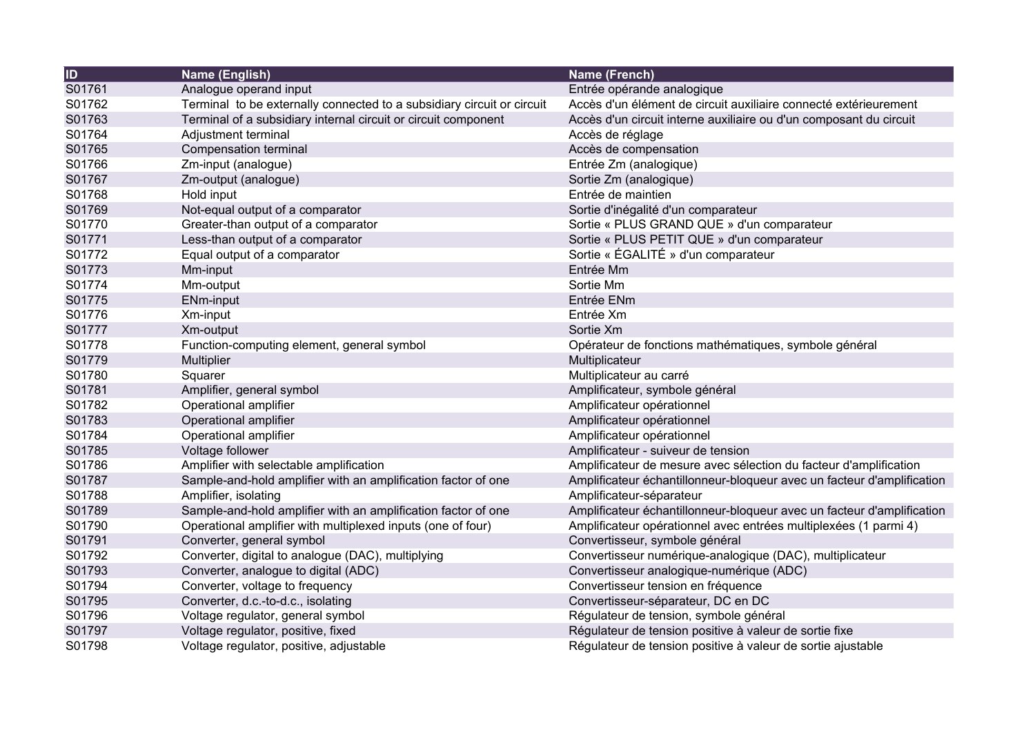| $\overline{1}$ | Name (English)                                                         | Name (French)                                                          |
|----------------|------------------------------------------------------------------------|------------------------------------------------------------------------|
| S01761         | Analogue operand input                                                 | Entrée opérande analogique                                             |
| S01762         | Terminal to be externally connected to a subsidiary circuit or circuit | Accès d'un élément de circuit auxiliaire connecté extérieurement       |
| S01763         | Terminal of a subsidiary internal circuit or circuit component         | Accès d'un circuit interne auxiliaire ou d'un composant du circuit     |
| S01764         | Adjustment terminal                                                    | Accès de réglage                                                       |
| S01765         | Compensation terminal                                                  | Accès de compensation                                                  |
| S01766         | Zm-input (analogue)                                                    | Entrée Zm (analogique)                                                 |
| S01767         | Zm-output (analogue)                                                   | Sortie Zm (analogique)                                                 |
| S01768         | Hold input                                                             | Entrée de maintien                                                     |
| S01769         | Not-equal output of a comparator                                       | Sortie d'inégalité d'un comparateur                                    |
| S01770         | Greater-than output of a comparator                                    | Sortie « PLUS GRAND QUE » d'un comparateur                             |
| S01771         | Less-than output of a comparator                                       | Sortie « PLUS PETIT QUE » d'un comparateur                             |
| S01772         | Equal output of a comparator                                           | Sortie « ÉGALITÉ » d'un comparateur                                    |
| S01773         | Mm-input                                                               | Entrée Mm                                                              |
| S01774         | Mm-output                                                              | Sortie Mm                                                              |
| S01775         | ENm-input                                                              | Entrée ENm                                                             |
| S01776         | Xm-input                                                               | Entrée Xm                                                              |
| S01777         | Xm-output                                                              | Sortie Xm                                                              |
| S01778         | Function-computing element, general symbol                             | Opérateur de fonctions mathématiques, symbole général                  |
| S01779         | Multiplier                                                             | Multiplicateur                                                         |
| S01780         | Squarer                                                                | Multiplicateur au carré                                                |
| S01781         | Amplifier, general symbol                                              | Amplificateur, symbole général                                         |
| S01782         | Operational amplifier                                                  | Amplificateur opérationnel                                             |
| S01783         | Operational amplifier                                                  | Amplificateur opérationnel                                             |
| S01784         | Operational amplifier                                                  | Amplificateur opérationnel                                             |
| S01785         | Voltage follower                                                       | Amplificateur - suiveur de tension                                     |
| S01786         | Amplifier with selectable amplification                                | Amplificateur de mesure avec sélection du facteur d'amplification      |
| S01787         | Sample-and-hold amplifier with an amplification factor of one          | Amplificateur échantillonneur-bloqueur avec un facteur d'amplification |
| S01788         | Amplifier, isolating                                                   | Amplificateur-séparateur                                               |
| S01789         | Sample-and-hold amplifier with an amplification factor of one          | Amplificateur échantillonneur-bloqueur avec un facteur d'amplification |
| S01790         | Operational amplifier with multiplexed inputs (one of four)            | Amplificateur opérationnel avec entrées multiplexées (1 parmi 4)       |
| S01791         | Converter, general symbol                                              | Convertisseur, symbole général                                         |
| S01792         | Converter, digital to analogue (DAC), multiplying                      | Convertisseur numérique-analogique (DAC), multiplicateur               |
| S01793         | Converter, analogue to digital (ADC)                                   | Convertisseur analogique-numérique (ADC)                               |
| S01794         | Converter, voltage to frequency                                        | Convertisseur tension en fréquence                                     |
| S01795         | Converter, d.c.-to-d.c., isolating                                     | Convertisseur-séparateur, DC en DC                                     |
| S01796         | Voltage regulator, general symbol                                      | Régulateur de tension, symbole général                                 |
| S01797         | Voltage regulator, positive, fixed                                     | Régulateur de tension positive à valeur de sortie fixe                 |
| S01798         | Voltage regulator, positive, adjustable                                | Régulateur de tension positive à valeur de sortie ajustable            |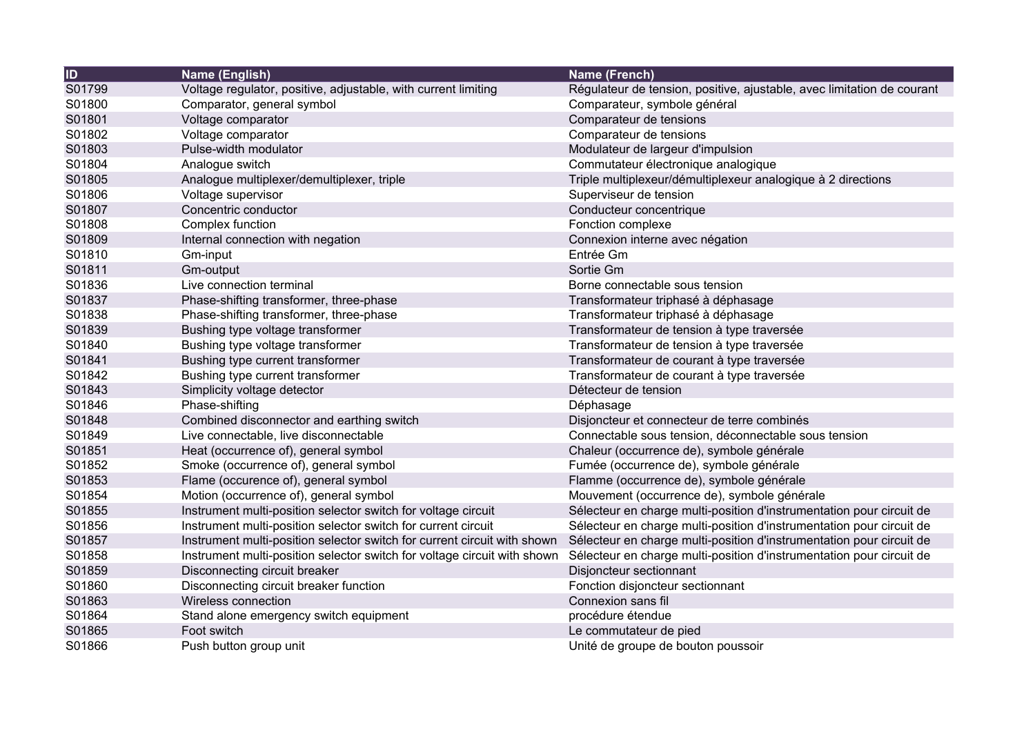| <b>ID</b> | Name (English)                                                           | Name (French)                                                          |
|-----------|--------------------------------------------------------------------------|------------------------------------------------------------------------|
| S01799    | Voltage regulator, positive, adjustable, with current limiting           | Régulateur de tension, positive, ajustable, avec limitation de courant |
| S01800    | Comparator, general symbol                                               | Comparateur, symbole général                                           |
| S01801    | Voltage comparator                                                       | Comparateur de tensions                                                |
| S01802    | Voltage comparator                                                       | Comparateur de tensions                                                |
| S01803    | Pulse-width modulator                                                    | Modulateur de largeur d'impulsion                                      |
| S01804    | Analogue switch                                                          | Commutateur électronique analogique                                    |
| S01805    | Analogue multiplexer/demultiplexer, triple                               | Triple multiplexeur/démultiplexeur analogique à 2 directions           |
| S01806    | Voltage supervisor                                                       | Superviseur de tension                                                 |
| S01807    | Concentric conductor                                                     | Conducteur concentrique                                                |
| S01808    | Complex function                                                         | Fonction complexe                                                      |
| S01809    | Internal connection with negation                                        | Connexion interne avec négation                                        |
| S01810    | Gm-input                                                                 | Entrée Gm                                                              |
| S01811    | Gm-output                                                                | Sortie Gm                                                              |
| S01836    | Live connection terminal                                                 | Borne connectable sous tension                                         |
| S01837    | Phase-shifting transformer, three-phase                                  | Transformateur triphasé à déphasage                                    |
| S01838    | Phase-shifting transformer, three-phase                                  | Transformateur triphasé à déphasage                                    |
| S01839    | Bushing type voltage transformer                                         | Transformateur de tension à type traversée                             |
| S01840    | Bushing type voltage transformer                                         | Transformateur de tension à type traversée                             |
| S01841    | Bushing type current transformer                                         | Transformateur de courant à type traversée                             |
| S01842    | Bushing type current transformer                                         | Transformateur de courant à type traversée                             |
| S01843    | Simplicity voltage detector                                              | Détecteur de tension                                                   |
| S01846    | Phase-shifting                                                           | Déphasage                                                              |
| S01848    | Combined disconnector and earthing switch                                | Disjoncteur et connecteur de terre combinés                            |
| S01849    | Live connectable, live disconnectable                                    | Connectable sous tension, déconnectable sous tension                   |
| S01851    | Heat (occurrence of), general symbol                                     | Chaleur (occurrence de), symbole générale                              |
| S01852    | Smoke (occurrence of), general symbol                                    | Fumée (occurrence de), symbole générale                                |
| S01853    | Flame (occurence of), general symbol                                     | Flamme (occurrence de), symbole générale                               |
| S01854    | Motion (occurrence of), general symbol                                   | Mouvement (occurrence de), symbole générale                            |
| S01855    | Instrument multi-position selector switch for voltage circuit            | Sélecteur en charge multi-position d'instrumentation pour circuit de   |
| S01856    | Instrument multi-position selector switch for current circuit            | Sélecteur en charge multi-position d'instrumentation pour circuit de   |
| S01857    | Instrument multi-position selector switch for current circuit with shown | Sélecteur en charge multi-position d'instrumentation pour circuit de   |
| S01858    | Instrument multi-position selector switch for voltage circuit with shown | Sélecteur en charge multi-position d'instrumentation pour circuit de   |
| S01859    | Disconnecting circuit breaker                                            | Disjoncteur sectionnant                                                |
| S01860    | Disconnecting circuit breaker function                                   | Fonction disjoncteur sectionnant                                       |
| S01863    | Wireless connection                                                      | Connexion sans fil                                                     |
| S01864    | Stand alone emergency switch equipment                                   | procédure étendue                                                      |
| S01865    | Foot switch                                                              | Le commutateur de pied                                                 |
| S01866    | Push button group unit                                                   | Unité de groupe de bouton poussoir                                     |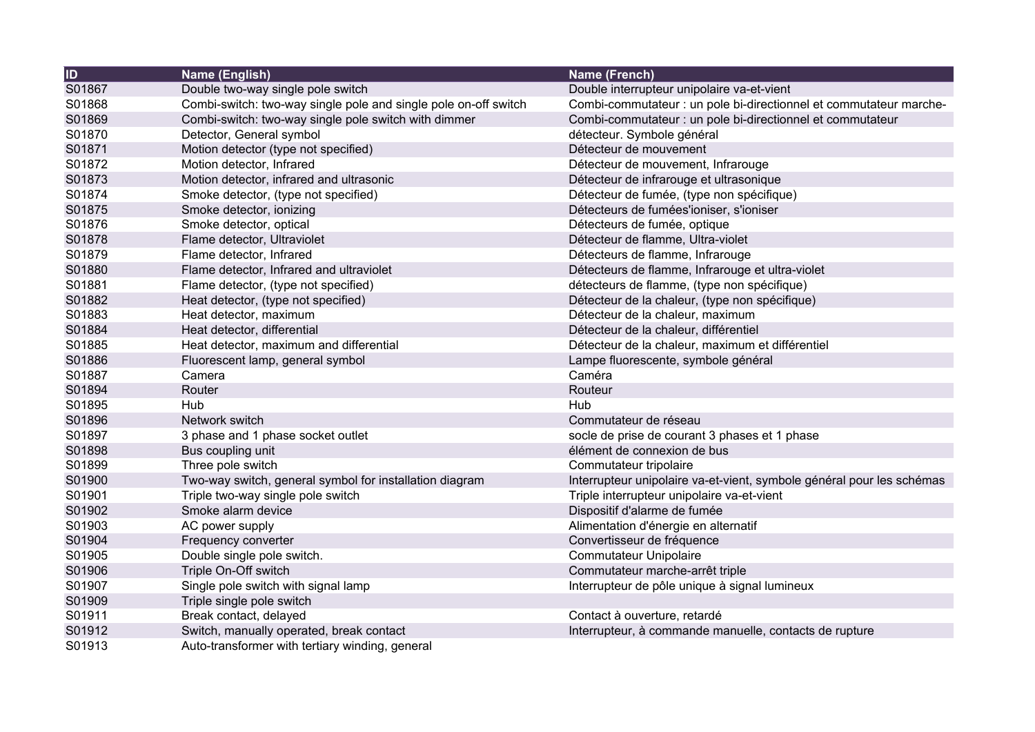| ID     | Name (English)                                                  | Name (French)                                                         |
|--------|-----------------------------------------------------------------|-----------------------------------------------------------------------|
| S01867 | Double two-way single pole switch                               | Double interrupteur unipolaire va-et-vient                            |
| S01868 | Combi-switch: two-way single pole and single pole on-off switch | Combi-commutateur : un pole bi-directionnel et commutateur marche-    |
| S01869 | Combi-switch: two-way single pole switch with dimmer            | Combi-commutateur : un pole bi-directionnel et commutateur            |
| S01870 | Detector, General symbol                                        | détecteur. Symbole général                                            |
| S01871 | Motion detector (type not specified)                            | Détecteur de mouvement                                                |
| S01872 | Motion detector, Infrared                                       | Détecteur de mouvement, Infrarouge                                    |
| S01873 | Motion detector, infrared and ultrasonic                        | Détecteur de infrarouge et ultrasonique                               |
| S01874 | Smoke detector, (type not specified)                            | Détecteur de fumée, (type non spécifique)                             |
| S01875 | Smoke detector, ionizing                                        | Détecteurs de fumées'ioniser, s'ioniser                               |
| S01876 | Smoke detector, optical                                         | Détecteurs de fumée, optique                                          |
| S01878 | Flame detector, Ultraviolet                                     | Détecteur de flamme, Ultra-violet                                     |
| S01879 | Flame detector, Infrared                                        | Détecteurs de flamme, Infrarouge                                      |
| S01880 | Flame detector, Infrared and ultraviolet                        | Détecteurs de flamme, Infrarouge et ultra-violet                      |
| S01881 | Flame detector, (type not specified)                            | détecteurs de flamme, (type non spécifique)                           |
| S01882 | Heat detector, (type not specified)                             | Détecteur de la chaleur, (type non spécifique)                        |
| S01883 | Heat detector, maximum                                          | Détecteur de la chaleur, maximum                                      |
| S01884 | Heat detector, differential                                     | Détecteur de la chaleur, différentiel                                 |
| S01885 | Heat detector, maximum and differential                         | Détecteur de la chaleur, maximum et différentiel                      |
| S01886 | Fluorescent lamp, general symbol                                | Lampe fluorescente, symbole général                                   |
| S01887 | Camera                                                          | Caméra                                                                |
| S01894 | Router                                                          | Routeur                                                               |
| S01895 | Hub                                                             | Hub                                                                   |
| S01896 | Network switch                                                  | Commutateur de réseau                                                 |
| S01897 | 3 phase and 1 phase socket outlet                               | socle de prise de courant 3 phases et 1 phase                         |
| S01898 | Bus coupling unit                                               | élément de connexion de bus                                           |
| S01899 | Three pole switch                                               | Commutateur tripolaire                                                |
| S01900 | Two-way switch, general symbol for installation diagram         | Interrupteur unipolaire va-et-vient, symbole général pour les schémas |
| S01901 | Triple two-way single pole switch                               | Triple interrupteur unipolaire va-et-vient                            |
| S01902 | Smoke alarm device                                              | Dispositif d'alarme de fumée                                          |
| S01903 | AC power supply                                                 | Alimentation d'énergie en alternatif                                  |
| S01904 | Frequency converter                                             | Convertisseur de fréquence                                            |
| S01905 | Double single pole switch.                                      | <b>Commutateur Unipolaire</b>                                         |
| S01906 | Triple On-Off switch                                            | Commutateur marche-arrêt triple                                       |
| S01907 | Single pole switch with signal lamp                             | Interrupteur de pôle unique à signal lumineux                         |
| S01909 | Triple single pole switch                                       |                                                                       |
| S01911 | Break contact, delayed                                          | Contact à ouverture, retardé                                          |
| S01912 | Switch, manually operated, break contact                        | Interrupteur, à commande manuelle, contacts de rupture                |
| S01913 | Auto-transformer with tertiary winding, general                 |                                                                       |